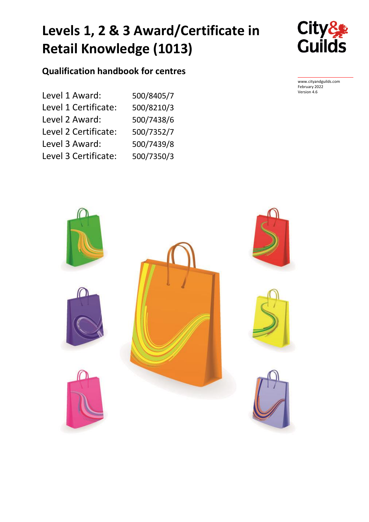# **Levels 1, 2 & 3 Award/Certificate in Retail Knowledge (1013)**

# **Qualification handbook for centres**

| Level 1 Award:       | 500/8405/7 |
|----------------------|------------|
| Level 1 Certificate: | 500/8210/3 |
| Level 2 Award:       | 500/7438/6 |
| Level 2 Certificate: | 500/7352/7 |
| Level 3 Award:       | 500/7439/8 |
| Level 3 Certificate: | 500/7350/3 |
|                      |            |



www.cityandguilds.com February 2022 Version 4.6

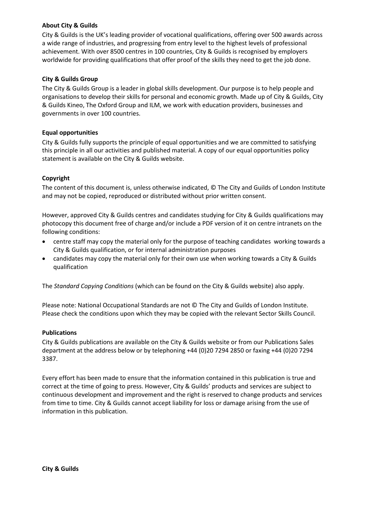#### **About City & Guilds**

City & Guilds is the UK's leading provider of vocational qualifications, offering over 500 awards across a wide range of industries, and progressing from entry level to the highest levels of professional achievement. With over 8500 centres in 100 countries, City & Guilds is recognised by employers worldwide for providing qualifications that offer proof of the skills they need to get the job done.

#### **City & Guilds Group**

The City & Guilds Group is a leader in global skills development. Our purpose is to help people and organisations to develop their skills for personal and economic growth. Made up of City & Guilds, City & Guilds Kineo, The Oxford Group and ILM, we work with education providers, businesses and governments in over 100 countries.

#### **Equal opportunities**

City & Guilds fully supports the principle of equal opportunities and we are committed to satisfying this principle in all our activities and published material. A copy of our equal opportunities policy statement is available on the City & Guilds website.

#### **Copyright**

The content of this document is, unless otherwise indicated, © The City and Guilds of London Institute and may not be copied, reproduced or distributed without prior written consent.

However, approved City & Guilds centres and candidates studying for City & Guilds qualifications may photocopy this document free of charge and/or include a PDF version of it on centre intranets on the following conditions:

- centre staff may copy the material only for the purpose of teaching candidates working towards a City & Guilds qualification, or for internal administration purposes
- candidates may copy the material only for their own use when working towards a City & Guilds qualification

The *Standard Copying Conditions* (which can be found on the City & Guilds website) also apply.

Please note: National Occupational Standards are not © The City and Guilds of London Institute. Please check the conditions upon which they may be copied with the relevant Sector Skills Council.

#### **Publications**

City & Guilds publications are available on the City & Guilds website or from our Publications Sales department at the address below or by telephoning +44 (0)20 7294 2850 or faxing +44 (0)20 7294 3387.

Every effort has been made to ensure that the information contained in this publication is true and correct at the time of going to press. However, City & Guilds' products and services are subject to continuous development and improvement and the right is reserved to change products and services from time to time. City & Guilds cannot accept liability for loss or damage arising from the use of information in this publication.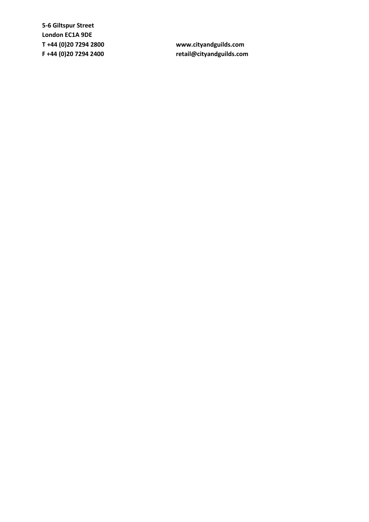**5-6 Giltspur Street London EC1A 9DE T +44 (0)20 7294 2800 [www.cityandguilds.com](http://www.cityandguilds.com/)**

**F +44 (0)20 7294 2400 [retail@cityandguilds.com](mailto:retail@cityandguilds.com)**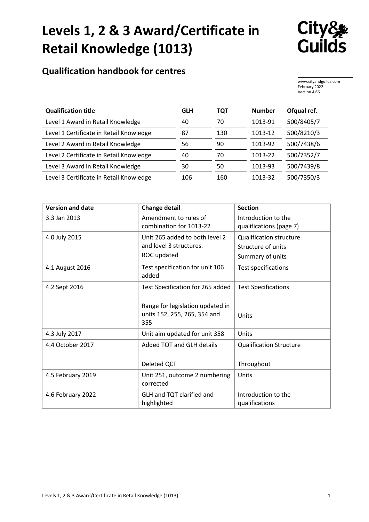# **Levels 1, 2 & 3 Award/Certificate in Retail Knowledge (1013)**



# **Qualification handbook for centres**

www.cityandguilds.com February 2022 Version 4.66

| <b>Qualification title</b>              | <b>GLH</b> | τοτ | <b>Number</b> | Ofqual ref. |
|-----------------------------------------|------------|-----|---------------|-------------|
| Level 1 Award in Retail Knowledge       | 40         | 70  | 1013-91       | 500/8405/7  |
| Level 1 Certificate in Retail Knowledge | 87         | 130 | 1013-12       | 500/8210/3  |
| Level 2 Award in Retail Knowledge       | 56         | 90  | 1013-92       | 500/7438/6  |
| Level 2 Certificate in Retail Knowledge | 40         | 70  | 1013-22       | 500/7352/7  |
| Level 3 Award in Retail Knowledge       | 30         | 50  | 1013-93       | 500/7439/8  |
| Level 3 Certificate in Retail Knowledge | 106        | 160 | 1013-32       | 500/7350/3  |

| <b>Version and date</b> | <b>Change detail</b>                                                                                        | <b>Section</b>                                                           |
|-------------------------|-------------------------------------------------------------------------------------------------------------|--------------------------------------------------------------------------|
| 3.3 Jan 2013            | Amendment to rules of<br>combination for 1013-22                                                            | Introduction to the<br>qualifications (page 7)                           |
| 4.0 July 2015           | Unit 265 added to both level 2<br>and level 3 structures.<br>ROC updated                                    | <b>Qualification structure</b><br>Structure of units<br>Summary of units |
| 4.1 August 2016         | Test specification for unit 106<br>added                                                                    | <b>Test specifications</b>                                               |
| 4.2 Sept 2016           | Test Specification for 265 added<br>Range for legislation updated in<br>units 152, 255, 265, 354 and<br>355 | <b>Test Specifications</b><br>Units                                      |
| 4.3 July 2017           | Unit aim updated for unit 358                                                                               | Units                                                                    |
| 4.4 October 2017        | Added TQT and GLH details<br>Deleted QCF                                                                    | <b>Qualification Structure</b><br>Throughout                             |
| 4.5 February 2019       | Unit 251, outcome 2 numbering<br>corrected                                                                  | Units                                                                    |
| 4.6 February 2022       | GLH and TQT clarified and<br>highlighted                                                                    | Introduction to the<br>qualifications                                    |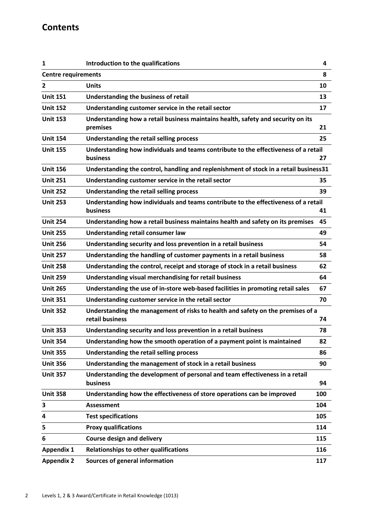# **Contents**

| 1                          | Introduction to the qualifications                                                                 | 4   |
|----------------------------|----------------------------------------------------------------------------------------------------|-----|
| <b>Centre requirements</b> |                                                                                                    | 8   |
| 2                          | <b>Units</b>                                                                                       | 10  |
| <b>Unit 151</b>            | Understanding the business of retail                                                               | 13  |
| <b>Unit 152</b>            | Understanding customer service in the retail sector                                                | 17  |
| <b>Unit 153</b>            | Understanding how a retail business maintains health, safety and security on its<br>premises       | 21  |
| <b>Unit 154</b>            | Understanding the retail selling process                                                           | 25  |
| <b>Unit 155</b>            | Understanding how individuals and teams contribute to the effectiveness of a retail<br>business    | 27  |
| <b>Unit 156</b>            | Understanding the control, handling and replenishment of stock in a retail business31              |     |
| <b>Unit 251</b>            | Understanding customer service in the retail sector                                                | 35  |
| <b>Unit 252</b>            | Understanding the retail selling process                                                           | 39  |
| <b>Unit 253</b>            | Understanding how individuals and teams contribute to the effectiveness of a retail<br>business    | 41  |
| <b>Unit 254</b>            | Understanding how a retail business maintains health and safety on its premises                    | 45  |
| <b>Unit 255</b>            | Understanding retail consumer law                                                                  | 49  |
| <b>Unit 256</b>            | Understanding security and loss prevention in a retail business                                    | 54  |
| <b>Unit 257</b>            | Understanding the handling of customer payments in a retail business                               | 58  |
| <b>Unit 258</b>            | Understanding the control, receipt and storage of stock in a retail business                       | 62  |
| <b>Unit 259</b>            | Understanding visual merchandising for retail business                                             | 64  |
| <b>Unit 265</b>            | Understanding the use of in-store web-based facilities in promoting retail sales                   | 67  |
| <b>Unit 351</b>            | Understanding customer service in the retail sector                                                | 70  |
| <b>Unit 352</b>            | Understanding the management of risks to health and safety on the premises of a<br>retail business | 74  |
| <b>Unit 353</b>            | Understanding security and loss prevention in a retail business                                    | 78  |
| <b>Unit 354</b>            | Understanding how the smooth operation of a payment point is maintained                            | 82  |
| <b>Unit 355</b>            | Understanding the retail selling process                                                           | 86  |
| <b>Unit 356</b>            | Understanding the management of stock in a retail business                                         | 90  |
| <b>Unit 357</b>            | Understanding the development of personal and team effectiveness in a retail<br><b>business</b>    | 94  |
| <b>Unit 358</b>            | Understanding how the effectiveness of store operations can be improved                            | 100 |
| 3                          | <b>Assessment</b>                                                                                  | 104 |
| 4                          | <b>Test specifications</b>                                                                         | 105 |
| 5                          | <b>Proxy qualifications</b>                                                                        | 114 |
| 6                          | <b>Course design and delivery</b>                                                                  | 115 |
| <b>Appendix 1</b>          | <b>Relationships to other qualifications</b>                                                       | 116 |
| <b>Appendix 2</b>          | Sources of general information                                                                     | 117 |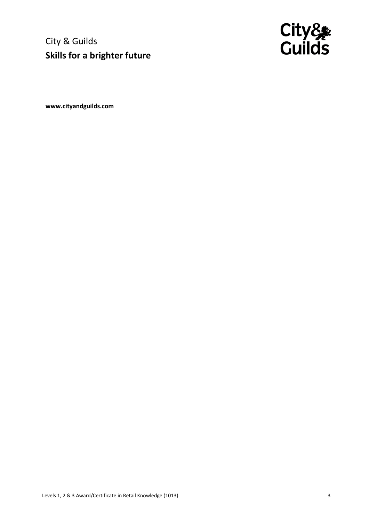# City & Guilds **Skills for a brighter future**



**[www.cityandguilds.com](http://www.cityandguilds.com/)**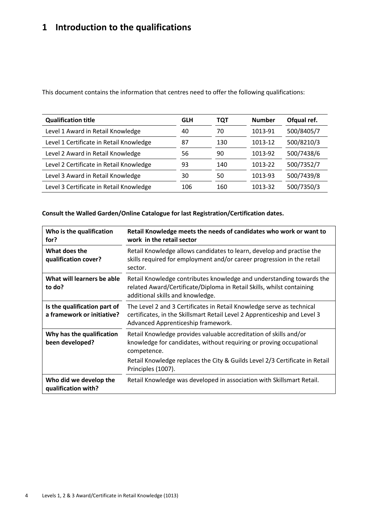# <span id="page-7-0"></span>**1 Introduction to the qualifications**

**Qualification title GLH TQT Number Ofqual ref.** Level 1 Award in Retail Knowledge 40 70 1013-91 500/8405/7 Level 1 Certificate in Retail Knowledge  $\begin{array}{cccc} 87 & 130 & 1013-12 & 500/8210/3 \\ 1 & 1 & 1 & 1013-12 & 500/8210/3 \\ \end{array}$ Level 2 Award in Retail Knowledge 1013-92 500/7438/6 Level 2 Certificate in Retail Knowledge  $\qquad \qquad 93 \qquad \qquad 140 \qquad \qquad 1013-22 \qquad \qquad 500/7352/7$ Level 3 Award in Retail Knowledge 1013-93 500/7439/8 Level 3 Certificate in Retail Knowledge 106 160 1013-32 500/7350/3

This document contains the information that centres need to offer the following qualifications:

#### **Consult the Walled Garden/Online Catalogue for last Registration/Certification dates.**

| Who is the qualification<br>for?                           | Retail Knowledge meets the needs of candidates who work or want to<br>work in the retail sector                                                                                          |
|------------------------------------------------------------|------------------------------------------------------------------------------------------------------------------------------------------------------------------------------------------|
| What does the<br>qualification cover?                      | Retail Knowledge allows candidates to learn, develop and practise the<br>skills required for employment and/or career progression in the retail<br>sector.                               |
| What will learners be able<br>to do?                       | Retail Knowledge contributes knowledge and understanding towards the<br>related Award/Certificate/Diploma in Retail Skills, whilst containing<br>additional skills and knowledge.        |
| Is the qualification part of<br>a framework or initiative? | The Level 2 and 3 Certificates in Retail Knowledge serve as technical<br>certificates, in the Skillsmart Retail Level 2 Apprenticeship and Level 3<br>Advanced Apprenticeship framework. |
| Why has the qualification<br>been developed?               | Retail Knowledge provides valuable accreditation of skills and/or<br>knowledge for candidates, without requiring or proving occupational<br>competence.                                  |
|                                                            | Retail Knowledge replaces the City & Guilds Level 2/3 Certificate in Retail<br>Principles (1007).                                                                                        |
| Who did we develop the<br>qualification with?              | Retail Knowledge was developed in association with Skillsmart Retail.                                                                                                                    |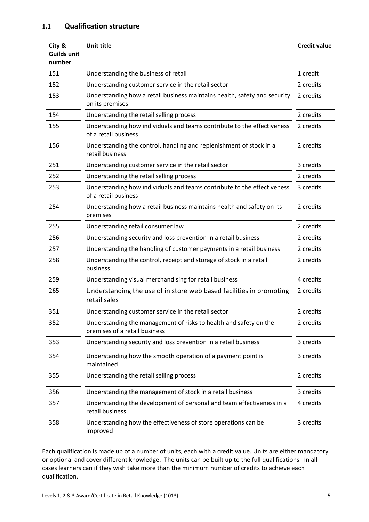### **1.1 Qualification structure**

| City &<br><b>Guilds unit</b><br>number | <b>Unit title</b>                                                                                  | <b>Credit value</b> |
|----------------------------------------|----------------------------------------------------------------------------------------------------|---------------------|
| 151                                    | Understanding the business of retail                                                               | 1 credit            |
| 152                                    | Understanding customer service in the retail sector                                                | 2 credits           |
| 153                                    | Understanding how a retail business maintains health, safety and security<br>on its premises       | 2 credits           |
| 154                                    | Understanding the retail selling process                                                           | 2 credits           |
| 155                                    | Understanding how individuals and teams contribute to the effectiveness<br>of a retail business    | 2 credits           |
| 156                                    | Understanding the control, handling and replenishment of stock in a<br>retail business             | 2 credits           |
| 251                                    | Understanding customer service in the retail sector                                                | 3 credits           |
| 252                                    | Understanding the retail selling process                                                           | 2 credits           |
| 253                                    | Understanding how individuals and teams contribute to the effectiveness<br>of a retail business    | 3 credits           |
| 254                                    | Understanding how a retail business maintains health and safety on its<br>premises                 | 2 credits           |
| 255                                    | Understanding retail consumer law                                                                  | 2 credits           |
| 256                                    | Understanding security and loss prevention in a retail business                                    | 2 credits           |
| 257                                    | Understanding the handling of customer payments in a retail business                               | 2 credits           |
| 258                                    | Understanding the control, receipt and storage of stock in a retail<br>business                    | 2 credits           |
| 259                                    | Understanding visual merchandising for retail business                                             | 4 credits           |
| 265                                    | Understanding the use of in store web based facilities in promoting<br>retail sales                | 2 credits           |
| 351                                    | Understanding customer service in the retail sector                                                | 2 credits           |
| 352                                    | Understanding the management of risks to health and safety on the<br>premises of a retail business | 2 credits           |
| 353                                    | Understanding security and loss prevention in a retail business                                    | 3 credits           |
| 354                                    | Understanding how the smooth operation of a payment point is<br>maintained                         | 3 credits           |
| 355                                    | Understanding the retail selling process                                                           | 2 credits           |
| 356                                    | Understanding the management of stock in a retail business                                         | 3 credits           |
| 357                                    | Understanding the development of personal and team effectiveness in a<br>retail business           | 4 credits           |
| 358                                    | Understanding how the effectiveness of store operations can be<br>improved                         | 3 credits           |

Each qualification is made up of a number of units, each with a credit value. Units are either mandatory or optional and cover different knowledge. The units can be built up to the full qualifications. In all cases learners can if they wish take more than the minimum number of credits to achieve each qualification.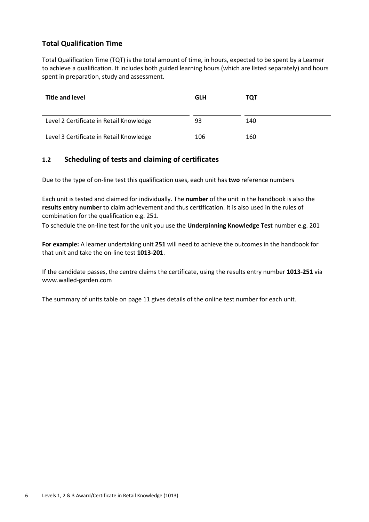## **Total Qualification Time**

Total Qualification Time (TQT) is the total amount of time, in hours, expected to be spent by a Learner to achieve a qualification. It includes both guided learning hours (which are listed separately) and hours spent in preparation, study and assessment.

| <b>Title and level</b>                  | <b>GLH</b> | тот |
|-----------------------------------------|------------|-----|
| Level 2 Certificate in Retail Knowledge | 93         | 140 |
| Level 3 Certificate in Retail Knowledge | 106        | 160 |

## **1.2 Scheduling of tests and claiming of certificates**

Due to the type of on-line test this qualification uses, each unit has **two** reference numbers

Each unit is tested and claimed for individually. The **number** of the unit in the handbook is also the **results entry number** to claim achievement and thus certification. It is also used in the rules of combination for the qualification e.g. 251.

To schedule the on-line test for the unit you use the **Underpinning Knowledge Test** number e.g. 201

**For example:** A learner undertaking unit **251** will need to achieve the outcomes in the handbook for that unit and take the on-line test **1013-201**.

If the candidate passes, the centre claims the certificate, using the results entry number **1013-251** via www.walled-garden.com

The summary of units table on page 11 gives details of the online test number for each unit.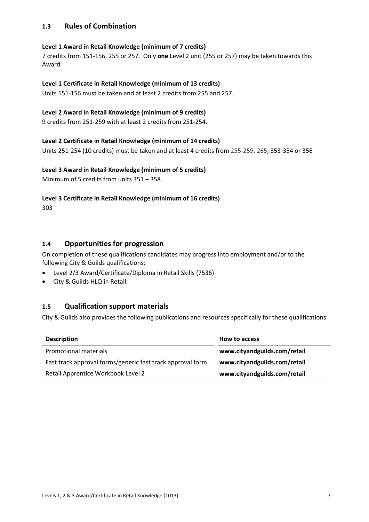### **1.3 Rules of Combination**

#### **Level 1 Award in Retail Knowledge (minimum of 7 credits)**

7 credits from 151-156, 255 or 257. Only **one** Level 2 unit (255 or 257) may be taken towards this Award.

#### **Level 1 Certificate in Retail Knowledge (minimum of 13 credits)**

Units 151-156 must be taken and at least 2 credits from 255 and 257.

#### **Level 2 Award in Retail Knowledge (minimum of 9 credits)**

9 credits from 251-259 with at least 2 credits from 251-254.

#### **Level 2 Certificate in Retail Knowledge (minimum of 14 credits)**

Units 251-254 (10 credits) must be taken and at least 4 credits from 255-259, 265, 353-354 or 356

#### **Level 3 Award in Retail Knowledge (minimum of 5 credits)**

Minimum of 5 credits from units 351 – 358.

#### **Level 3 Certificate in Retail Knowledge (minimum of 16 credits)**

303

### **1.4 Opportunities for progression**

On completion of these qualifications candidates may progress into employment and/or to the following City & Guilds qualifications:

- Level 2/3 Award/Certificate/Diploma in Retail Skills (7536)
- City & Guilds HLQ in Retail.

#### **1.5 Qualification support materials**

City & Guilds also provides the following publications and resources specifically for these qualifications:

| <b>Description</b>                                         | How to access                |
|------------------------------------------------------------|------------------------------|
| Promotional materials                                      | www.cityandguilds.com/retail |
| Fast track approval forms/generic fast track approval form | www.cityandguilds.com/retail |
| Retail Apprentice Workbook Level 2                         | www.cityandguilds.com/retail |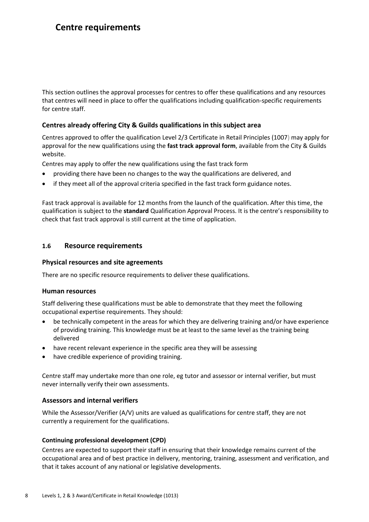This section outlines the approval processes for centres to offer these qualifications and any resources that centres will need in place to offer the qualifications including qualification-specific requirements for centre staff.

#### **Centres already offering City & Guilds qualifications in this subject area**

Centres approved to offer the qualification Level 2/3 Certificate in Retail Principles (1007) may apply for approval for the new qualifications using the **fast track approval form**, available from the City & Guilds website.

Centres may apply to offer the new qualifications using the fast track form

- providing there have been no changes to the way the qualifications are delivered, and
- if they meet all of the approval criteria specified in the fast track form guidance notes.

Fast track approval is available for 12 months from the launch of the qualification. After this time, the qualification is subject to the **standard** Qualification Approval Process. It is the centre's responsibility to check that fast track approval is still current at the time of application.

#### **1.6 Resource requirements**

#### **Physical resources and site agreements**

There are no specific resource requirements to deliver these qualifications.

#### **Human resources**

Staff delivering these qualifications must be able to demonstrate that they meet the following occupational expertise requirements. They should:

- be technically competent in the areas for which they are delivering training and/or have experience of providing training. This knowledge must be at least to the same level as the training being delivered
- have recent relevant experience in the specific area they will be assessing
- have credible experience of providing training.

Centre staff may undertake more than one role, eg tutor and assessor or internal verifier, but must never internally verify their own assessments.

#### **Assessors and internal verifiers**

While the Assessor/Verifier (A/V) units are valued as qualifications for centre staff, they are not currently a requirement for the qualifications.

#### **Continuing professional development (CPD)**

Centres are expected to support their staff in ensuring that their knowledge remains current of the occupational area and of best practice in delivery, mentoring, training, assessment and verification, and that it takes account of any national or legislative developments.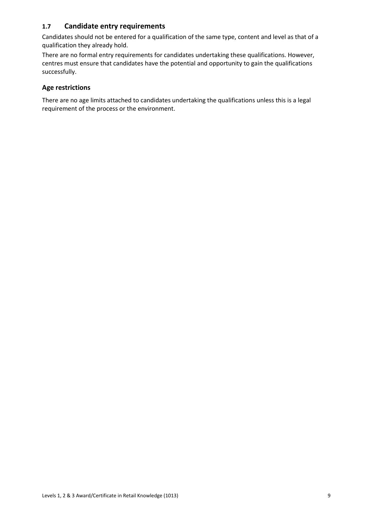## **1.7 Candidate entry requirements**

Candidates should not be entered for a qualification of the same type, content and level as that of a qualification they already hold.

There are no formal entry requirements for candidates undertaking these qualifications. However, centres must ensure that candidates have the potential and opportunity to gain the qualifications successfully.

#### **Age restrictions**

There are no age limits attached to candidates undertaking the qualifications unless this is a legal requirement of the process or the environment.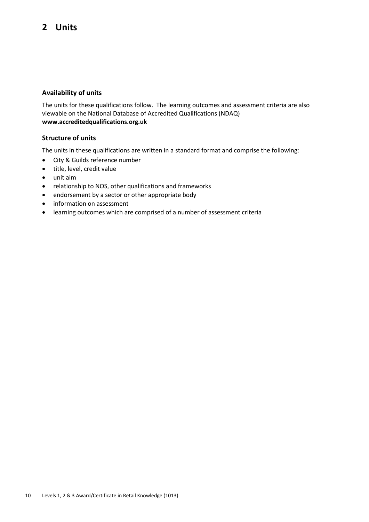# **2 Units**

#### **Availability of units**

The units for these qualifications follow. The learning outcomes and assessment criteria are also viewable on the National Database of Accredited Qualifications (NDAQ) **[www.accreditedqualifications.org.uk](http://www.accreditedqualifications.org.uk/)**

### **Structure of units**

The units in these qualifications are written in a standard format and comprise the following:

- City & Guilds reference number
- title, level, credit value
- unit aim
- relationship to NOS, other qualifications and frameworks
- endorsement by a sector or other appropriate body
- information on assessment
- learning outcomes which are comprised of a number of assessment criteria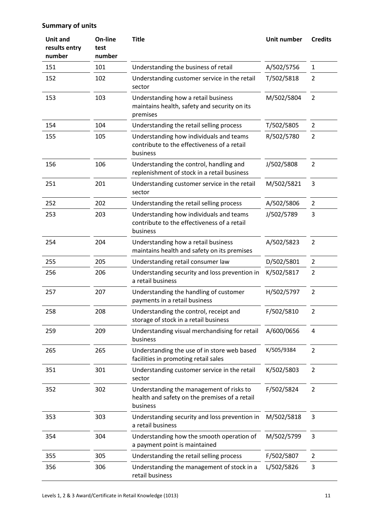## **Summary of units**

| <b>Unit and</b><br>results entry<br>number | On-line<br>test<br>number | <b>Title</b>                                                                                          | <b>Unit number</b> | <b>Credits</b> |
|--------------------------------------------|---------------------------|-------------------------------------------------------------------------------------------------------|--------------------|----------------|
| 151                                        | 101                       | Understanding the business of retail                                                                  | A/502/5756         | $\mathbf{1}$   |
| 152                                        | 102                       | Understanding customer service in the retail<br>sector                                                | T/502/5818         | $\overline{2}$ |
| 153                                        | 103                       | Understanding how a retail business<br>maintains health, safety and security on its<br>premises       | M/502/5804         | $\overline{2}$ |
| 154                                        | 104                       | Understanding the retail selling process                                                              | T/502/5805         | $\overline{2}$ |
| 155                                        | 105                       | Understanding how individuals and teams<br>contribute to the effectiveness of a retail<br>business    | R/502/5780         | $\overline{2}$ |
| 156                                        | 106                       | Understanding the control, handling and<br>replenishment of stock in a retail business                | J/502/5808         | $\overline{2}$ |
| 251                                        | 201                       | Understanding customer service in the retail<br>sector                                                | M/502/5821         | 3              |
| 252                                        | 202                       | Understanding the retail selling process                                                              | A/502/5806         | $\overline{2}$ |
| 253                                        | 203                       | Understanding how individuals and teams<br>contribute to the effectiveness of a retail<br>business    | J/502/5789         | 3              |
| 254                                        | 204                       | Understanding how a retail business<br>maintains health and safety on its premises                    | A/502/5823         | $\overline{2}$ |
| 255                                        | 205                       | Understanding retail consumer law                                                                     | D/502/5801         | $\overline{2}$ |
| 256                                        | 206                       | Understanding security and loss prevention in<br>a retail business                                    | K/502/5817         | $\overline{2}$ |
| 257                                        | 207                       | Understanding the handling of customer<br>payments in a retail business                               | H/502/5797         | $\overline{2}$ |
| 258                                        | 208                       | Understanding the control, receipt and<br>storage of stock in a retail business                       | F/502/5810         | $\overline{2}$ |
| 259                                        | 209                       | Understanding visual merchandising for retail<br>business                                             | A/600/0656         | 4              |
| 265                                        | 265                       | Understanding the use of in store web based<br>facilities in promoting retail sales                   | K/505/9384         | $\overline{2}$ |
| 351                                        | 301                       | Understanding customer service in the retail<br>sector                                                | K/502/5803         | $\overline{2}$ |
| 352                                        | 302                       | Understanding the management of risks to<br>health and safety on the premises of a retail<br>business | F/502/5824         | $\overline{2}$ |
| 353                                        | 303                       | Understanding security and loss prevention in<br>a retail business                                    | M/502/5818         | 3              |
| 354                                        | 304                       | Understanding how the smooth operation of<br>a payment point is maintained                            | M/502/5799         | 3              |
| 355                                        | 305                       | Understanding the retail selling process                                                              | F/502/5807         | 2              |
| 356                                        | 306                       | Understanding the management of stock in a<br>retail business                                         | L/502/5826         | 3              |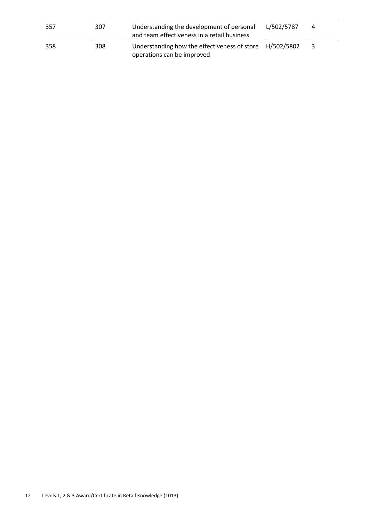| 357 | 307 | Understanding the development of personal<br>and team effectiveness in a retail business | L/502/5787 | 4   |
|-----|-----|------------------------------------------------------------------------------------------|------------|-----|
| 358 | 308 | Understanding how the effectiveness of store H/502/5802<br>operations can be improved    |            | - 3 |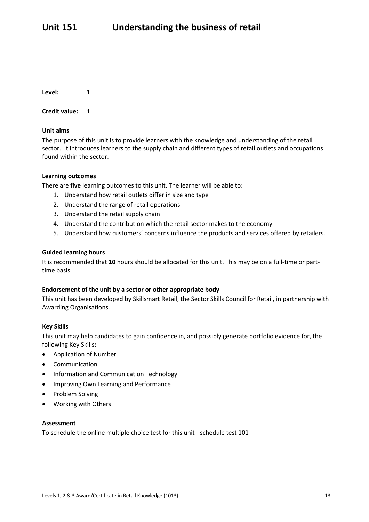**Level: 1**

**Credit value: 1**

#### **Unit aims**

The purpose of this unit is to provide learners with the knowledge and understanding of the retail sector. It introduces learners to the supply chain and different types of retail outlets and occupations found within the sector.

#### **Learning outcomes**

There are **five** learning outcomes to this unit. The learner will be able to:

- 1. Understand how retail outlets differ in size and type
- 2. Understand the range of retail operations
- 3. Understand the retail supply chain
- 4. Understand the contribution which the retail sector makes to the economy
- 5. Understand how customers' concerns influence the products and services offered by retailers.

#### **Guided learning hours**

It is recommended that **10** hours should be allocated for this unit. This may be on a full-time or parttime basis.

#### **Endorsement of the unit by a sector or other appropriate body**

This unit has been developed by Skillsmart Retail, the Sector Skills Council for Retail, in partnership with Awarding Organisations.

#### **Key Skills**

This unit may help candidates to gain confidence in, and possibly generate portfolio evidence for, the following Key Skills:

- Application of Number
- Communication
- Information and Communication Technology
- Improving Own Learning and Performance
- Problem Solving
- Working with Others

#### **Assessment**

To schedule the online multiple choice test for this unit - schedule test 101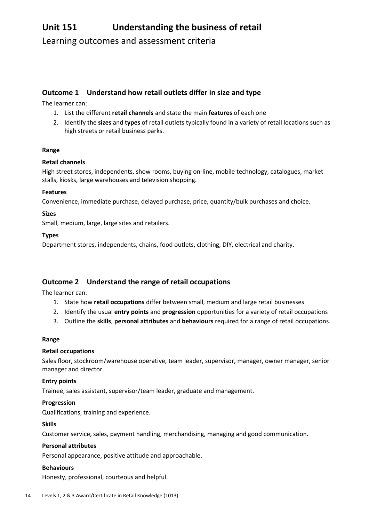# **Unit 151 Understanding the business of retail**

Learning outcomes and assessment criteria

### **Outcome 1 Understand how retail outlets differ in size and type**

The learner can:

- 1. List the different **retail channels** and state the main **features** of each one
- 2. Identify the **sizes** and **types** of retail outlets typically found in a variety of retail locations such as high streets or retail business parks.

#### **Range**

#### **Retail channels**

High street stores, independents, show rooms, buying on-line, mobile technology, catalogues, market stalls, kiosks, large warehouses and television shopping.

#### **Features**

Convenience, immediate purchase, delayed purchase, price, quantity/bulk purchases and choice.

#### **Sizes**

Small, medium, large, large sites and retailers.

#### **Types**

Department stores, independents, chains, food outlets, clothing, DIY, electrical and charity.

### **Outcome 2 Understand the range of retail occupations**

The learner can:

- 1. State how **retail occupations** differ between small, medium and large retail businesses
- 2. Identify the usual **entry points** and **progression** opportunities for a variety of retail occupations
- 3. Outline the **skills**, **personal attributes** and **behaviours** required for a range of retail occupations.

#### **Range**

#### **Retail occupations**

Sales floor, stockroom/warehouse operative, team leader, supervisor, manager, owner manager, senior manager and director.

#### **Entry points**

Trainee, sales assistant, supervisor/team leader, graduate and management.

#### **Progression**

Qualifications, training and experience.

#### **Skills**

Customer service, sales, payment handling, merchandising, managing and good communication.

#### **Personal attributes**

Personal appearance, positive attitude and approachable.

#### **Behaviours**

Honesty, professional, courteous and helpful.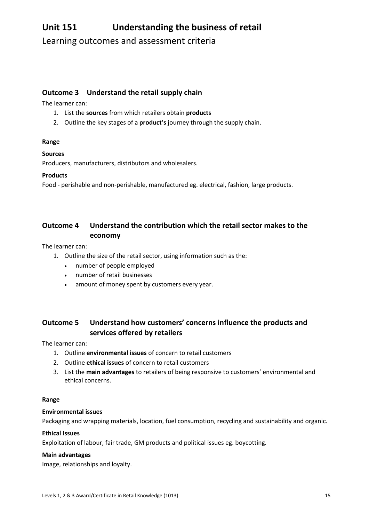# **Unit 151 Understanding the business of retail**

Learning outcomes and assessment criteria

## **Outcome 3 Understand the retail supply chain**

The learner can:

- 1. List the **sources** from which retailers obtain **products**
- 2. Outline the key stages of a **product's** journey through the supply chain.

#### **Range**

#### **Sources**

Producers, manufacturers, distributors and wholesalers.

#### **Products**

Food - perishable and non-perishable, manufactured eg. electrical, fashion, large products.

# **Outcome 4 Understand the contribution which the retail sector makes to the economy**

The learner can:

- 1. Outline the size of the retail sector, using information such as the:
	- number of people employed
	- number of retail businesses
	- amount of money spent by customers every year.

# **Outcome 5 Understand how customers' concerns influence the products and services offered by retailers**

The learner can:

- 1. Outline **environmental issues** of concern to retail customers
- 2. Outline **ethical issues** of concern to retail customers
- 3. List the **main advantages** to retailers of being responsive to customers' environmental and ethical concerns.

#### **Range**

#### **Environmental issues**

Packaging and wrapping materials, location, fuel consumption, recycling and sustainability and organic.

#### **Ethical Issues**

Exploitation of labour, fair trade, GM products and political issues eg. boycotting.

#### **Main advantages**

Image, relationships and loyalty.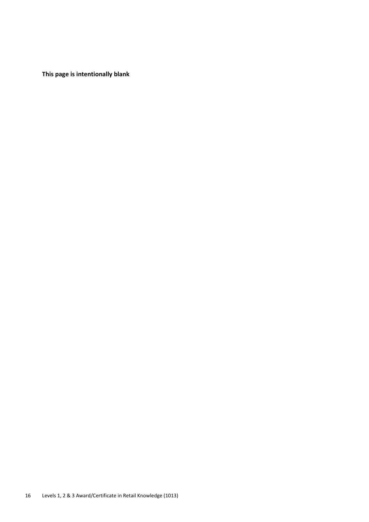**This page is intentionally blank**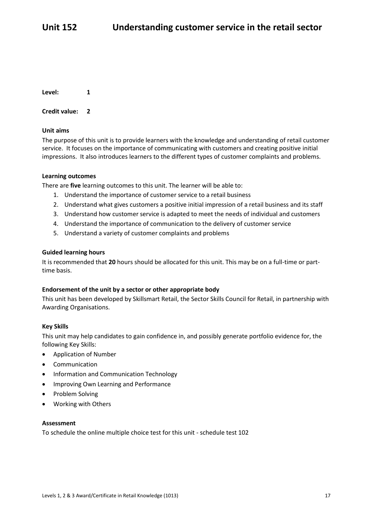**Level: 1**

**Credit value: 2**

#### **Unit aims**

The purpose of this unit is to provide learners with the knowledge and understanding of retail customer service. It focuses on the importance of communicating with customers and creating positive initial impressions. It also introduces learners to the different types of customer complaints and problems.

#### **Learning outcomes**

There are **five** learning outcomes to this unit. The learner will be able to:

- 1. Understand the importance of customer service to a retail business
- 2. Understand what gives customers a positive initial impression of a retail business and its staff
- 3. Understand how customer service is adapted to meet the needs of individual and customers
- 4. Understand the importance of communication to the delivery of customer service
- 5. Understand a variety of customer complaints and problems

#### **Guided learning hours**

It is recommended that **20** hours should be allocated for this unit. This may be on a full-time or parttime basis.

#### **Endorsement of the unit by a sector or other appropriate body**

This unit has been developed by Skillsmart Retail, the Sector Skills Council for Retail, in partnership with Awarding Organisations.

#### **Key Skills**

This unit may help candidates to gain confidence in, and possibly generate portfolio evidence for, the following Key Skills:

- Application of Number
- Communication
- Information and Communication Technology
- Improving Own Learning and Performance
- Problem Solving
- Working with Others

#### **Assessment**

To schedule the online multiple choice test for this unit - schedule test 102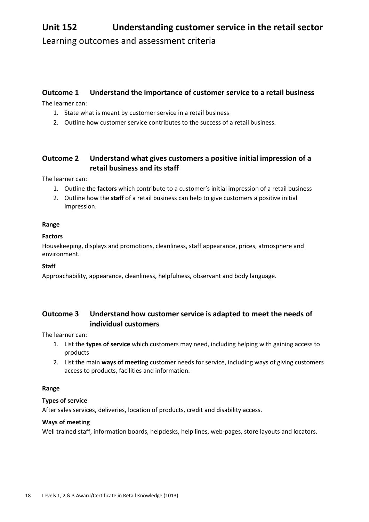Learning outcomes and assessment criteria

## **Outcome 1 Understand the importance of customer service to a retail business**

The learner can:

- 1. State what is meant by customer service in a retail business
- 2. Outline how customer service contributes to the success of a retail business.

# **Outcome 2 Understand what gives customers a positive initial impression of a retail business and its staff**

The learner can:

- 1. Outline the **factors** which contribute to a customer's initial impression of a retail business
- 2. Outline how the **staff** of a retail business can help to give customers a positive initial impression.

#### **Range**

#### **Factors**

Housekeeping, displays and promotions, cleanliness, staff appearance, prices, atmosphere and environment.

#### **Staff**

Approachability, appearance, cleanliness, helpfulness, observant and body language.

## **Outcome 3 Understand how customer service is adapted to meet the needs of individual customers**

The learner can:

- 1. List the **types of service** which customers may need, including helping with gaining access to products
- 2. List the main **ways of meeting** customer needs for service, including ways of giving customers access to products, facilities and information.

#### **Range**

#### **Types of service**

After sales services, deliveries, location of products, credit and disability access.

#### **Ways of meeting**

Well trained staff, information boards, helpdesks, help lines, web-pages, store layouts and locators.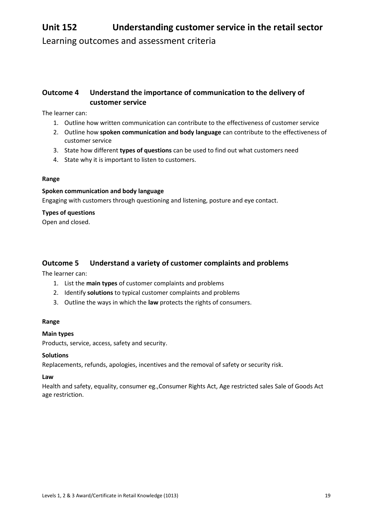# **Unit 152 Understanding customer service in the retail sector**

Learning outcomes and assessment criteria

# **Outcome 4 Understand the importance of communication to the delivery of customer service**

The learner can:

- 1. Outline how written communication can contribute to the effectiveness of customer service
- 2. Outline how **spoken communication and body language** can contribute to the effectiveness of customer service
- 3. State how different **types of questions** can be used to find out what customers need
- 4. State why it is important to listen to customers.

#### **Range**

#### **Spoken communication and body language**

Engaging with customers through questioning and listening, posture and eye contact.

#### **Types of questions**

Open and closed.

### **Outcome 5 Understand a variety of customer complaints and problems**

The learner can:

- 1. List the **main types** of customer complaints and problems
- 2. Identify **solutions** to typical customer complaints and problems
- 3. Outline the ways in which the **law** protects the rights of consumers.

#### **Range**

#### **Main types**

Products, service, access, safety and security.

#### **Solutions**

Replacements, refunds, apologies, incentives and the removal of safety or security risk.

#### **Law**

Health and safety, equality, consumer eg.,Consumer Rights Act, Age restricted sales Sale of Goods Act age restriction.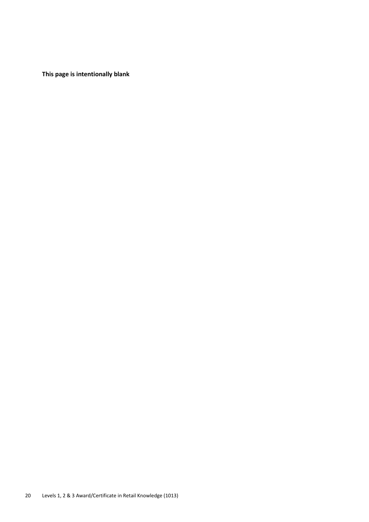**This page is intentionally blank**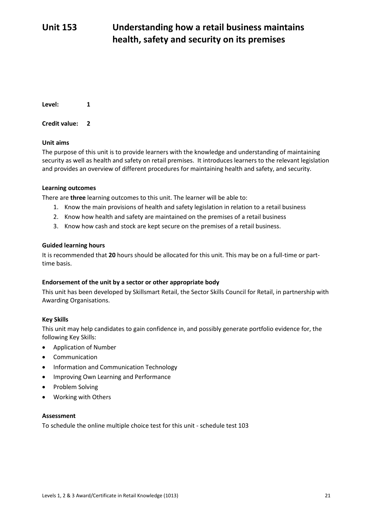# **Unit 153 Understanding how a retail business maintains health, safety and security on its premises**

**Level: 1**

**Credit value: 2**

#### **Unit aims**

The purpose of this unit is to provide learners with the knowledge and understanding of maintaining security as well as health and safety on retail premises. It introduces learners to the relevant legislation and provides an overview of different procedures for maintaining health and safety, and security.

#### **Learning outcomes**

There are **three** learning outcomes to this unit. The learner will be able to:

- 1. Know the main provisions of health and safety legislation in relation to a retail business
- 2. Know how health and safety are maintained on the premises of a retail business
- 3. Know how cash and stock are kept secure on the premises of a retail business.

#### **Guided learning hours**

It is recommended that **20** hours should be allocated for this unit. This may be on a full-time or parttime basis.

#### **Endorsement of the unit by a sector or other appropriate body**

This unit has been developed by Skillsmart Retail, the Sector Skills Council for Retail, in partnership with Awarding Organisations.

#### **Key Skills**

This unit may help candidates to gain confidence in, and possibly generate portfolio evidence for, the following Key Skills:

- Application of Number
- Communication
- Information and Communication Technology
- Improving Own Learning and Performance
- Problem Solving
- Working with Others

#### **Assessment**

To schedule the online multiple choice test for this unit - schedule test 103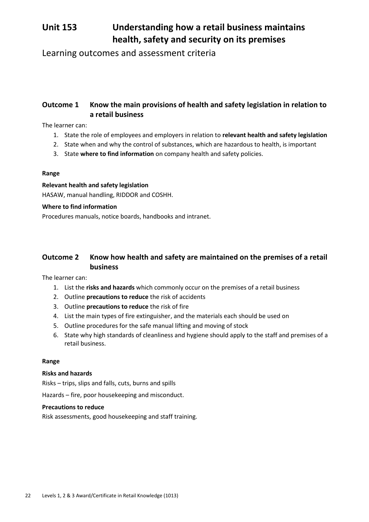# **Unit 153 Understanding how a retail business maintains health, safety and security on its premises**

Learning outcomes and assessment criteria

# **Outcome 1 Know the main provisions of health and safety legislation in relation to a retail business**

The learner can:

- 1. State the role of employees and employers in relation to **relevant health and safety legislation**
- 2. State when and why the control of substances, which are hazardous to health, is important
- 3. State **where to find information** on company health and safety policies.

#### **Range**

#### **Relevant health and safety legislation**

HASAW, manual handling, RIDDOR and COSHH.

#### **Where to find information**

Procedures manuals, notice boards, handbooks and intranet.

# **Outcome 2 Know how health and safety are maintained on the premises of a retail business**

The learner can:

- 1. List the **risks and hazards** which commonly occur on the premises of a retail business
- 2. Outline **precautions to reduce** the risk of accidents
- 3. Outline **precautions to reduce** the risk of fire
- 4. List the main types of fire extinguisher, and the materials each should be used on
- 5. Outline procedures for the safe manual lifting and moving of stock
- 6. State why high standards of cleanliness and hygiene should apply to the staff and premises of a retail business.

#### **Range**

#### **Risks and hazards**

Risks – trips, slips and falls, cuts, burns and spills

Hazards – fire, poor housekeeping and misconduct.

#### **Precautions to reduce**

Risk assessments, good housekeeping and staff training.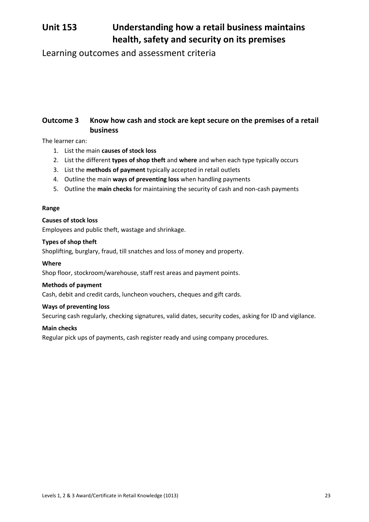# **Unit 153 Understanding how a retail business maintains health, safety and security on its premises**

Learning outcomes and assessment criteria

# **Outcome 3 Know how cash and stock are kept secure on the premises of a retail business**

The learner can:

- 1. List the main **causes of stock loss**
- 2. List the different **types of shop theft** and **where** and when each type typically occurs
- 3. List the **methods of payment** typically accepted in retail outlets
- 4. Outline the main **ways of preventing loss** when handling payments
- 5. Outline the **main checks** for maintaining the security of cash and non-cash payments

#### **Range**

#### **Causes of stock loss**

Employees and public theft, wastage and shrinkage.

#### **Types of shop theft**

Shoplifting, burglary, fraud, till snatches and loss of money and property.

#### **Where**

Shop floor, stockroom/warehouse, staff rest areas and payment points.

#### **Methods of payment**

Cash, debit and credit cards, luncheon vouchers, cheques and gift cards.

#### **Ways of preventing loss**

Securing cash regularly, checking signatures, valid dates, security codes, asking for ID and vigilance.

#### **Main checks**

Regular pick ups of payments, cash register ready and using company procedures.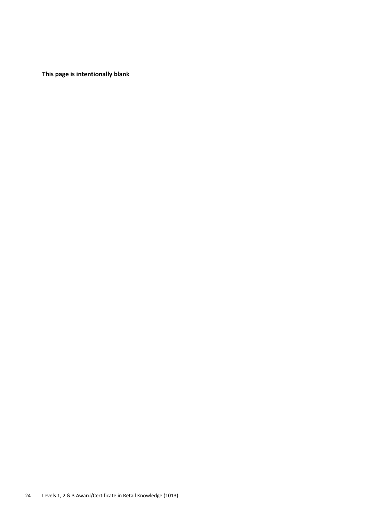**This page is intentionally blank**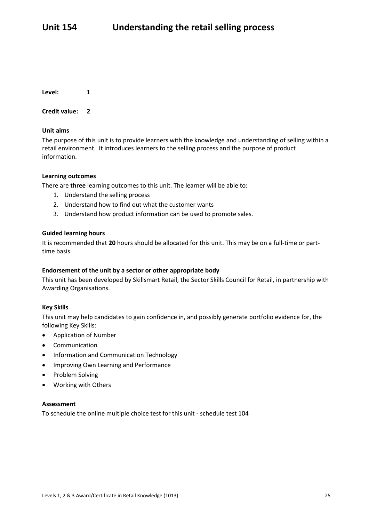**Level: 1**

**Credit value: 2**

#### **Unit aims**

The purpose of this unit is to provide learners with the knowledge and understanding of selling within a retail environment. It introduces learners to the selling process and the purpose of product information.

#### **Learning outcomes**

There are **three** learning outcomes to this unit. The learner will be able to:

- 1. Understand the selling process
- 2. Understand how to find out what the customer wants
- 3. Understand how product information can be used to promote sales.

#### **Guided learning hours**

It is recommended that **20** hours should be allocated for this unit. This may be on a full-time or parttime basis.

#### **Endorsement of the unit by a sector or other appropriate body**

This unit has been developed by Skillsmart Retail, the Sector Skills Council for Retail, in partnership with Awarding Organisations.

#### **Key Skills**

This unit may help candidates to gain confidence in, and possibly generate portfolio evidence for, the following Key Skills:

- Application of Number
- Communication
- Information and Communication Technology
- Improving Own Learning and Performance
- Problem Solving
- Working with Others

#### **Assessment**

To schedule the online multiple choice test for this unit - schedule test 104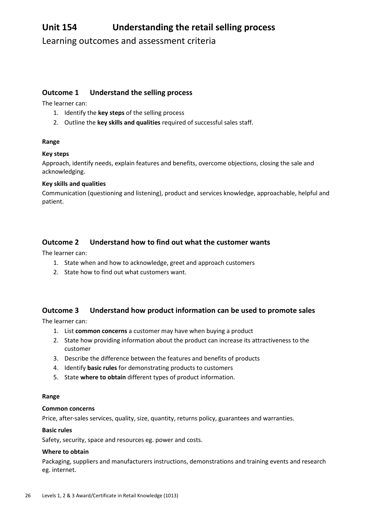# **Unit 154 Understanding the retail selling process**

Learning outcomes and assessment criteria

### **Outcome 1 Understand the selling process**

The learner can:

- 1. Identify the **key steps** of the selling process
- 2. Outline the **key skills and qualities** required of successful sales staff.

#### **Range**

#### **Key steps**

Approach, identify needs, explain features and benefits, overcome objections, closing the sale and acknowledging.

#### **Key skills and qualities**

Communication (questioning and listening), product and services knowledge, approachable, helpful and patient.

#### **Outcome 2 Understand how to find out what the customer wants**

The learner can:

- 1. State when and how to acknowledge, greet and approach customers
- 2. State how to find out what customers want.

#### **Outcome 3 Understand how product information can be used to promote sales**

The learner can:

- 1. List **common concerns** a customer may have when buying a product
- 2. State how providing information about the product can increase its attractiveness to the customer
- 3. Describe the difference between the features and benefits of products
- 4. Identify **basic rules** for demonstrating products to customers
- 5. State **where to obtain** different types of product information.

#### **Range**

#### **Common concerns**

Price, after-sales services, quality, size, quantity, returns policy, guarantees and warranties.

#### **Basic rules**

Safety, security, space and resources eg. power and costs.

#### **Where to obtain**

Packaging, suppliers and manufacturers instructions, demonstrations and training events and research eg. internet.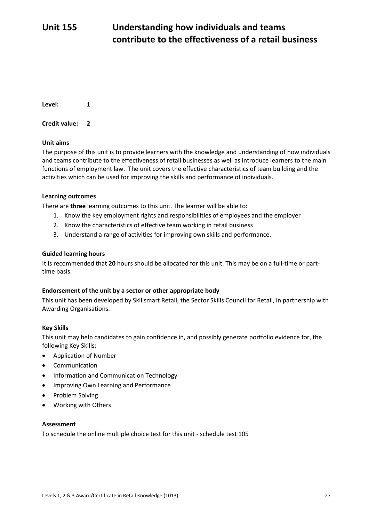# **Unit 155 Understanding how individuals and teams contribute to the effectiveness of a retail business**

**Level: 1**

**Credit value: 2**

#### **Unit aims**

The purpose of this unit is to provide learners with the knowledge and understanding of how individuals and teams contribute to the effectiveness of retail businesses as well as introduce learners to the main functions of employment law. The unit covers the effective characteristics of team building and the activities which can be used for improving the skills and performance of individuals.

#### **Learning outcomes**

There are **three** learning outcomes to this unit. The learner will be able to:

- 1. Know the key employment rights and responsibilities of employees and the employer
- 2. Know the characteristics of effective team working in retail business
- 3. Understand a range of activities for improving own skills and performance.

#### **Guided learning hours**

It is recommended that **20** hours should be allocated for this unit. This may be on a full-time or parttime basis.

#### **Endorsement of the unit by a sector or other appropriate body**

This unit has been developed by Skillsmart Retail, the Sector Skills Council for Retail, in partnership with Awarding Organisations.

#### **Key Skills**

This unit may help candidates to gain confidence in, and possibly generate portfolio evidence for, the following Key Skills:

- Application of Number
- **Communication**
- Information and Communication Technology
- Improving Own Learning and Performance
- Problem Solving
- Working with Others

#### **Assessment**

To schedule the online multiple choice test for this unit - schedule test 105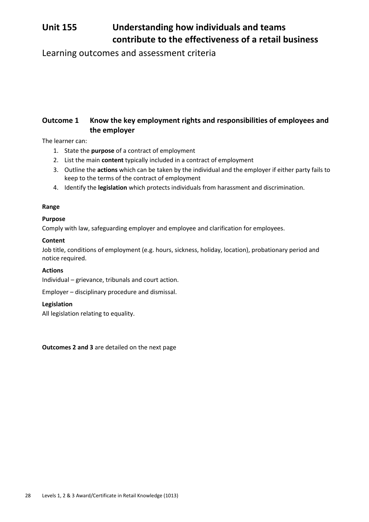# **Unit 155 Understanding how individuals and teams contribute to the effectiveness of a retail business**

Learning outcomes and assessment criteria

# **Outcome 1 Know the key employment rights and responsibilities of employees and the employer**

The learner can:

- 1. State the **purpose** of a contract of employment
- 2. List the main **content** typically included in a contract of employment
- 3. Outline the **actions** which can be taken by the individual and the employer if either party fails to keep to the terms of the contract of employment
- 4. Identify the **legislation** which protects individuals from harassment and discrimination.

#### **Range**

#### **Purpose**

Comply with law, safeguarding employer and employee and clarification for employees.

#### **Content**

Job title, conditions of employment (e.g. hours, sickness, holiday, location), probationary period and notice required.

### **Actions**

Individual – grievance, tribunals and court action.

Employer – disciplinary procedure and dismissal.

#### **Legislation**

All legislation relating to equality.

**Outcomes 2 and 3** are detailed on the next page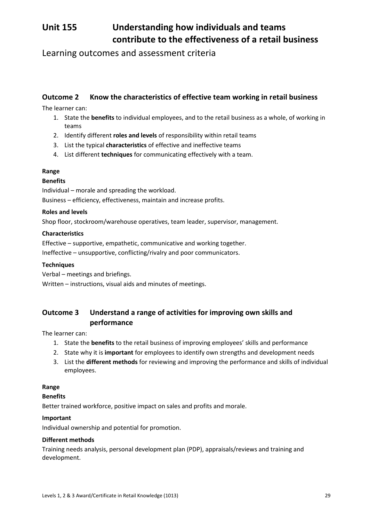# **Unit 155 Understanding how individuals and teams contribute to the effectiveness of a retail business**

Learning outcomes and assessment criteria

### **Outcome 2 Know the characteristics of effective team working in retail business**

The learner can:

- 1. State the **benefits** to individual employees, and to the retail business as a whole, of working in teams
- 2. Identify different **roles and levels** of responsibility within retail teams
- 3. List the typical **characteristics** of effective and ineffective teams
- 4. List different **techniques** for communicating effectively with a team.

#### **Range**

#### **Benefits**

Individual – morale and spreading the workload.

Business – efficiency, effectiveness, maintain and increase profits.

#### **Roles and levels**

Shop floor, stockroom/warehouse operatives, team leader, supervisor, management.

#### **Characteristics**

Effective – supportive, empathetic, communicative and working together.

Ineffective – unsupportive, conflicting/rivalry and poor communicators.

#### **Techniques**

Verbal – meetings and briefings.

Written – instructions, visual aids and minutes of meetings.

# **Outcome 3 Understand a range of activities for improving own skills and performance**

The learner can:

- 1. State the **benefits** to the retail business of improving employees' skills and performance
- 2. State why it is **important** for employees to identify own strengths and development needs
- 3. List the **different methods** for reviewing and improving the performance and skills of individual employees.

#### **Range**

#### **Benefits**

Better trained workforce, positive impact on sales and profits and morale.

#### **Important**

Individual ownership and potential for promotion.

#### **Different methods**

Training needs analysis, personal development plan (PDP), appraisals/reviews and training and development.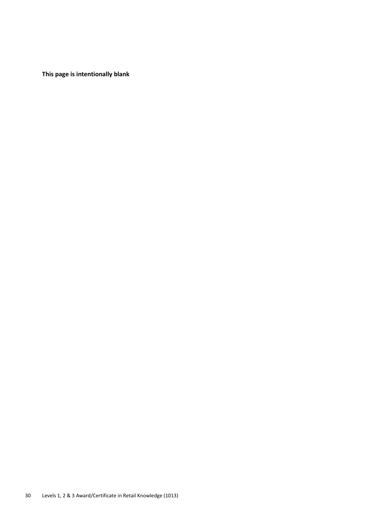**This page is intentionally blank**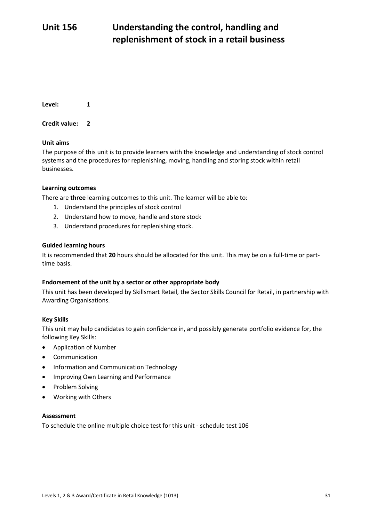# **Unit 156 Understanding the control, handling and replenishment of stock in a retail business**

**Level: 1**

**Credit value: 2**

#### **Unit aims**

The purpose of this unit is to provide learners with the knowledge and understanding of stock control systems and the procedures for replenishing, moving, handling and storing stock within retail businesses.

#### **Learning outcomes**

There are **three** learning outcomes to this unit. The learner will be able to:

- 1. Understand the principles of stock control
- 2. Understand how to move, handle and store stock
- 3. Understand procedures for replenishing stock.

#### **Guided learning hours**

It is recommended that **20** hours should be allocated for this unit. This may be on a full-time or parttime basis.

#### **Endorsement of the unit by a sector or other appropriate body**

This unit has been developed by Skillsmart Retail, the Sector Skills Council for Retail, in partnership with Awarding Organisations.

#### **Key Skills**

This unit may help candidates to gain confidence in, and possibly generate portfolio evidence for, the following Key Skills:

- Application of Number
- Communication
- Information and Communication Technology
- Improving Own Learning and Performance
- Problem Solving
- Working with Others

#### **Assessment**

To schedule the online multiple choice test for this unit - schedule test 106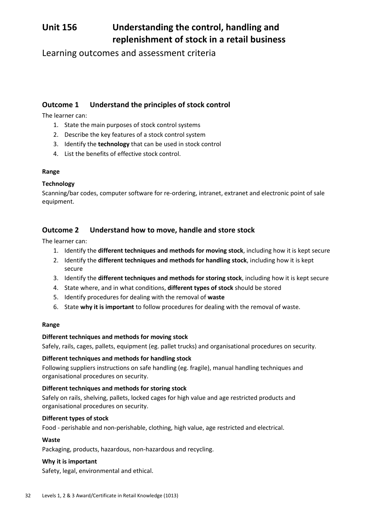# **Unit 156 Understanding the control, handling and replenishment of stock in a retail business**

Learning outcomes and assessment criteria

## **Outcome 1 Understand the principles of stock control**

The learner can:

- 1. State the main purposes of stock control systems
- 2. Describe the key features of a stock control system
- 3. Identify the **technology** that can be used in stock control
- 4. List the benefits of effective stock control.

#### **Range**

#### **Technology**

Scanning/bar codes, computer software for re-ordering, intranet, extranet and electronic point of sale equipment.

## **Outcome 2 Understand how to move, handle and store stock**

The learner can:

- 1. Identify the **different techniques and methods for moving stock**, including how it is kept secure
- 2. Identify the **different techniques and methods for handling stock**, including how it is kept secure
- 3. Identify the **different techniques and methods for storing stock**, including how it is kept secure
- 4. State where, and in what conditions, **different types of stock** should be stored
- 5. Identify procedures for dealing with the removal of **waste**
- 6. State **why it is important** to follow procedures for dealing with the removal of waste.

#### **Range**

#### **Different techniques and methods for moving stock**

Safely, rails, cages, pallets, equipment (eg. pallet trucks) and organisational procedures on security.

#### **Different techniques and methods for handling stock**

Following suppliers instructions on safe handling (eg. fragile), manual handling techniques and organisational procedures on security.

#### **Different techniques and methods for storing stock**

Safely on rails, shelving, pallets, locked cages for high value and age restricted products and organisational procedures on security.

#### **Different types of stock**

Food - perishable and non-perishable, clothing, high value, age restricted and electrical.

#### **Waste**

Packaging, products, hazardous, non-hazardous and recycling.

#### **Why it is important**

Safety, legal, environmental and ethical.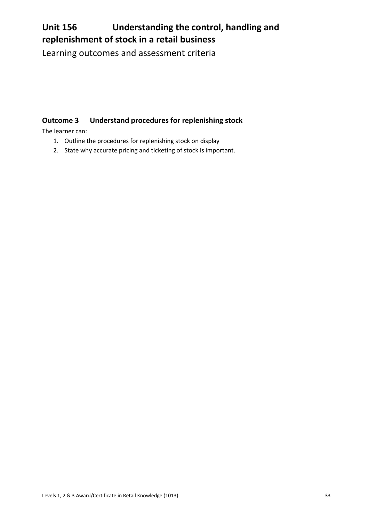## **Unit 156 Understanding the control, handling and replenishment of stock in a retail business**

Learning outcomes and assessment criteria

## **Outcome 3 Understand procedures for replenishing stock**

The learner can:

- 1. Outline the procedures for replenishing stock on display
- 2. State why accurate pricing and ticketing of stock is important.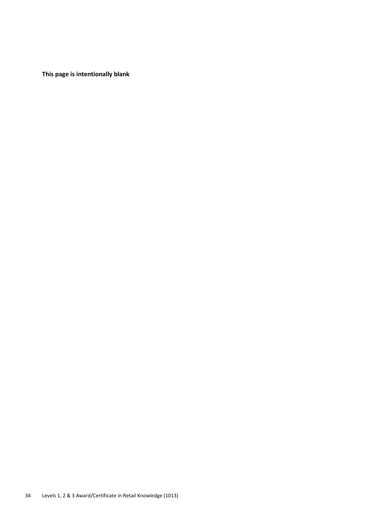**This page is intentionally blank**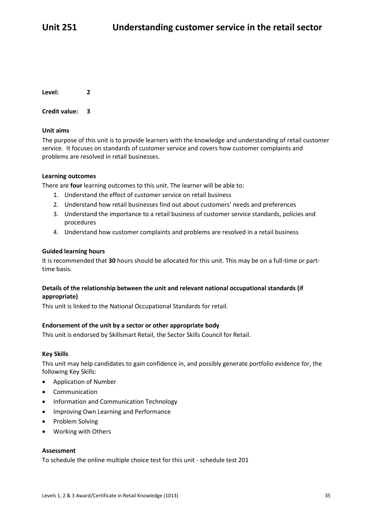**Level: 2**

**Credit value: 3**

#### **Unit aims**

The purpose of this unit is to provide learners with the knowledge and understanding of retail customer service. It focuses on standards of customer service and covers how customer complaints and problems are resolved in retail businesses.

#### **Learning outcomes**

There are **four** learning outcomes to this unit. The learner will be able to:

- 1. Understand the effect of customer service on retail business
- 2. Understand how retail businesses find out about customers' needs and preferences
- 3. Understand the importance to a retail business of customer service standards, policies and procedures
- 4. Understand how customer complaints and problems are resolved in a retail business

#### **Guided learning hours**

It is recommended that **30** hours should be allocated for this unit. This may be on a full-time or parttime basis.

#### **Details of the relationship between the unit and relevant national occupational standards (if appropriate)**

This unit is linked to the National Occupational Standards for retail.

#### **Endorsement of the unit by a sector or other appropriate body**

This unit is endorsed by Skillsmart Retail, the Sector Skills Council for Retail.

#### **Key Skills**

This unit may help candidates to gain confidence in, and possibly generate portfolio evidence for, the following Key Skills:

- Application of Number
- Communication
- Information and Communication Technology
- Improving Own Learning and Performance
- Problem Solving
- Working with Others

#### **Assessment**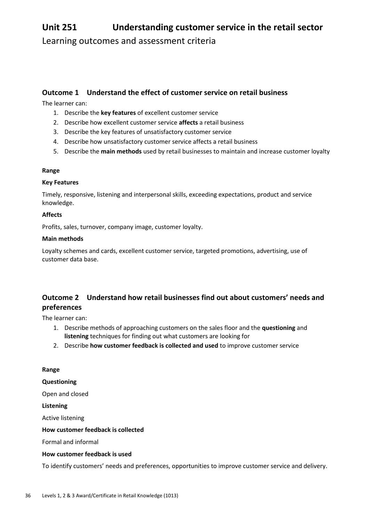# **Unit 251 Understanding customer service in the retail sector**

Learning outcomes and assessment criteria

### **Outcome 1 Understand the effect of customer service on retail business**

The learner can:

- 1. Describe the **key features** of excellent customer service
- 2. Describe how excellent customer service **affects** a retail business
- 3. Describe the key features of unsatisfactory customer service
- 4. Describe how unsatisfactory customer service affects a retail business
- 5. Describe the **main methods** used by retail businesses to maintain and increase customer loyalty

#### **Range**

#### **Key Features**

Timely, responsive, listening and interpersonal skills, exceeding expectations, product and service knowledge.

#### **Affects**

Profits, sales, turnover, company image, customer loyalty.

#### **Main methods**

Loyalty schemes and cards, excellent customer service, targeted promotions, advertising, use of customer data base.

### **Outcome 2 Understand how retail businesses find out about customers' needs and preferences**

The learner can:

- 1. Describe methods of approaching customers on the sales floor and the **questioning** and **listening** techniques for finding out what customers are looking for
- 2. Describe **how customer feedback is collected and used** to improve customer service

**Range**

#### **Questioning**

Open and closed

**Listening**

Active listening

#### **How customer feedback is collected**

Formal and informal

#### **How customer feedback is used**

To identify customers' needs and preferences, opportunities to improve customer service and delivery.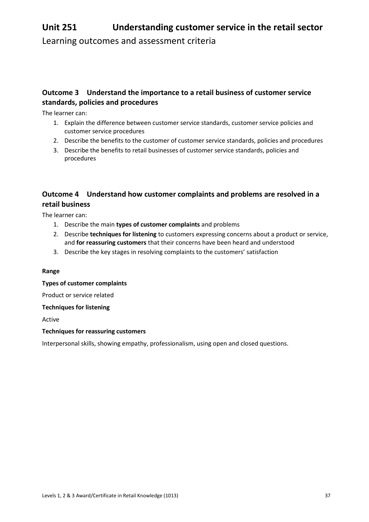# **Unit 251 Understanding customer service in the retail sector**

Learning outcomes and assessment criteria

## **Outcome 3 Understand the importance to a retail business of customer service standards, policies and procedures**

The learner can:

- 1. Explain the difference between customer service standards, customer service policies and customer service procedures
- 2. Describe the benefits to the customer of customer service standards, policies and procedures
- 3. Describe the benefits to retail businesses of customer service standards, policies and procedures

## **Outcome 4 Understand how customer complaints and problems are resolved in a retail business**

The learner can:

- 1. Describe the main **types of customer complaints** and problems
- 2. Describe **techniques for listening** to customers expressing concerns about a product or service, and **for reassuring customers** that their concerns have been heard and understood
- 3. Describe the key stages in resolving complaints to the customers' satisfaction

#### **Range**

#### **Types of customer complaints**

Product or service related

#### **Techniques for listening**

Active

#### **Techniques for reassuring customers**

Interpersonal skills, showing empathy, professionalism, using open and closed questions.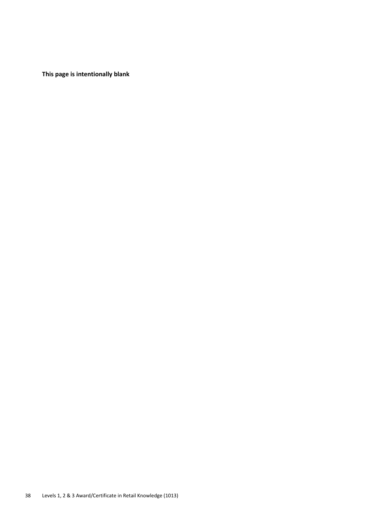**This page is intentionally blank**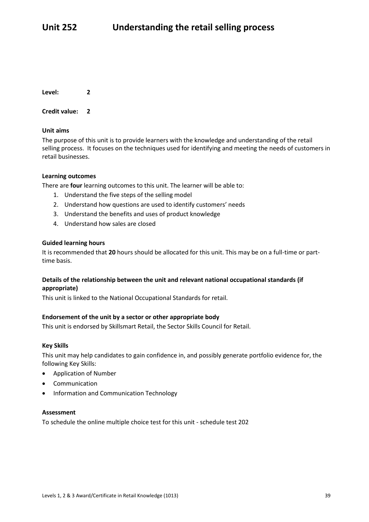**Level: 2**

**Credit value: 2**

#### **Unit aims**

The purpose of this unit is to provide learners with the knowledge and understanding of the retail selling process. It focuses on the techniques used for identifying and meeting the needs of customers in retail businesses.

#### **Learning outcomes**

There are **four** learning outcomes to this unit. The learner will be able to:

- 1. Understand the five steps of the selling model
- 2. Understand how questions are used to identify customers' needs
- 3. Understand the benefits and uses of product knowledge
- 4. Understand how sales are closed

#### **Guided learning hours**

It is recommended that **20** hours should be allocated for this unit. This may be on a full-time or parttime basis.

#### **Details of the relationship between the unit and relevant national occupational standards (if appropriate)**

This unit is linked to the National Occupational Standards for retail.

#### **Endorsement of the unit by a sector or other appropriate body**

This unit is endorsed by Skillsmart Retail, the Sector Skills Council for Retail.

#### **Key Skills**

This unit may help candidates to gain confidence in, and possibly generate portfolio evidence for, the following Key Skills:

- Application of Number
- **Communication**
- Information and Communication Technology

#### **Assessment**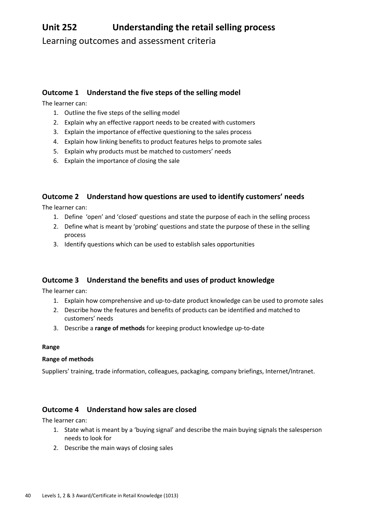## **Unit 252 Understanding the retail selling process**

Learning outcomes and assessment criteria

### **Outcome 1 Understand the five steps of the selling model**

The learner can:

- 1. Outline the five steps of the selling model
- 2. Explain why an effective rapport needs to be created with customers
- 3. Explain the importance of effective questioning to the sales process
- 4. Explain how linking benefits to product features helps to promote sales
- 5. Explain why products must be matched to customers' needs
- 6. Explain the importance of closing the sale

#### **Outcome 2 Understand how questions are used to identify customers' needs**

The learner can:

- 1. Define 'open' and 'closed' questions and state the purpose of each in the selling process
- 2. Define what is meant by 'probing' questions and state the purpose of these in the selling process
- 3. Identify questions which can be used to establish sales opportunities

### **Outcome 3 Understand the benefits and uses of product knowledge**

The learner can:

- 1. Explain how comprehensive and up-to-date product knowledge can be used to promote sales
- 2. Describe how the features and benefits of products can be identified and matched to customers' needs
- 3. Describe a **range of methods** for keeping product knowledge up-to-date

#### **Range**

#### **Range of methods**

Suppliers' training, trade information, colleagues, packaging, company briefings, Internet/Intranet.

#### **Outcome 4 Understand how sales are closed**

The learner can:

- 1. State what is meant by a 'buying signal' and describe the main buying signals the salesperson needs to look for
- 2. Describe the main ways of closing sales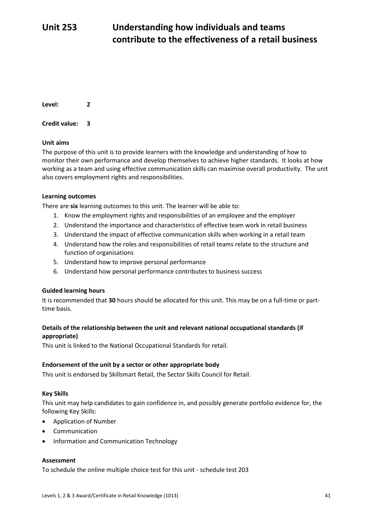**Level: 2**

**Credit value: 3**

#### **Unit aims**

The purpose of this unit is to provide learners with the knowledge and understanding of how to monitor their own performance and develop themselves to achieve higher standards. It looks at how working as a team and using effective communication skills can maximise overall productivity. The unit also covers employment rights and responsibilities.

#### **Learning outcomes**

There are **six** learning outcomes to this unit. The learner will be able to:

- 1. Know the employment rights and responsibilities of an employee and the employer
- 2. Understand the importance and characteristics of effective team work in retail business
- 3. Understand the impact of effective communication skills when working in a retail team
- 4. Understand how the roles and responsibilities of retail teams relate to the structure and function of organisations
- 5. Understand how to improve personal performance
- 6. Understand how personal performance contributes to business success

#### **Guided learning hours**

It is recommended that **30** hours should be allocated for this unit. This may be on a full-time or parttime basis.

#### **Details of the relationship between the unit and relevant national occupational standards (if appropriate)**

This unit is linked to the National Occupational Standards for retail.

#### **Endorsement of the unit by a sector or other appropriate body**

This unit is endorsed by Skillsmart Retail, the Sector Skills Council for Retail.

#### **Key Skills**

This unit may help candidates to gain confidence in, and possibly generate portfolio evidence for, the following Key Skills:

- Application of Number
- **Communication**
- Information and Communication Technology

#### **Assessment**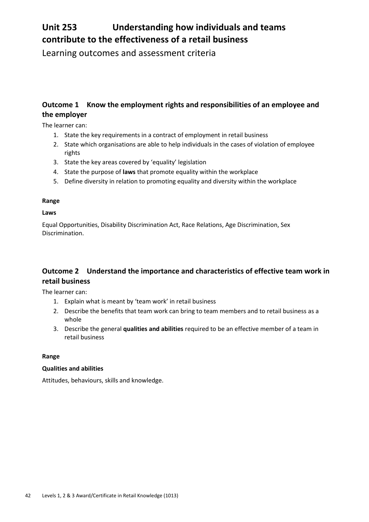Learning outcomes and assessment criteria

## **Outcome 1 Know the employment rights and responsibilities of an employee and the employer**

The learner can:

- 1. State the key requirements in a contract of employment in retail business
- 2. State which organisations are able to help individuals in the cases of violation of employee rights
- 3. State the key areas covered by 'equality' legislation
- 4. State the purpose of **laws** that promote equality within the workplace
- 5. Define diversity in relation to promoting equality and diversity within the workplace

#### **Range**

#### **Laws**

Equal Opportunities, Disability Discrimination Act, Race Relations, Age Discrimination, Sex Discrimination.

### **Outcome 2 Understand the importance and characteristics of effective team work in retail business**

The learner can:

- 1. Explain what is meant by 'team work' in retail business
- 2. Describe the benefits that team work can bring to team members and to retail business as a whole
- 3. Describe the general **qualities and abilities** required to be an effective member of a team in retail business

#### **Range**

#### **Qualities and abilities**

Attitudes, behaviours, skills and knowledge.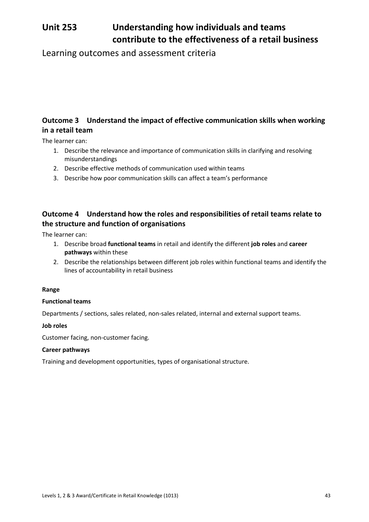Learning outcomes and assessment criteria

## **Outcome 3 Understand the impact of effective communication skills when working in a retail team**

The learner can:

- 1. Describe the relevance and importance of communication skills in clarifying and resolving misunderstandings
- 2. Describe effective methods of communication used within teams
- 3. Describe how poor communication skills can affect a team's performance

## **Outcome 4 Understand how the roles and responsibilities of retail teams relate to the structure and function of organisations**

The learner can:

- 1. Describe broad **functional teams** in retail and identify the different **job roles** and **career pathways** within these
- 2. Describe the relationships between different job roles within functional teams and identify the lines of accountability in retail business

#### **Range**

#### **Functional teams**

Departments / sections, sales related, non-sales related, internal and external support teams.

#### **Job roles**

Customer facing, non-customer facing.

#### **Career pathways**

Training and development opportunities, types of organisational structure.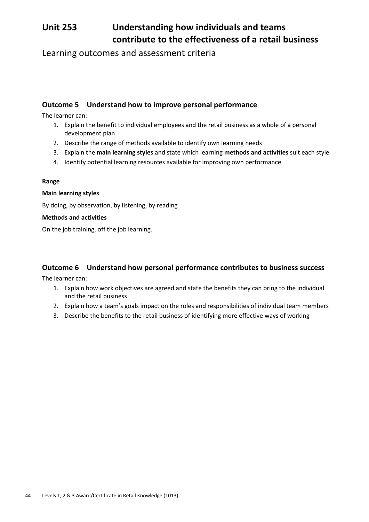Learning outcomes and assessment criteria

### **Outcome 5 Understand how to improve personal performance**

The learner can:

- 1. Explain the benefit to individual employees and the retail business as a whole of a personal development plan
- 2. Describe the range of methods available to identify own learning needs
- 3. Explain the **main learning styles** and state which learning **methods and activities** suit each style
- 4. Identify potential learning resources available for improving own performance

#### **Range**

#### **Main learning styles**

By doing, by observation, by listening, by reading

#### **Methods and activities**

On the job training, off the job learning.

### **Outcome 6 Understand how personal performance contributes to business success**

The learner can:

- 1. Explain how work objectives are agreed and state the benefits they can bring to the individual and the retail business
- 2. Explain how a team's goals impact on the roles and responsibilities of individual team members
- 3. Describe the benefits to the retail business of identifying more effective ways of working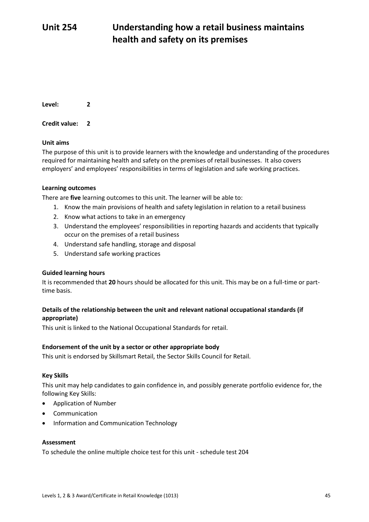**Level: 2**

**Credit value: 2**

#### **Unit aims**

The purpose of this unit is to provide learners with the knowledge and understanding of the procedures required for maintaining health and safety on the premises of retail businesses. It also covers employers' and employees' responsibilities in terms of legislation and safe working practices.

#### **Learning outcomes**

There are **five** learning outcomes to this unit. The learner will be able to:

- 1. Know the main provisions of health and safety legislation in relation to a retail business
- 2. Know what actions to take in an emergency
- 3. Understand the employees' responsibilities in reporting hazards and accidents that typically occur on the premises of a retail business
- 4. Understand safe handling, storage and disposal
- 5. Understand safe working practices

#### **Guided learning hours**

It is recommended that **20** hours should be allocated for this unit. This may be on a full-time or parttime basis.

#### **Details of the relationship between the unit and relevant national occupational standards (if appropriate)**

This unit is linked to the National Occupational Standards for retail.

#### **Endorsement of the unit by a sector or other appropriate body**

This unit is endorsed by Skillsmart Retail, the Sector Skills Council for Retail.

#### **Key Skills**

This unit may help candidates to gain confidence in, and possibly generate portfolio evidence for, the following Key Skills:

- Application of Number
- Communication
- Information and Communication Technology

#### **Assessment**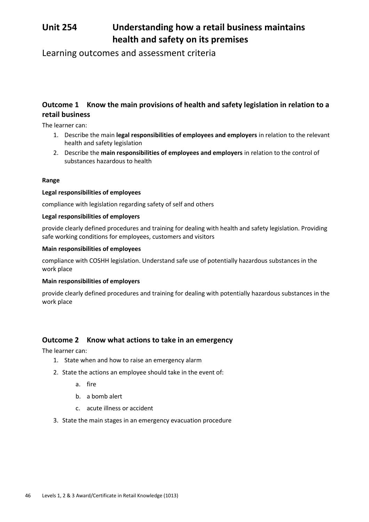Learning outcomes and assessment criteria

## **Outcome 1 Know the main provisions of health and safety legislation in relation to a retail business**

The learner can:

- 1. Describe the main **legal responsibilities of employees and employers** in relation to the relevant health and safety legislation
- 2. Describe the **main responsibilities of employees and employers** in relation to the control of substances hazardous to health

#### **Range**

#### **Legal responsibilities of employees**

compliance with legislation regarding safety of self and others

#### **Legal responsibilities of employers**

provide clearly defined procedures and training for dealing with health and safety legislation. Providing safe working conditions for employees, customers and visitors

#### **Main responsibilities of employees**

compliance with COSHH legislation. Understand safe use of potentially hazardous substances in the work place

#### **Main responsibilities of employers**

provide clearly defined procedures and training for dealing with potentially hazardous substances in the work place

#### **Outcome 2 Know what actions to take in an emergency**

The learner can:

- 1. State when and how to raise an emergency alarm
- 2. State the actions an employee should take in the event of:
	- a. fire
	- b. a bomb alert
	- c. acute illness or accident
- 3. State the main stages in an emergency evacuation procedure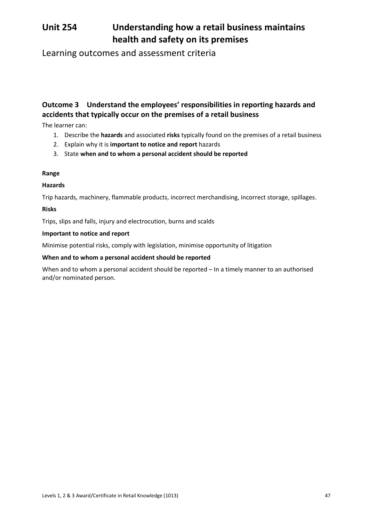Learning outcomes and assessment criteria

## **Outcome 3 Understand the employees' responsibilities in reporting hazards and accidents that typically occur on the premises of a retail business**

The learner can:

- 1. Describe the **hazards** and associated **risks** typically found on the premises of a retail business
- 2. Explain why it is **important to notice and report** hazards
- 3. State **when and to whom a personal accident should be reported**

#### **Range**

#### **Hazards**

Trip hazards, machinery, flammable products, incorrect merchandising, incorrect storage, spillages.

#### **Risks**

Trips, slips and falls, injury and electrocution, burns and scalds

#### **Important to notice and report**

Minimise potential risks, comply with legislation, minimise opportunity of litigation

#### **When and to whom a personal accident should be reported**

When and to whom a personal accident should be reported – In a timely manner to an authorised and/or nominated person.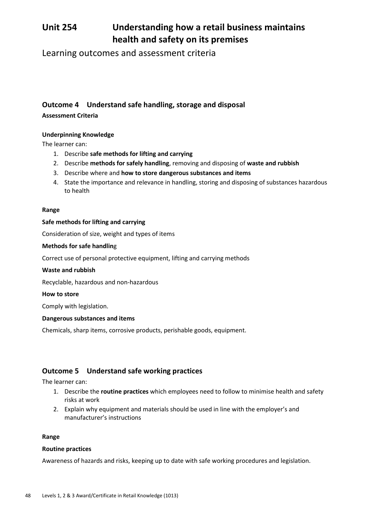Learning outcomes and assessment criteria

### **Outcome 4 Understand safe handling, storage and disposal**

#### **Assessment Criteria**

#### **Underpinning Knowledge**

The learner can:

- 1. Describe **safe methods for lifting and carrying**
- 2. Describe **methods for safely handling**, removing and disposing of **waste and rubbish**
- 3. Describe where and **how to store dangerous substances and items**
- 4. State the importance and relevance in handling, storing and disposing of substances hazardous to health

#### **Range**

#### **Safe methods for lifting and carrying**

Consideration of size, weight and types of items

#### **Methods for safe handlin**g

Correct use of personal protective equipment, lifting and carrying methods

#### **Waste and rubbish**

Recyclable, hazardous and non-hazardous

#### **How to store**

Comply with legislation.

#### **Dangerous substances and items**

Chemicals, sharp items, corrosive products, perishable goods, equipment.

### **Outcome 5 Understand safe working practices**

The learner can:

- 1. Describe the **routine practices** which employees need to follow to minimise health and safety risks at work
- 2. Explain why equipment and materials should be used in line with the employer's and manufacturer's instructions

#### **Range**

#### **Routine practices**

Awareness of hazards and risks, keeping up to date with safe working procedures and legislation.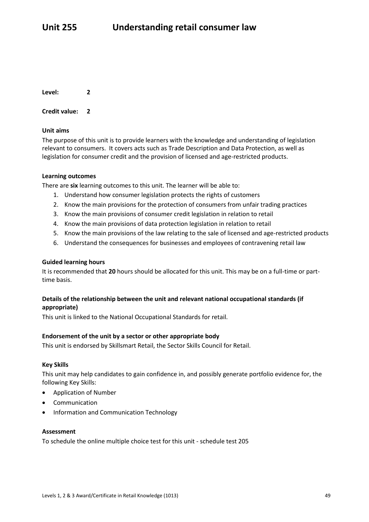**Level: 2**

**Credit value: 2**

#### **Unit aims**

The purpose of this unit is to provide learners with the knowledge and understanding of legislation relevant to consumers. It covers acts such as Trade Description and Data Protection, as well as legislation for consumer credit and the provision of licensed and age-restricted products.

#### **Learning outcomes**

There are **six** learning outcomes to this unit. The learner will be able to:

- 1. Understand how consumer legislation protects the rights of customers
- 2. Know the main provisions for the protection of consumers from unfair trading practices
- 3. Know the main provisions of consumer credit legislation in relation to retail
- 4. Know the main provisions of data protection legislation in relation to retail
- 5. Know the main provisions of the law relating to the sale of licensed and age-restricted products
- 6. Understand the consequences for businesses and employees of contravening retail law

#### **Guided learning hours**

It is recommended that **20** hours should be allocated for this unit. This may be on a full-time or parttime basis.

#### **Details of the relationship between the unit and relevant national occupational standards (if appropriate)**

This unit is linked to the National Occupational Standards for retail.

#### **Endorsement of the unit by a sector or other appropriate body**

This unit is endorsed by Skillsmart Retail, the Sector Skills Council for Retail.

#### **Key Skills**

This unit may help candidates to gain confidence in, and possibly generate portfolio evidence for, the following Key Skills:

- Application of Number
- **Communication**
- Information and Communication Technology

#### **Assessment**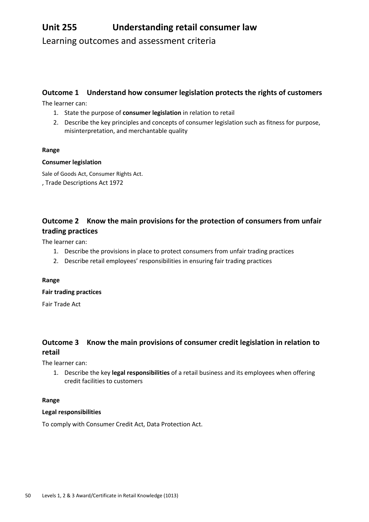## **Unit 255 Understanding retail consumer law**

Learning outcomes and assessment criteria

### **Outcome 1 Understand how consumer legislation protects the rights of customers**

The learner can:

- 1. State the purpose of **consumer legislation** in relation to retail
- 2. Describe the key principles and concepts of consumer legislation such as fitness for purpose, misinterpretation, and merchantable quality

#### **Range**

#### **Consumer legislation**

Sale of Goods Act, Consumer Rights Act. , Trade Descriptions Act 1972

## **Outcome 2 Know the main provisions for the protection of consumers from unfair trading practices**

The learner can:

- 1. Describe the provisions in place to protect consumers from unfair trading practices
- 2. Describe retail employees' responsibilities in ensuring fair trading practices

#### **Range**

**Fair trading practices**

Fair Trade Act

## **Outcome 3 Know the main provisions of consumer credit legislation in relation to retail**

The learner can:

1. Describe the key **legal responsibilities** of a retail business and its employees when offering credit facilities to customers

#### **Range**

#### **Legal responsibilities**

To comply with Consumer Credit Act, Data Protection Act.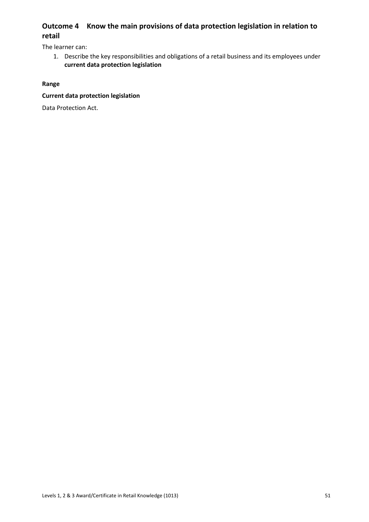## **Outcome 4 Know the main provisions of data protection legislation in relation to retail**

The learner can:

1. Describe the key responsibilities and obligations of a retail business and its employees under **current data protection legislation**

#### **Range**

#### **Current data protection legislation**

Data Protection Act.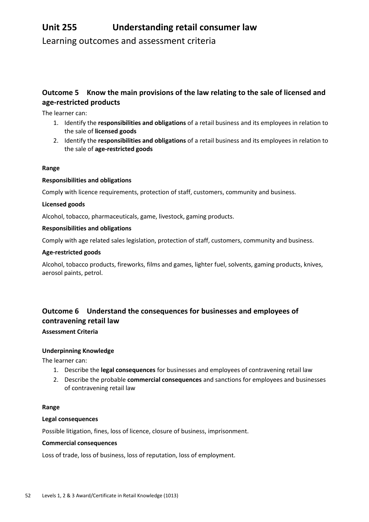## **Unit 255 Understanding retail consumer law**

## Learning outcomes and assessment criteria

## **Outcome 5 Know the main provisions of the law relating to the sale of licensed and age-restricted products**

The learner can:

- 1. Identify the **responsibilities and obligations** of a retail business and its employees in relation to the sale of **licensed goods**
- 2. Identify the **responsibilities and obligations** of a retail business and its employees in relation to the sale of **age-restricted goods**

#### **Range**

#### **Responsibilities and obligations**

Comply with licence requirements, protection of staff, customers, community and business.

#### **Licensed goods**

Alcohol, tobacco, pharmaceuticals, game, livestock, gaming products.

#### **Responsibilities and obligations**

Comply with age related sales legislation, protection of staff, customers, community and business.

#### **Age-restricted goods**

Alcohol, tobacco products, fireworks, films and games, lighter fuel, solvents, gaming products, knives, aerosol paints, petrol.

## **Outcome 6 Understand the consequences for businesses and employees of contravening retail law**

#### **Assessment Criteria**

#### **Underpinning Knowledge**

The learner can:

- 1. Describe the **legal consequences** for businesses and employees of contravening retail law
- 2. Describe the probable **commercial consequences** and sanctions for employees and businesses of contravening retail law

#### **Range**

#### **Legal consequences**

Possible litigation, fines, loss of licence, closure of business, imprisonment.

#### **Commercial consequences**

Loss of trade, loss of business, loss of reputation, loss of employment.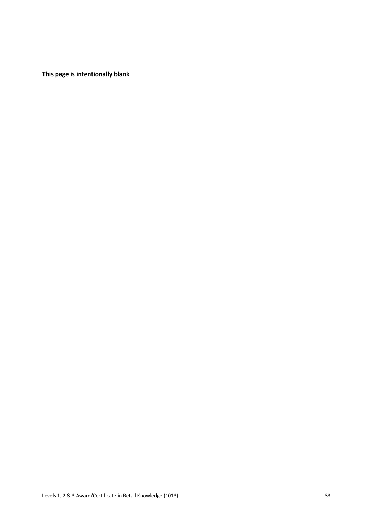**This page is intentionally blank**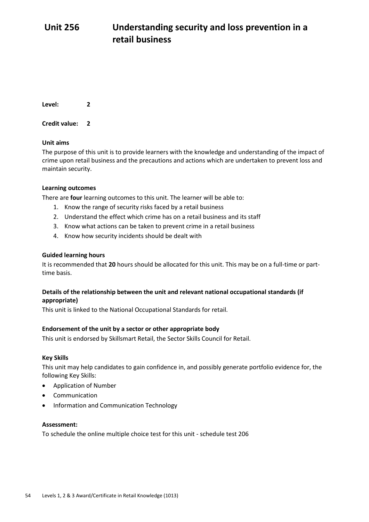## **Unit 256 Understanding security and loss prevention in a retail business**

**Level: 2**

**Credit value: 2**

#### **Unit aims**

The purpose of this unit is to provide learners with the knowledge and understanding of the impact of crime upon retail business and the precautions and actions which are undertaken to prevent loss and maintain security.

#### **Learning outcomes**

There are **four** learning outcomes to this unit. The learner will be able to:

- 1. Know the range of security risks faced by a retail business
- 2. Understand the effect which crime has on a retail business and its staff
- 3. Know what actions can be taken to prevent crime in a retail business
- 4. Know how security incidents should be dealt with

#### **Guided learning hours**

It is recommended that **20** hours should be allocated for this unit. This may be on a full-time or parttime basis.

#### **Details of the relationship between the unit and relevant national occupational standards (if appropriate)**

This unit is linked to the National Occupational Standards for retail.

#### **Endorsement of the unit by a sector or other appropriate body**

This unit is endorsed by Skillsmart Retail, the Sector Skills Council for Retail.

#### **Key Skills**

This unit may help candidates to gain confidence in, and possibly generate portfolio evidence for, the following Key Skills:

- Application of Number
- **Communication**
- Information and Communication Technology

#### **Assessment:**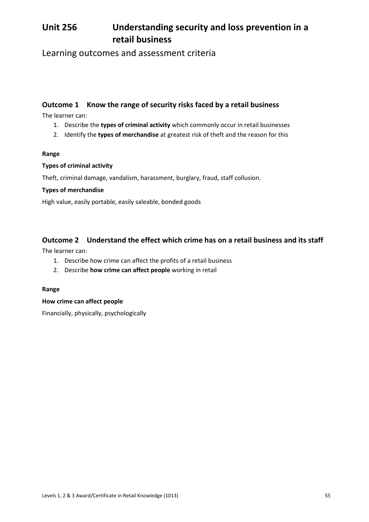## **Unit 256 Understanding security and loss prevention in a retail business**

Learning outcomes and assessment criteria

### **Outcome 1 Know the range of security risks faced by a retail business**

The learner can:

- 1. Describe the **types of criminal activity** which commonly occur in retail businesses
- 2. Identify the **types of merchandise** at greatest risk of theft and the reason for this

#### **Range**

#### **Types of criminal activity**

Theft, criminal damage, vandalism, harassment, burglary, fraud, staff collusion.

#### **Types of merchandise**

High value, easily portable, easily saleable, bonded goods

### **Outcome 2 Understand the effect which crime has on a retail business and its staff**

The learner can:

- 1. Describe how crime can affect the profits of a retail business
- 2. Describe **how crime can affect people** working in retail

#### **Range**

#### **How crime can affect people**

Financially, physically, psychologically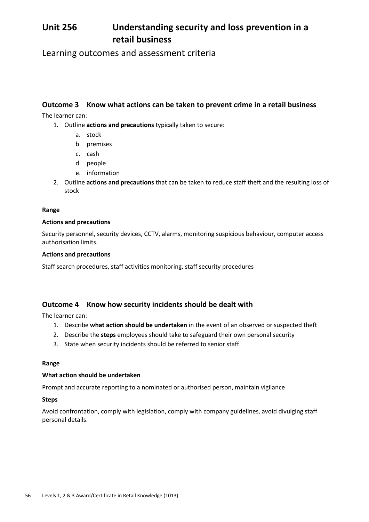## **Unit 256 Understanding security and loss prevention in a retail business**

Learning outcomes and assessment criteria

#### **Outcome 3 Know what actions can be taken to prevent crime in a retail business**

The learner can:

- 1. Outline **actions and precautions** typically taken to secure:
	- a. stock
	- b. premises
	- c. cash
	- d. people
	- e. information
- 2. Outline **actions and precautions** that can be taken to reduce staff theft and the resulting loss of stock

#### **Range**

#### **Actions and precautions**

Security personnel, security devices, CCTV, alarms, monitoring suspicious behaviour, computer access authorisation limits.

#### **Actions and precautions**

Staff search procedures, staff activities monitoring, staff security procedures

#### **Outcome 4 Know how security incidents should be dealt with**

The learner can:

- 1. Describe **what action should be undertaken** in the event of an observed or suspected theft
- 2. Describe the **steps** employees should take to safeguard their own personal security
- 3. State when security incidents should be referred to senior staff

#### **Range**

#### **What action should be undertaken**

Prompt and accurate reporting to a nominated or authorised person, maintain vigilance

#### **Steps**

Avoid confrontation, comply with legislation, comply with company guidelines, avoid divulging staff personal details.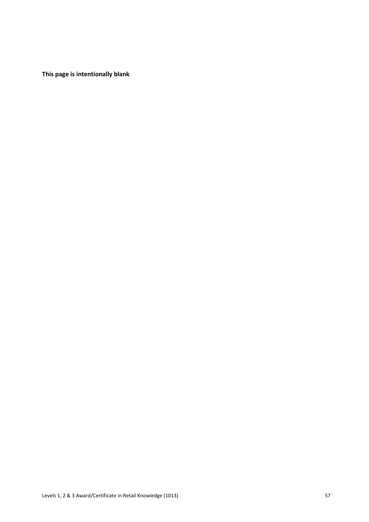**This page is intentionally blank**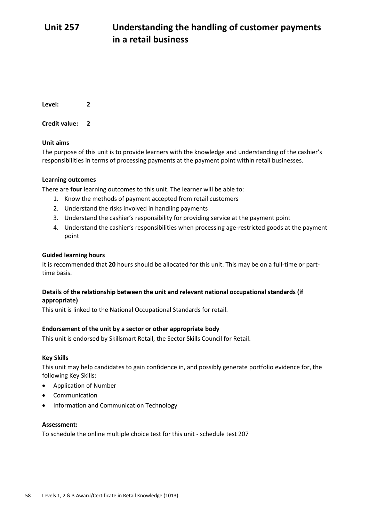## **Unit 257 Understanding the handling of customer payments in a retail business**

**Level: 2**

**Credit value: 2**

#### **Unit aims**

The purpose of this unit is to provide learners with the knowledge and understanding of the cashier's responsibilities in terms of processing payments at the payment point within retail businesses.

#### **Learning outcomes**

There are **four** learning outcomes to this unit. The learner will be able to:

- 1. Know the methods of payment accepted from retail customers
- 2. Understand the risks involved in handling payments
- 3. Understand the cashier's responsibility for providing service at the payment point
- 4. Understand the cashier's responsibilities when processing age-restricted goods at the payment point

#### **Guided learning hours**

It is recommended that **20** hours should be allocated for this unit. This may be on a full-time or parttime basis.

#### **Details of the relationship between the unit and relevant national occupational standards (if appropriate)**

This unit is linked to the National Occupational Standards for retail.

#### **Endorsement of the unit by a sector or other appropriate body**

This unit is endorsed by Skillsmart Retail, the Sector Skills Council for Retail.

#### **Key Skills**

This unit may help candidates to gain confidence in, and possibly generate portfolio evidence for, the following Key Skills:

- Application of Number
- **Communication**
- Information and Communication Technology

#### **Assessment:**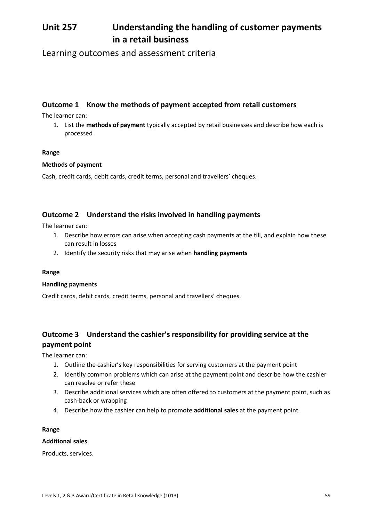## **Unit 257 Understanding the handling of customer payments in a retail business**

Learning outcomes and assessment criteria

### **Outcome 1 Know the methods of payment accepted from retail customers**

The learner can:

1. List the **methods of payment** typically accepted by retail businesses and describe how each is processed

#### **Range**

#### **Methods of payment**

Cash, credit cards, debit cards, credit terms, personal and travellers' cheques.

### **Outcome 2 Understand the risks involved in handling payments**

The learner can:

- 1. Describe how errors can arise when accepting cash payments at the till, and explain how these can result in losses
- 2. Identify the security risks that may arise when **handling payments**

#### **Range**

#### **Handling payments**

Credit cards, debit cards, credit terms, personal and travellers' cheques.

## **Outcome 3 Understand the cashier's responsibility for providing service at the payment point**

The learner can:

- 1. Outline the cashier's key responsibilities for serving customers at the payment point
- 2. Identify common problems which can arise at the payment point and describe how the cashier can resolve or refer these
- 3. Describe additional services which are often offered to customers at the payment point, such as cash-back or wrapping
- 4. Describe how the cashier can help to promote **additional sales** at the payment point

#### **Range**

#### **Additional sales**

Products, services.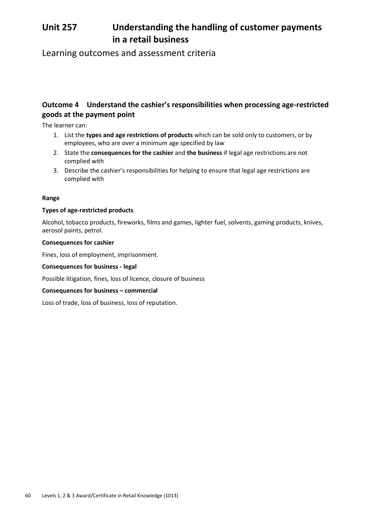## **Unit 257 Understanding the handling of customer payments in a retail business**

Learning outcomes and assessment criteria

## **Outcome 4 Understand the cashier's responsibilities when processing age-restricted goods at the payment point**

The learner can:

- 1. List the **types and age restrictions of products** which can be sold only to customers, or by employees, who are over a minimum age specified by law
- 2. State the **consequences for the cashier** and **the business** if legal age restrictions are not complied with
- 3. Describe the cashier's responsibilities for helping to ensure that legal age restrictions are complied with

#### **Range**

#### **Types of age-restricted products**

Alcohol, tobacco products, fireworks, films and games, lighter fuel, solvents, gaming products, knives, aerosol paints, petrol.

#### **Consequences for cashier**

Fines, loss of employment, imprisonment.

#### **Consequences for business - legal**

Possible litigation, fines, loss of licence, closure of business

#### **Consequences for business – commercial**

Loss of trade, loss of business, loss of reputation.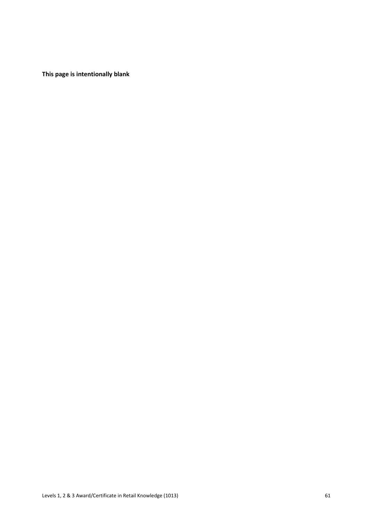**This page is intentionally blank**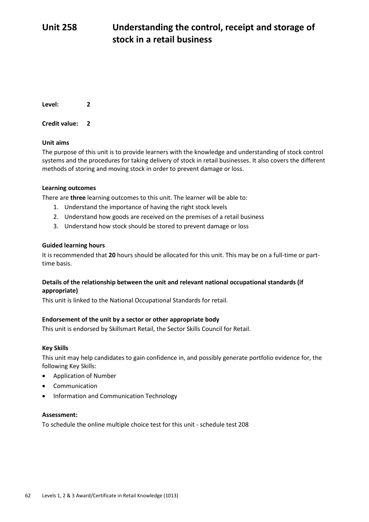## **Unit 258 Understanding the control, receipt and storage of stock in a retail business**

**Level: 2**

**Credit value: 2**

#### **Unit aims**

The purpose of this unit is to provide learners with the knowledge and understanding of stock control systems and the procedures for taking delivery of stock in retail businesses. It also covers the different methods of storing and moving stock in order to prevent damage or loss.

#### **Learning outcomes**

There are **three** learning outcomes to this unit. The learner will be able to:

- 1. Understand the importance of having the right stock levels
- 2. Understand how goods are received on the premises of a retail business
- 3. Understand how stock should be stored to prevent damage or loss

#### **Guided learning hours**

It is recommended that **20** hours should be allocated for this unit. This may be on a full-time or parttime basis.

#### **Details of the relationship between the unit and relevant national occupational standards (if appropriate)**

This unit is linked to the National Occupational Standards for retail.

#### **Endorsement of the unit by a sector or other appropriate body**

This unit is endorsed by Skillsmart Retail, the Sector Skills Council for Retail.

#### **Key Skills**

This unit may help candidates to gain confidence in, and possibly generate portfolio evidence for, the following Key Skills:

- Application of Number
- **Communication**
- Information and Communication Technology

#### **Assessment:**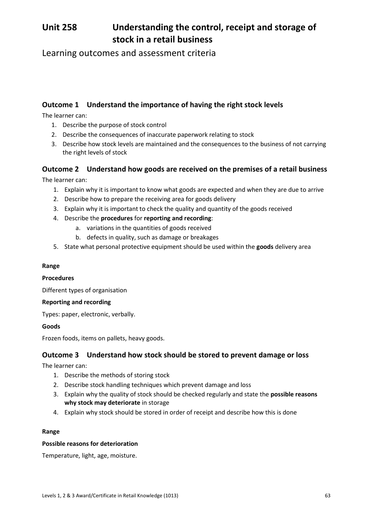## **Unit 258 Understanding the control, receipt and storage of stock in a retail business**

Learning outcomes and assessment criteria

### **Outcome 1 Understand the importance of having the right stock levels**

The learner can:

- 1. Describe the purpose of stock control
- 2. Describe the consequences of inaccurate paperwork relating to stock
- 3. Describe how stock levels are maintained and the consequences to the business of not carrying the right levels of stock

## **Outcome 2 Understand how goods are received on the premises of a retail business**

The learner can:

- 1. Explain why it is important to know what goods are expected and when they are due to arrive
- 2. Describe how to prepare the receiving area for goods delivery
- 3. Explain why it is important to check the quality and quantity of the goods received
- 4. Describe the **procedures** for **reporting and recording**:
	- a. variations in the quantities of goods received
	- b. defects in quality, such as damage or breakages
- 5. State what personal protective equipment should be used within the **goods** delivery area

#### **Range**

#### **Procedures**

Different types of organisation

#### **Reporting and recording**

Types: paper, electronic, verbally.

#### **Goods**

Frozen foods, items on pallets, heavy goods.

### **Outcome 3 Understand how stock should be stored to prevent damage or loss**

The learner can:

- 1. Describe the methods of storing stock
- 2. Describe stock handling techniques which prevent damage and loss
- 3. Explain why the quality of stock should be checked regularly and state the **possible reasons why stock may deteriorate** in storage
- 4. Explain why stock should be stored in order of receipt and describe how this is done

#### **Range**

#### **Possible reasons for deterioration**

Temperature, light, age, moisture.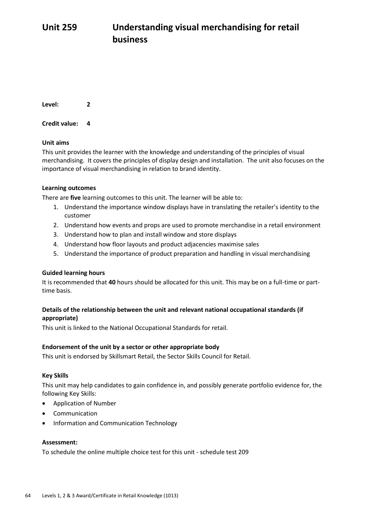## **Unit 259 Understanding visual merchandising for retail business**

**Level: 2**

**Credit value: 4**

#### **Unit aims**

This unit provides the learner with the knowledge and understanding of the principles of visual merchandising. It covers the principles of display design and installation. The unit also focuses on the importance of visual merchandising in relation to brand identity.

#### **Learning outcomes**

There are **five** learning outcomes to this unit. The learner will be able to:

- 1. Understand the importance window displays have in translating the retailer's identity to the customer
- 2. Understand how events and props are used to promote merchandise in a retail environment
- 3. Understand how to plan and install window and store displays
- 4. Understand how floor layouts and product adjacencies maximise sales
- 5. Understand the importance of product preparation and handling in visual merchandising

#### **Guided learning hours**

It is recommended that **40** hours should be allocated for this unit. This may be on a full-time or parttime basis.

#### **Details of the relationship between the unit and relevant national occupational standards (if appropriate)**

This unit is linked to the National Occupational Standards for retail.

#### **Endorsement of the unit by a sector or other appropriate body**

This unit is endorsed by Skillsmart Retail, the Sector Skills Council for Retail.

#### **Key Skills**

This unit may help candidates to gain confidence in, and possibly generate portfolio evidence for, the following Key Skills:

- Application of Number
- Communication
- Information and Communication Technology

#### **Assessment:**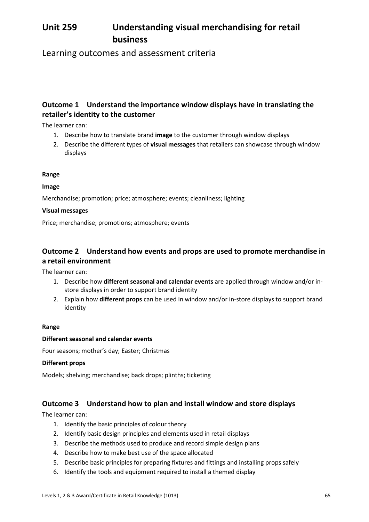## **Unit 259 Understanding visual merchandising for retail business**

Learning outcomes and assessment criteria

## **Outcome 1 Understand the importance window displays have in translating the retailer's identity to the customer**

The learner can:

- 1. Describe how to translate brand **image** to the customer through window displays
- 2. Describe the different types of **visual messages** that retailers can showcase through window displays

#### **Range**

**Image**

Merchandise; promotion; price; atmosphere; events; cleanliness; lighting

#### **Visual messages**

Price; merchandise; promotions; atmosphere; events

### **Outcome 2 Understand how events and props are used to promote merchandise in a retail environment**

The learner can:

- 1. Describe how **different seasonal and calendar events** are applied through window and/or instore displays in order to support brand identity
- 2. Explain how **different props** can be used in window and/or in-store displays to support brand identity

#### **Range**

#### **Different seasonal and calendar events**

Four seasons; mother's day; Easter; Christmas

#### **Different props**

Models; shelving; merchandise; back drops; plinths; ticketing

#### **Outcome 3 Understand how to plan and install window and store displays**

The learner can:

- 1. Identify the basic principles of colour theory
- 2. Identify basic design principles and elements used in retail displays
- 3. Describe the methods used to produce and record simple design plans
- 4. Describe how to make best use of the space allocated
- 5. Describe basic principles for preparing fixtures and fittings and installing props safely
- 6. Identify the tools and equipment required to install a themed display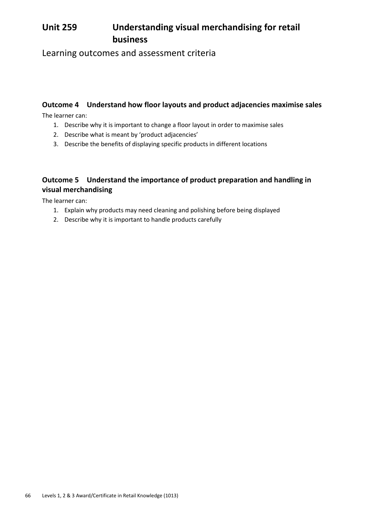## **Unit 259 Understanding visual merchandising for retail business**

Learning outcomes and assessment criteria

### **Outcome 4 Understand how floor layouts and product adjacencies maximise sales**

The learner can:

- 1. Describe why it is important to change a floor layout in order to maximise sales
- 2. Describe what is meant by 'product adjacencies'
- 3. Describe the benefits of displaying specific products in different locations

## **Outcome 5 Understand the importance of product preparation and handling in visual merchandising**

The learner can:

- 1. Explain why products may need cleaning and polishing before being displayed
- 2. Describe why it is important to handle products carefully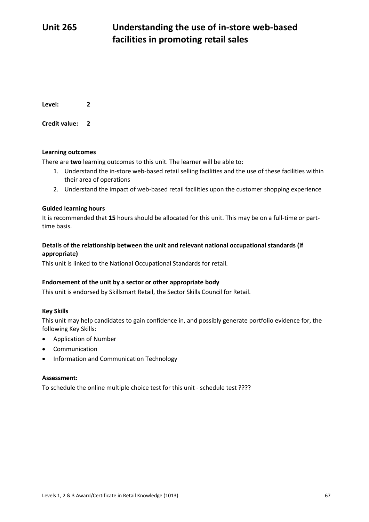## **Unit 265 Understanding the use of in-store web-based facilities in promoting retail sales**

**Level: 2**

**Credit value: 2**

#### **Learning outcomes**

There are **two** learning outcomes to this unit. The learner will be able to:

- 1. Understand the in-store web-based retail selling facilities and the use of these facilities within their area of operations
- 2. Understand the impact of web-based retail facilities upon the customer shopping experience

#### **Guided learning hours**

It is recommended that **15** hours should be allocated for this unit. This may be on a full-time or parttime basis.

#### **Details of the relationship between the unit and relevant national occupational standards (if appropriate)**

This unit is linked to the National Occupational Standards for retail.

#### **Endorsement of the unit by a sector or other appropriate body**

This unit is endorsed by Skillsmart Retail, the Sector Skills Council for Retail.

#### **Key Skills**

This unit may help candidates to gain confidence in, and possibly generate portfolio evidence for, the following Key Skills:

- Application of Number
- **Communication**
- Information and Communication Technology

#### **Assessment:**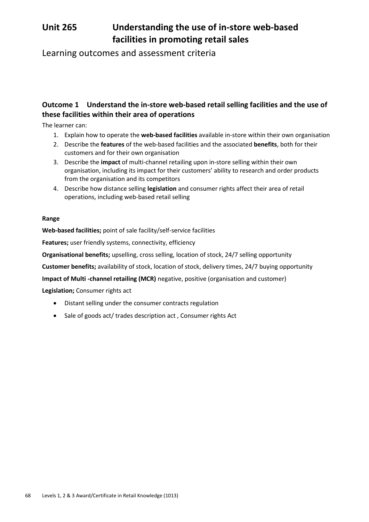## **Unit 265 Understanding the use of in-store web-based facilities in promoting retail sales**

Learning outcomes and assessment criteria

## **Outcome 1 Understand the in-store web-based retail selling facilities and the use of these facilities within their area of operations**

The learner can:

- 1. Explain how to operate the **web-based facilities** available in-store within their own organisation
- 2. Describe the **features** of the web-based facilities and the associated **benefits**, both for their customers and for their own organisation
- 3. Describe the **impact** of multi-channel retailing upon in-store selling within their own organisation, including its impact for their customers' ability to research and order products from the organisation and its competitors
- 4. Describe how distance selling **legislation** and consumer rights affect their area of retail operations, including web-based retail selling

#### **Range**

**Web-based facilities;** point of sale facility/self-service facilities

**Features;** user friendly systems, connectivity, efficiency

**Organisational benefits;** upselling, cross selling, location of stock, 24/7 selling opportunity

**Customer benefits;** availability of stock, location of stock, delivery times, 24/7 buying opportunity

**Impact of Multi -channel retailing (MCR)** negative, positive (organisation and customer)

**Legislation;** Consumer rights act

- Distant selling under the consumer contracts regulation
- Sale of goods act/ trades description act, Consumer rights Act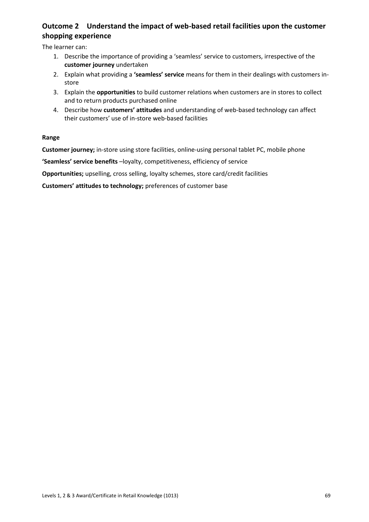# **Outcome 2 Understand the impact of web-based retail facilities upon the customer shopping experience**

The learner can:

- 1. Describe the importance of providing a 'seamless' service to customers, irrespective of the **customer journey** undertaken
- 2. Explain what providing a **'seamless' service** means for them in their dealings with customers instore
- 3. Explain the **opportunities** to build customer relations when customers are in stores to collect and to return products purchased online
- 4. Describe how **customers' attitudes** and understanding of web-based technology can affect their customers' use of in-store web-based facilities

## **Range**

**Customer journey;** in-store using store facilities, online-using personal tablet PC, mobile phone

**'Seamless' service benefits** –loyalty, competitiveness, efficiency of service

**Opportunities;** upselling, cross selling, loyalty schemes, store card/credit facilities

**Customers' attitudes to technology;** preferences of customer base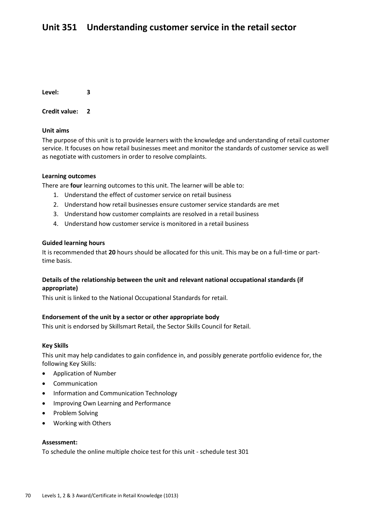# **Unit 351 Understanding customer service in the retail sector**

**Level: 3**

**Credit value: 2**

#### **Unit aims**

The purpose of this unit is to provide learners with the knowledge and understanding of retail customer service. It focuses on how retail businesses meet and monitor the standards of customer service as well as negotiate with customers in order to resolve complaints.

#### **Learning outcomes**

There are **four** learning outcomes to this unit. The learner will be able to:

- 1. Understand the effect of customer service on retail business
- 2. Understand how retail businesses ensure customer service standards are met
- 3. Understand how customer complaints are resolved in a retail business
- 4. Understand how customer service is monitored in a retail business

#### **Guided learning hours**

It is recommended that **20** hours should be allocated for this unit. This may be on a full-time or parttime basis.

## **Details of the relationship between the unit and relevant national occupational standards (if appropriate)**

This unit is linked to the National Occupational Standards for retail.

## **Endorsement of the unit by a sector or other appropriate body**

This unit is endorsed by Skillsmart Retail, the Sector Skills Council for Retail.

## **Key Skills**

This unit may help candidates to gain confidence in, and possibly generate portfolio evidence for, the following Key Skills:

- Application of Number
- Communication
- Information and Communication Technology
- Improving Own Learning and Performance
- Problem Solving
- Working with Others

#### **Assessment:**

To schedule the online multiple choice test for this unit - schedule test 301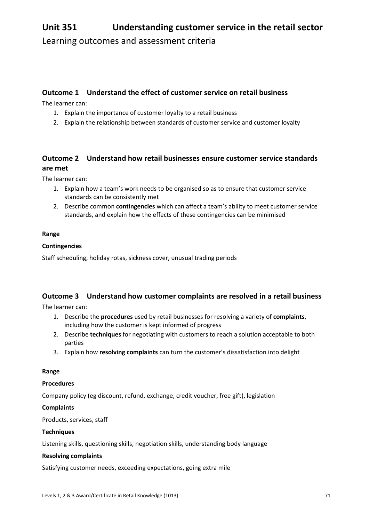Learning outcomes and assessment criteria

## **Outcome 1 Understand the effect of customer service on retail business**

The learner can:

- 1. Explain the importance of customer loyalty to a retail business
- 2. Explain the relationship between standards of customer service and customer loyalty

# **Outcome 2 Understand how retail businesses ensure customer service standards are met**

The learner can:

- 1. Explain how a team's work needs to be organised so as to ensure that customer service standards can be consistently met
- 2. Describe common **contingencies** which can affect a team's ability to meet customer service standards, and explain how the effects of these contingencies can be minimised

## **Range**

## **Contingencies**

Staff scheduling, holiday rotas, sickness cover, unusual trading periods

## **Outcome 3 Understand how customer complaints are resolved in a retail business**

The learner can:

- 1. Describe the **procedures** used by retail businesses for resolving a variety of **complaints**, including how the customer is kept informed of progress
- 2. Describe **techniques** for negotiating with customers to reach a solution acceptable to both parties
- 3. Explain how **resolving complaints** can turn the customer's dissatisfaction into delight

## **Range**

## **Procedures**

Company policy (eg discount, refund, exchange, credit voucher, free gift), legislation

## **Complaints**

Products, services, staff

## **Techniques**

Listening skills, questioning skills, negotiation skills, understanding body language

## **Resolving complaints**

Satisfying customer needs, exceeding expectations, going extra mile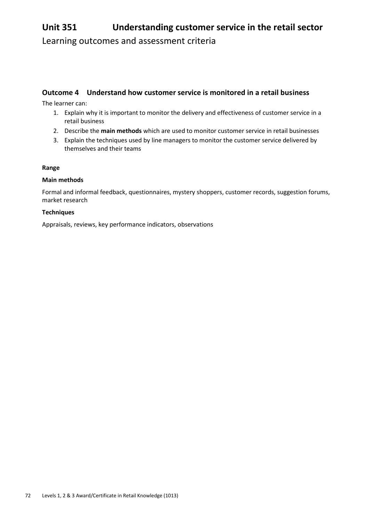# **Unit 351 Understanding customer service in the retail sector**  Learning outcomes and assessment criteria

## **Outcome 4 Understand how customer service is monitored in a retail business**

The learner can:

- 1. Explain why it is important to monitor the delivery and effectiveness of customer service in a retail business
- 2. Describe the **main methods** which are used to monitor customer service in retail businesses
- 3. Explain the techniques used by line managers to monitor the customer service delivered by themselves and their teams

#### **Range**

#### **Main methods**

Formal and informal feedback, questionnaires, mystery shoppers, customer records, suggestion forums, market research

#### **Techniques**

Appraisals, reviews, key performance indicators, observations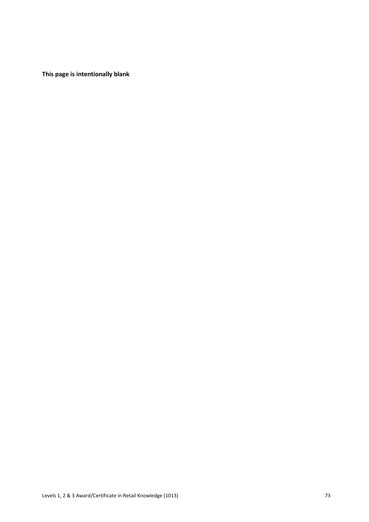**This page is intentionally blank**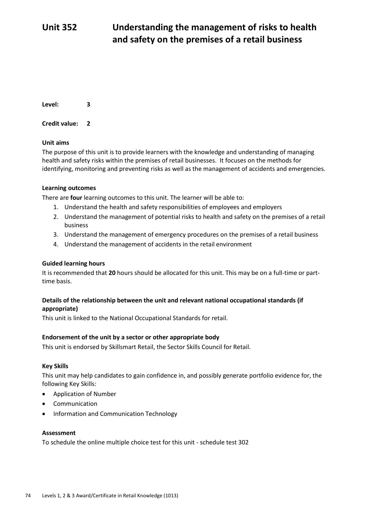**Level: 3**

**Credit value: 2**

## **Unit aims**

The purpose of this unit is to provide learners with the knowledge and understanding of managing health and safety risks within the premises of retail businesses. It focuses on the methods for identifying, monitoring and preventing risks as well as the management of accidents and emergencies.

## **Learning outcomes**

There are **four** learning outcomes to this unit. The learner will be able to:

- 1. Understand the health and safety responsibilities of employees and employers
- 2. Understand the management of potential risks to health and safety on the premises of a retail business
- 3. Understand the management of emergency procedures on the premises of a retail business
- 4. Understand the management of accidents in the retail environment

## **Guided learning hours**

It is recommended that **20** hours should be allocated for this unit. This may be on a full-time or parttime basis.

## **Details of the relationship between the unit and relevant national occupational standards (if appropriate)**

This unit is linked to the National Occupational Standards for retail.

## **Endorsement of the unit by a sector or other appropriate body**

This unit is endorsed by Skillsmart Retail, the Sector Skills Council for Retail.

## **Key Skills**

This unit may help candidates to gain confidence in, and possibly generate portfolio evidence for, the following Key Skills:

- Application of Number
- **Communication**
- Information and Communication Technology

## **Assessment**

To schedule the online multiple choice test for this unit - schedule test 302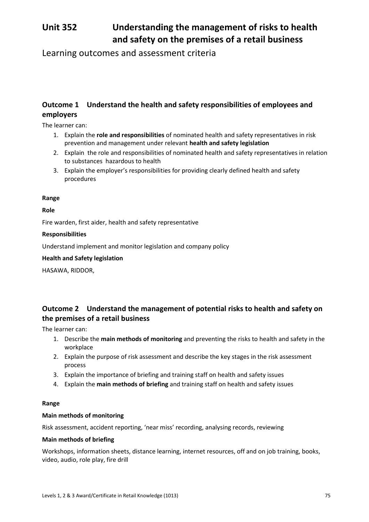# **Unit 352 Understanding the management of risks to health and safety on the premises of a retail business**

Learning outcomes and assessment criteria

## **Outcome 1 Understand the health and safety responsibilities of employees and employers**

The learner can:

- 1. Explain the **role and responsibilities** of nominated health and safety representatives in risk prevention and management under relevant **health and safety legislation**
- 2. Explain the role and responsibilities of nominated health and safety representatives in relation to substances hazardous to health
- 3. Explain the employer's responsibilities for providing clearly defined health and safety procedures

## **Range**

**Role**

Fire warden, first aider, health and safety representative

## **Responsibilities**

Understand implement and monitor legislation and company policy

## **Health and Safety legislation**

HASAWA, RIDDOR,

# **Outcome 2 Understand the management of potential risks to health and safety on the premises of a retail business**

The learner can:

- 1. Describe the **main methods of monitoring** and preventing the risks to health and safety in the workplace
- 2. Explain the purpose of risk assessment and describe the key stages in the risk assessment process
- 3. Explain the importance of briefing and training staff on health and safety issues
- 4. Explain the **main methods of briefing** and training staff on health and safety issues

## **Range**

## **Main methods of monitoring**

Risk assessment, accident reporting, 'near miss' recording, analysing records, reviewing

## **Main methods of briefing**

Workshops, information sheets, distance learning, internet resources, off and on job training, books, video, audio, role play, fire drill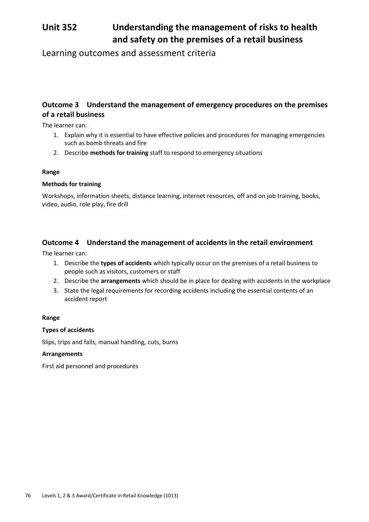# **Unit 352 Understanding the management of risks to health and safety on the premises of a retail business**

Learning outcomes and assessment criteria

## **Outcome 3 Understand the management of emergency procedures on the premises of a retail business**

The learner can:

- 1. Explain why it is essential to have effective policies and procedures for managing emergencies such as bomb threats and fire
- 2. Describe **methods for training** staff to respond to emergency situations

## **Range**

## **Methods for training**

Workshops, information sheets, distance learning, internet resources, off and on job training, books, video, audio, role play, fire drill

## **Outcome 4 Understand the management of accidents in the retail environment**

The learner can:

- 1. Describe the **types of accidents** which typically occur on the premises of a retail business to people such as visitors, customers or staff
- 2. Describe the **arrangements** which should be in place for dealing with accidents in the workplace
- 3. State the legal requirements for recording accidents including the essential contents of an accident report

## **Range**

## **Types of accidents**

Slips, trips and falls, manual handling, cuts, burns

## **Arrangements**

First aid personnel and procedures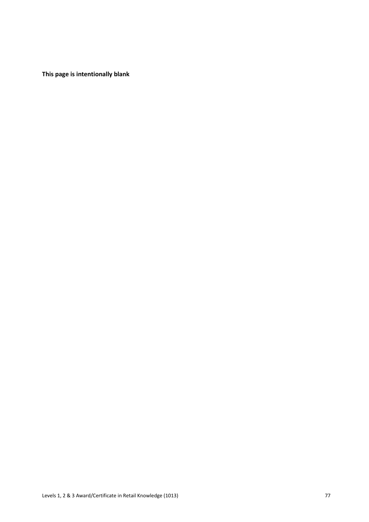**This page is intentionally blank**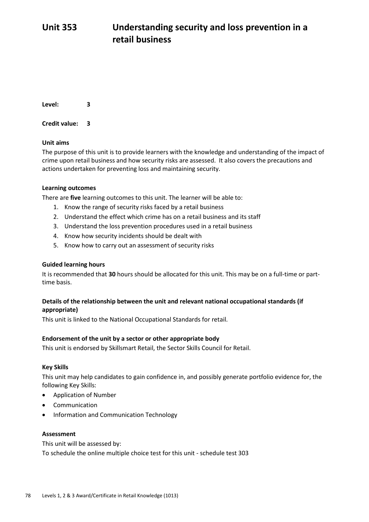**Level: 3**

**Credit value: 3**

## **Unit aims**

The purpose of this unit is to provide learners with the knowledge and understanding of the impact of crime upon retail business and how security risks are assessed. It also covers the precautions and actions undertaken for preventing loss and maintaining security.

## **Learning outcomes**

There are **five** learning outcomes to this unit. The learner will be able to:

- 1. Know the range of security risks faced by a retail business
- 2. Understand the effect which crime has on a retail business and its staff
- 3. Understand the loss prevention procedures used in a retail business
- 4. Know how security incidents should be dealt with
- 5. Know how to carry out an assessment of security risks

## **Guided learning hours**

It is recommended that **30** hours should be allocated for this unit. This may be on a full-time or parttime basis.

## **Details of the relationship between the unit and relevant national occupational standards (if appropriate)**

This unit is linked to the National Occupational Standards for retail.

## **Endorsement of the unit by a sector or other appropriate body**

This unit is endorsed by Skillsmart Retail, the Sector Skills Council for Retail.

## **Key Skills**

This unit may help candidates to gain confidence in, and possibly generate portfolio evidence for, the following Key Skills:

- Application of Number
- **Communication**
- Information and Communication Technology

## **Assessment**

This unit will be assessed by: To schedule the online multiple choice test for this unit - schedule test 303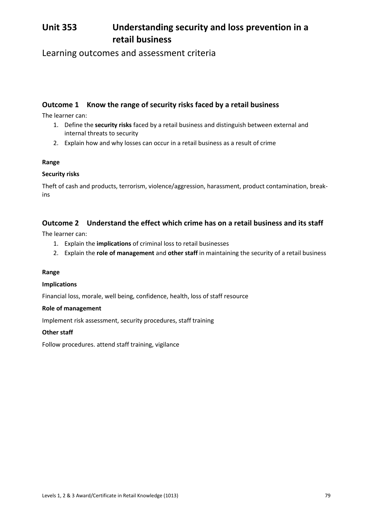Learning outcomes and assessment criteria

## **Outcome 1 Know the range of security risks faced by a retail business**

The learner can:

- 1. Define the **security risks** faced by a retail business and distinguish between external and internal threats to security
- 2. Explain how and why losses can occur in a retail business as a result of crime

## **Range**

## **Security risks**

Theft of cash and products, terrorism, violence/aggression, harassment, product contamination, breakins

## **Outcome 2 Understand the effect which crime has on a retail business and its staff**

The learner can:

- 1. Explain the **implications** of criminal loss to retail businesses
- 2. Explain the **role of management** and **other staff** in maintaining the security of a retail business

## **Range**

## **Implications**

Financial loss, morale, well being, confidence, health, loss of staff resource

## **Role of management**

Implement risk assessment, security procedures, staff training

## **Other staff**

Follow procedures. attend staff training, vigilance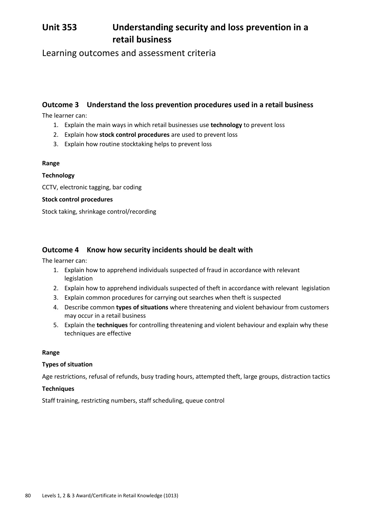Learning outcomes and assessment criteria

## **Outcome 3 Understand the loss prevention procedures used in a retail business**

The learner can:

- 1. Explain the main ways in which retail businesses use **technology** to prevent loss
- 2. Explain how **stock control procedures** are used to prevent loss
- 3. Explain how routine stocktaking helps to prevent loss

## **Range**

## **Technology**

CCTV, electronic tagging, bar coding

## **Stock control procedures**

Stock taking, shrinkage control/recording

## **Outcome 4 Know how security incidents should be dealt with**

The learner can:

- 1. Explain how to apprehend individuals suspected of fraud in accordance with relevant legislation
- 2. Explain how to apprehend individuals suspected of theft in accordance with relevant legislation
- 3. Explain common procedures for carrying out searches when theft is suspected
- 4. Describe common **types of situations** where threatening and violent behaviour from customers may occur in a retail business
- 5. Explain the **techniques** for controlling threatening and violent behaviour and explain why these techniques are effective

## **Range**

## **Types of situation**

Age restrictions, refusal of refunds, busy trading hours, attempted theft, large groups, distraction tactics

## **Techniques**

Staff training, restricting numbers, staff scheduling, queue control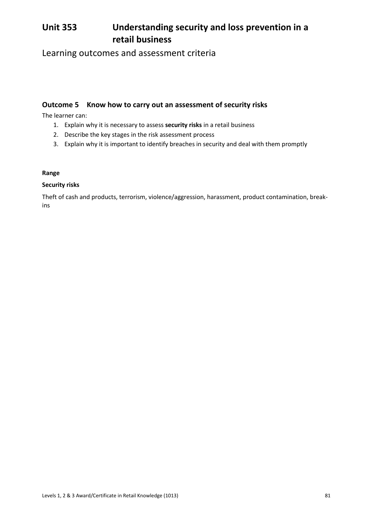Learning outcomes and assessment criteria

## **Outcome 5 Know how to carry out an assessment of security risks**

The learner can:

- 1. Explain why it is necessary to assess **security risks** in a retail business
- 2. Describe the key stages in the risk assessment process
- 3. Explain why it is important to identify breaches in security and deal with them promptly

## **Range**

## **Security risks**

Theft of cash and products, terrorism, violence/aggression, harassment, product contamination, breakins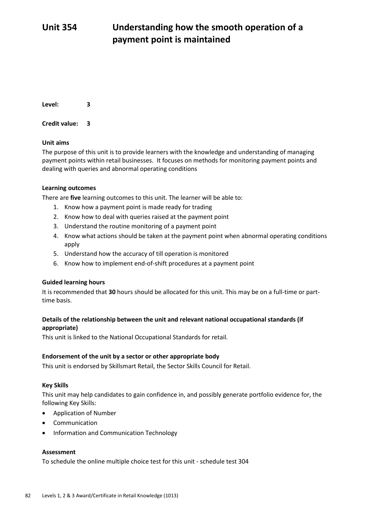**Level: 3**

**Credit value: 3**

## **Unit aims**

The purpose of this unit is to provide learners with the knowledge and understanding of managing payment points within retail businesses. It focuses on methods for monitoring payment points and dealing with queries and abnormal operating conditions

## **Learning outcomes**

There are **five** learning outcomes to this unit. The learner will be able to:

- 1. Know how a payment point is made ready for trading
- 2. Know how to deal with queries raised at the payment point
- 3. Understand the routine monitoring of a payment point
- 4. Know what actions should be taken at the payment point when abnormal operating conditions apply
- 5. Understand how the accuracy of till operation is monitored
- 6. Know how to implement end-of-shift procedures at a payment point

## **Guided learning hours**

It is recommended that **30** hours should be allocated for this unit. This may be on a full-time or parttime basis.

## **Details of the relationship between the unit and relevant national occupational standards (if appropriate)**

This unit is linked to the National Occupational Standards for retail.

## **Endorsement of the unit by a sector or other appropriate body**

This unit is endorsed by Skillsmart Retail, the Sector Skills Council for Retail.

## **Key Skills**

This unit may help candidates to gain confidence in, and possibly generate portfolio evidence for, the following Key Skills:

- Application of Number
- **Communication**
- Information and Communication Technology

## **Assessment**

To schedule the online multiple choice test for this unit - schedule test 304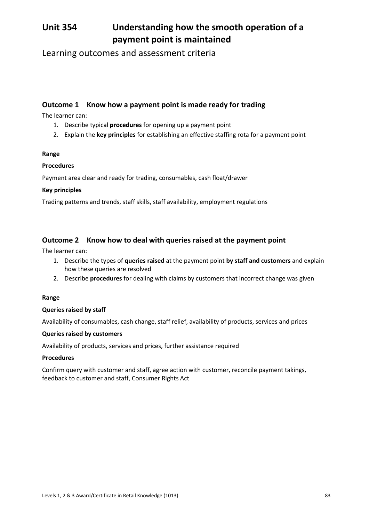Learning outcomes and assessment criteria

## **Outcome 1 Know how a payment point is made ready for trading**

The learner can:

- 1. Describe typical **procedures** for opening up a payment point
- 2. Explain the **key principles** for establishing an effective staffing rota for a payment point

## **Range**

## **Procedures**

Payment area clear and ready for trading, consumables, cash float/drawer

## **Key principles**

Trading patterns and trends, staff skills, staff availability, employment regulations

## **Outcome 2 Know how to deal with queries raised at the payment point**

The learner can:

- 1. Describe the types of **queries raised** at the payment point **by staff and customers** and explain how these queries are resolved
- 2. Describe **procedures** for dealing with claims by customers that incorrect change was given

## **Range**

## **Queries raised by staff**

Availability of consumables, cash change, staff relief, availability of products, services and prices

## **Queries raised by customers**

Availability of products, services and prices, further assistance required

## **Procedures**

Confirm query with customer and staff, agree action with customer, reconcile payment takings, feedback to customer and staff, Consumer Rights Act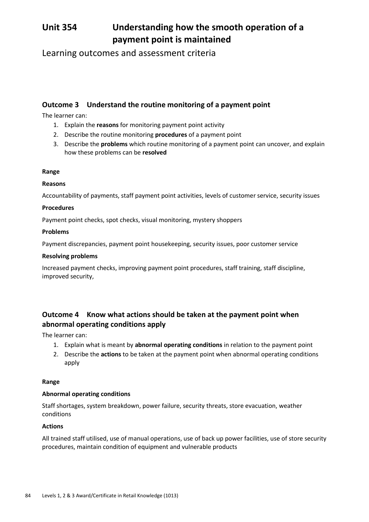Learning outcomes and assessment criteria

## **Outcome 3 Understand the routine monitoring of a payment point**

The learner can:

- 1. Explain the **reasons** for monitoring payment point activity
- 2. Describe the routine monitoring **procedures** of a payment point
- 3. Describe the **problems** which routine monitoring of a payment point can uncover, and explain how these problems can be **resolved**

## **Range**

## **Reasons**

Accountability of payments, staff payment point activities, levels of customer service, security issues

## **Procedures**

Payment point checks, spot checks, visual monitoring, mystery shoppers

## **Problems**

Payment discrepancies, payment point housekeeping, security issues, poor customer service

## **Resolving problems**

Increased payment checks, improving payment point procedures, staff training, staff discipline, improved security,

# **Outcome 4 Know what actions should be taken at the payment point when abnormal operating conditions apply**

The learner can:

- 1. Explain what is meant by **abnormal operating conditions** in relation to the payment point
- 2. Describe the **actions** to be taken at the payment point when abnormal operating conditions apply

## **Range**

## **Abnormal operating conditions**

Staff shortages, system breakdown, power failure, security threats, store evacuation, weather conditions

## **Actions**

All trained staff utilised, use of manual operations, use of back up power facilities, use of store security procedures, maintain condition of equipment and vulnerable products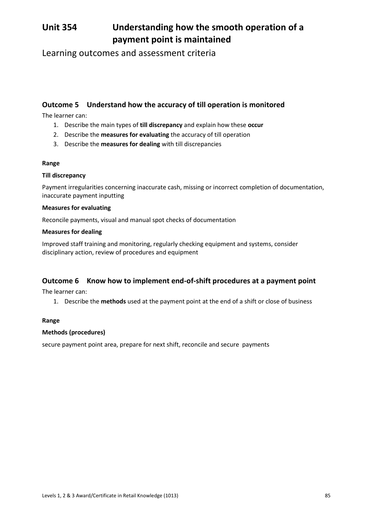Learning outcomes and assessment criteria

## **Outcome 5 Understand how the accuracy of till operation is monitored**

The learner can:

- 1. Describe the main types of **till discrepancy** and explain how these **occur**
- 2. Describe the **measures for evaluating** the accuracy of till operation
- 3. Describe the **measures for dealing** with till discrepancies

#### **Range**

## **Till discrepancy**

Payment irregularities concerning inaccurate cash, missing or incorrect completion of documentation, inaccurate payment inputting

#### **Measures for evaluating**

Reconcile payments, visual and manual spot checks of documentation

#### **Measures for dealing**

Improved staff training and monitoring, regularly checking equipment and systems, consider disciplinary action, review of procedures and equipment

## **Outcome 6 Know how to implement end-of-shift procedures at a payment point**

The learner can:

1. Describe the **methods** used at the payment point at the end of a shift or close of business

## **Range**

## **Methods (procedures)**

secure payment point area, prepare for next shift, reconcile and secure payments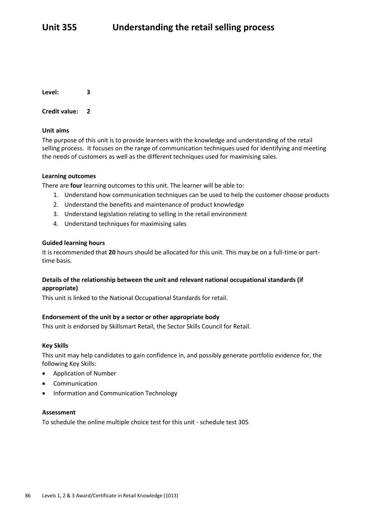**Level: 3**

**Credit value: 2**

## **Unit aims**

The purpose of this unit is to provide learners with the knowledge and understanding of the retail selling process. It focuses on the range of communication techniques used for identifying and meeting the needs of customers as well as the different techniques used for maximising sales.

## **Learning outcomes**

There are **four** learning outcomes to this unit. The learner will be able to:

- 1. Understand how communication techniques can be used to help the customer choose products
- 2. Understand the benefits and maintenance of product knowledge
- 3. Understand legislation relating to selling in the retail environment
- 4. Understand techniques for maximising sales

#### **Guided learning hours**

It is recommended that **20** hours should be allocated for this unit. This may be on a full-time or parttime basis.

## **Details of the relationship between the unit and relevant national occupational standards (if appropriate)**

This unit is linked to the National Occupational Standards for retail.

## **Endorsement of the unit by a sector or other appropriate body**

This unit is endorsed by Skillsmart Retail, the Sector Skills Council for Retail.

## **Key Skills**

This unit may help candidates to gain confidence in, and possibly generate portfolio evidence for, the following Key Skills:

- Application of Number
- **Communication**
- Information and Communication Technology

#### **Assessment**

To schedule the online multiple choice test for this unit - schedule test 305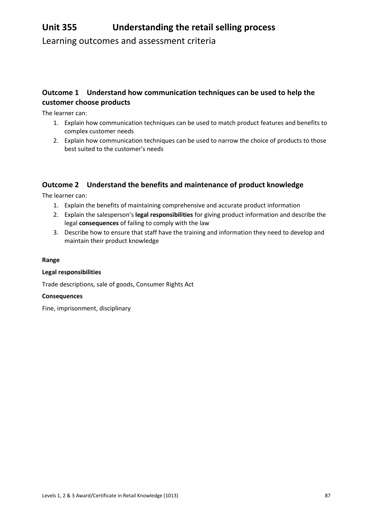# **Unit 355 Understanding the retail selling process**

# Learning outcomes and assessment criteria

# **Outcome 1 Understand how communication techniques can be used to help the customer choose products**

The learner can:

- 1. Explain how communication techniques can be used to match product features and benefits to complex customer needs
- 2. Explain how communication techniques can be used to narrow the choice of products to those best suited to the customer's needs

## **Outcome 2 Understand the benefits and maintenance of product knowledge**

The learner can:

- 1. Explain the benefits of maintaining comprehensive and accurate product information
- 2. Explain the salesperson's **legal responsibilities** for giving product information and describe the legal **consequences** of failing to comply with the law
- 3. Describe how to ensure that staff have the training and information they need to develop and maintain their product knowledge

## **Range**

## **Legal responsibilities**

Trade descriptions, sale of goods, Consumer Rights Act

#### **Consequences**

Fine, imprisonment, disciplinary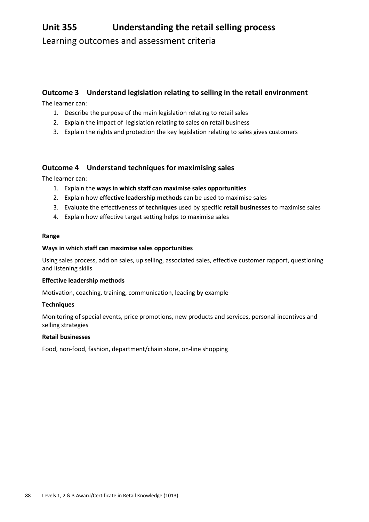# **Unit 355 Understanding the retail selling process**

Learning outcomes and assessment criteria

## **Outcome 3 Understand legislation relating to selling in the retail environment**

The learner can:

- 1. Describe the purpose of the main legislation relating to retail sales
- 2. Explain the impact of legislation relating to sales on retail business
- 3. Explain the rights and protection the key legislation relating to sales gives customers

## **Outcome 4 Understand techniques for maximising sales**

The learner can:

- 1. Explain the **ways in which staff can maximise sales opportunities**
- 2. Explain how **effective leadership methods** can be used to maximise sales
- 3. Evaluate the effectiveness of **techniques** used by specific **retail businesses** to maximise sales
- 4. Explain how effective target setting helps to maximise sales

## **Range**

## **Ways in which staff can maximise sales opportunities**

Using sales process, add on sales, up selling, associated sales, effective customer rapport, questioning and listening skills

## **Effective leadership methods**

Motivation, coaching, training, communication, leading by example

## **Techniques**

Monitoring of special events, price promotions, new products and services, personal incentives and selling strategies

## **Retail businesses**

Food, non-food, fashion, department/chain store, on-line shopping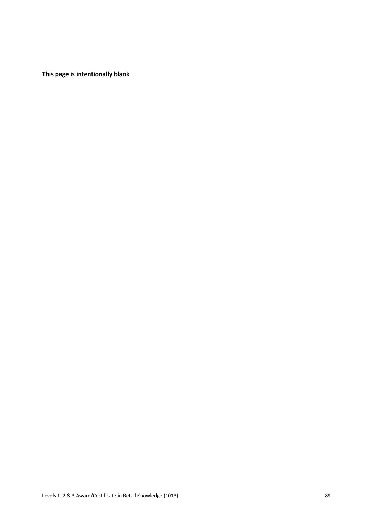**This page is intentionally blank**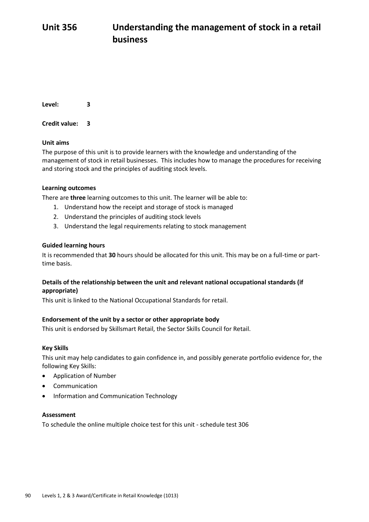# **Unit 356 Understanding the management of stock in a retail business**

**Level: 3**

**Credit value: 3**

## **Unit aims**

The purpose of this unit is to provide learners with the knowledge and understanding of the management of stock in retail businesses. This includes how to manage the procedures for receiving and storing stock and the principles of auditing stock levels.

## **Learning outcomes**

There are **three** learning outcomes to this unit. The learner will be able to:

- 1. Understand how the receipt and storage of stock is managed
- 2. Understand the principles of auditing stock levels
- 3. Understand the legal requirements relating to stock management

## **Guided learning hours**

It is recommended that **30** hours should be allocated for this unit. This may be on a full-time or parttime basis.

## **Details of the relationship between the unit and relevant national occupational standards (if appropriate)**

This unit is linked to the National Occupational Standards for retail.

## **Endorsement of the unit by a sector or other appropriate body**

This unit is endorsed by Skillsmart Retail, the Sector Skills Council for Retail.

## **Key Skills**

This unit may help candidates to gain confidence in, and possibly generate portfolio evidence for, the following Key Skills:

- Application of Number
- **Communication**
- Information and Communication Technology

#### **Assessment**

To schedule the online multiple choice test for this unit - schedule test 306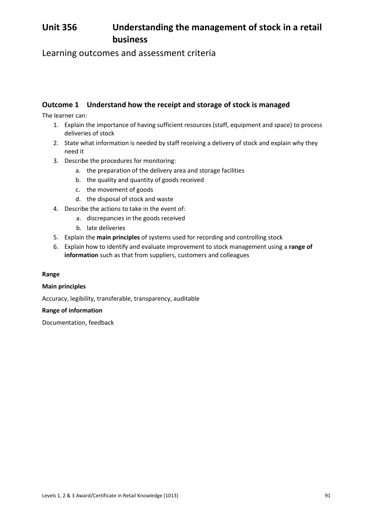# **Unit 356 Understanding the management of stock in a retail business**

Learning outcomes and assessment criteria

## **Outcome 1 Understand how the receipt and storage of stock is managed**

The learner can:

- 1. Explain the importance of having sufficient resources (staff, equipment and space) to process deliveries of stock
- 2. State what information is needed by staff receiving a delivery of stock and explain why they need it
- 3. Describe the procedures for monitoring:
	- a. the preparation of the delivery area and storage facilities
	- b. the quality and quantity of goods received
	- c. the movement of goods
	- d. the disposal of stock and waste
- 4. Describe the actions to take in the event of:
	- a. discrepancies in the goods received
	- b. late deliveries
- 5. Explain the **main principles** of systems used for recording and controlling stock
- 6. Explain how to identify and evaluate improvement to stock management using a **range of information** such as that from suppliers, customers and colleagues

## **Range**

## **Main principles**

Accuracy, legibility, transferable, transparency, auditable

## **Range of information**

Documentation, feedback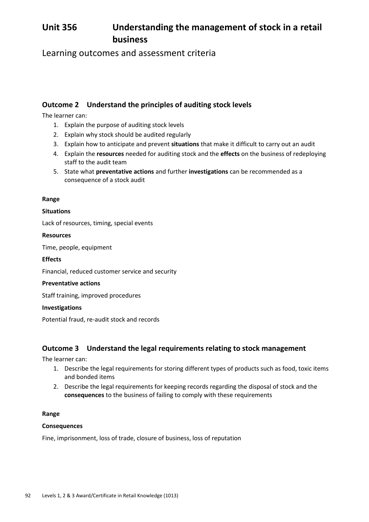# **Unit 356 Understanding the management of stock in a retail business**

Learning outcomes and assessment criteria

## **Outcome 2 Understand the principles of auditing stock levels**

The learner can:

- 1. Explain the purpose of auditing stock levels
- 2. Explain why stock should be audited regularly
- 3. Explain how to anticipate and prevent **situations** that make it difficult to carry out an audit
- 4. Explain the **resources** needed for auditing stock and the **effects** on the business of redeploying staff to the audit team
- 5. State what **preventative actions** and further **investigations** can be recommended as a consequence of a stock audit

## **Range**

## **Situations**

Lack of resources, timing, special events

## **Resources**

Time, people, equipment

## **Effects**

Financial, reduced customer service and security

## **Preventative actions**

Staff training, improved procedures

## **Investigations**

Potential fraud, re-audit stock and records

## **Outcome 3 Understand the legal requirements relating to stock management**

The learner can:

- 1. Describe the legal requirements for storing different types of products such as food, toxic items and bonded items
- 2. Describe the legal requirements for keeping records regarding the disposal of stock and the **consequences** to the business of failing to comply with these requirements

## **Range**

## **Consequences**

Fine, imprisonment, loss of trade, closure of business, loss of reputation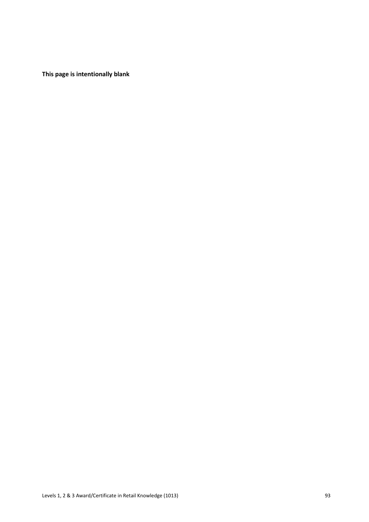**This page is intentionally blank**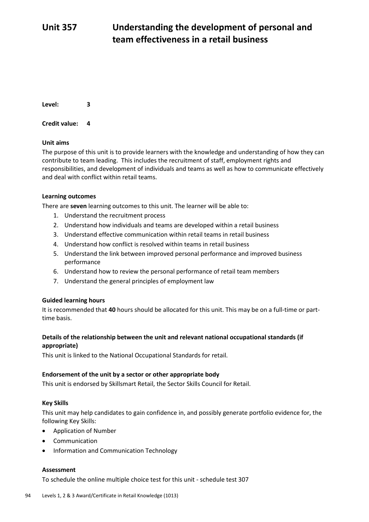**Level: 3**

**Credit value: 4**

## **Unit aims**

The purpose of this unit is to provide learners with the knowledge and understanding of how they can contribute to team leading. This includes the recruitment of staff, employment rights and responsibilities, and development of individuals and teams as well as how to communicate effectively and deal with conflict within retail teams.

## **Learning outcomes**

There are **seven** learning outcomes to this unit. The learner will be able to:

- 1. Understand the recruitment process
- 2. Understand how individuals and teams are developed within a retail business
- 3. Understand effective communication within retail teams in retail business
- 4. Understand how conflict is resolved within teams in retail business
- 5. Understand the link between improved personal performance and improved business performance
- 6. Understand how to review the personal performance of retail team members
- 7. Understand the general principles of employment law

## **Guided learning hours**

It is recommended that **40** hours should be allocated for this unit. This may be on a full-time or parttime basis.

## **Details of the relationship between the unit and relevant national occupational standards (if appropriate)**

This unit is linked to the National Occupational Standards for retail.

## **Endorsement of the unit by a sector or other appropriate body**

This unit is endorsed by Skillsmart Retail, the Sector Skills Council for Retail.

## **Key Skills**

This unit may help candidates to gain confidence in, and possibly generate portfolio evidence for, the following Key Skills:

- Application of Number
- **Communication**
- Information and Communication Technology

## **Assessment**

To schedule the online multiple choice test for this unit - schedule test 307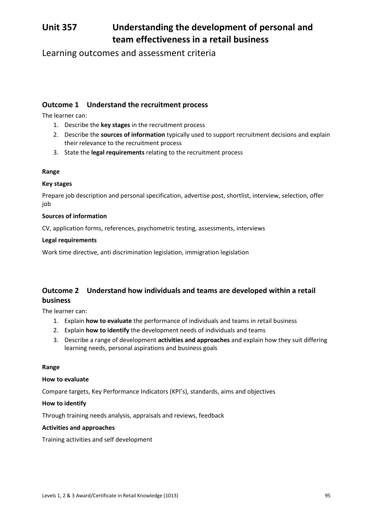Learning outcomes and assessment criteria

## **Outcome 1 Understand the recruitment process**

The learner can:

- 1. Describe the **key stages** in the recruitment process
- 2. Describe the **sources of information** typically used to support recruitment decisions and explain their relevance to the recruitment process
- 3. State the **legal requirements** relating to the recruitment process

## **Range**

## **Key stages**

Prepare job description and personal specification, advertise post, shortlist, interview, selection, offer job

## **Sources of information**

CV, application forms, references, psychometric testing, assessments, interviews

## **Legal requirements**

Work time directive, anti discrimination legislation, immigration legislation

# **Outcome 2 Understand how individuals and teams are developed within a retail business**

The learner can:

- 1. Explain **how to evaluate** the performance of individuals and teams in retail business
- 2. Explain **how to identify** the development needs of individuals and teams
- 3. Describe a range of development **activities and approaches** and explain how they suit differing learning needs, personal aspirations and business goals

## **Range**

## **How to evaluate**

Compare targets, Key Performance Indicators (KPI's), standards, aims and objectives

## **How to identify**

Through training needs analysis, appraisals and reviews, feedback

## **Activities and approaches**

Training activities and self development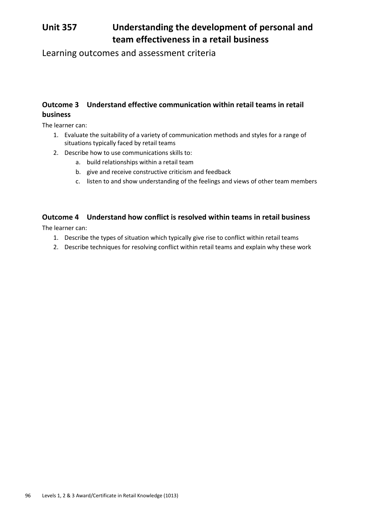Learning outcomes and assessment criteria

# **Outcome 3 Understand effective communication within retail teams in retail business**

The learner can:

- 1. Evaluate the suitability of a variety of communication methods and styles for a range of situations typically faced by retail teams
- 2. Describe how to use communications skills to:
	- a. build relationships within a retail team
	- b. give and receive constructive criticism and feedback
	- c. listen to and show understanding of the feelings and views of other team members

# **Outcome 4 Understand how conflict is resolved within teams in retail business**

The learner can:

- 1. Describe the types of situation which typically give rise to conflict within retail teams
- 2. Describe techniques for resolving conflict within retail teams and explain why these work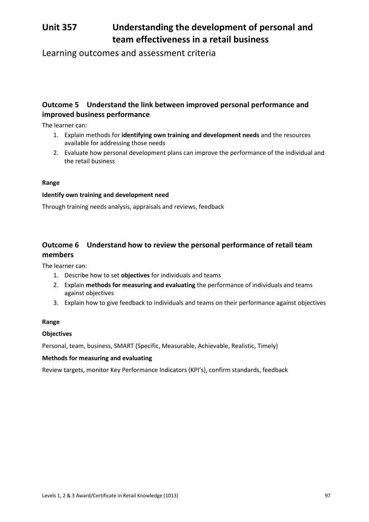Learning outcomes and assessment criteria

## **Outcome 5 Understand the link between improved personal performance and improved business performance**

The learner can:

- 1. Explain methods for **identifying own training and development needs** and the resources available for addressing those needs
- 2. Evaluate how personal development plans can improve the performance of the individual and the retail business

## **Range**

## **Identify own training and development need**

Through training needs analysis, appraisals and reviews, feedback

# **Outcome 6 Understand how to review the personal performance of retail team members**

The learner can:

- 1. Describe how to set **objectives** for individuals and teams
- 2. Explain **methods for measuring and evaluating** the performance of individuals and teams against objectives
- 3. Explain how to give feedback to individuals and teams on their performance against objectives

## **Range**

## **Objectives**

Personal, team, business, SMART (Specific, Measurable, Achievable, Realistic, Timely)

## **Methods for measuring and evaluating**

Review targets, monitor Key Performance Indicators (KPI's), confirm standards, feedback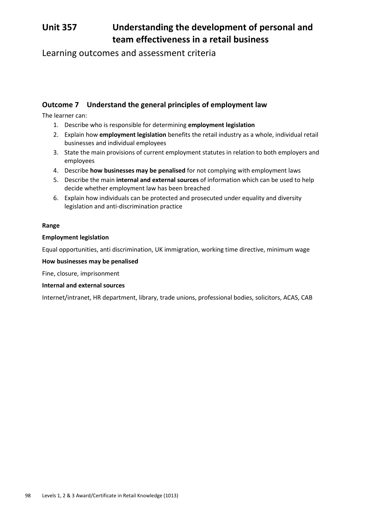Learning outcomes and assessment criteria

## **Outcome 7 Understand the general principles of employment law**

The learner can:

- 1. Describe who is responsible for determining **employment legislation**
- 2. Explain how **employment legislation** benefits the retail industry as a whole, individual retail businesses and individual employees
- 3. State the main provisions of current employment statutes in relation to both employers and employees
- 4. Describe **how businesses may be penalised** for not complying with employment laws
- 5. Describe the main **internal and external sources** of information which can be used to help decide whether employment law has been breached
- 6. Explain how individuals can be protected and prosecuted under equality and diversity legislation and anti-discrimination practice

## **Range**

## **Employment legislation**

Equal opportunities, anti discrimination, UK immigration, working time directive, minimum wage

## **How businesses may be penalised**

Fine, closure, imprisonment

## **Internal and external sources**

Internet/intranet, HR department, library, trade unions, professional bodies, solicitors, ACAS, CAB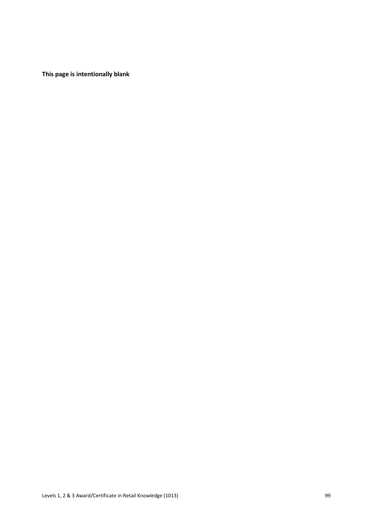**This page is intentionally blank**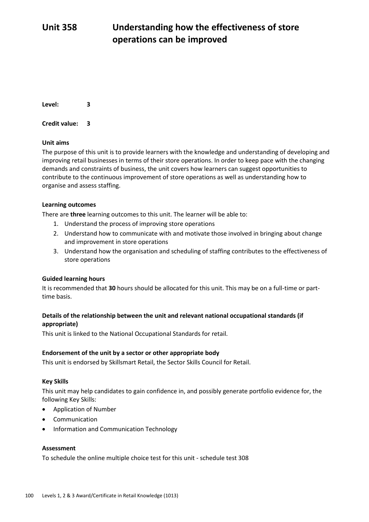# **Unit 358 Understanding how the effectiveness of store operations can be improved**

**Level: 3**

**Credit value: 3**

## **Unit aims**

The purpose of this unit is to provide learners with the knowledge and understanding of developing and improving retail businesses in terms of their store operations. In order to keep pace with the changing demands and constraints of business, the unit covers how learners can suggest opportunities to contribute to the continuous improvement of store operations as well as understanding how to organise and assess staffing.

## **Learning outcomes**

There are **three** learning outcomes to this unit. The learner will be able to:

- 1. Understand the process of improving store operations
- 2. Understand how to communicate with and motivate those involved in bringing about change and improvement in store operations
- 3. Understand how the organisation and scheduling of staffing contributes to the effectiveness of store operations

## **Guided learning hours**

It is recommended that **30** hours should be allocated for this unit. This may be on a full-time or parttime basis.

## **Details of the relationship between the unit and relevant national occupational standards (if appropriate)**

This unit is linked to the National Occupational Standards for retail.

## **Endorsement of the unit by a sector or other appropriate body**

This unit is endorsed by Skillsmart Retail, the Sector Skills Council for Retail.

## **Key Skills**

This unit may help candidates to gain confidence in, and possibly generate portfolio evidence for, the following Key Skills:

- Application of Number
- Communication
- Information and Communication Technology

## **Assessment**

To schedule the online multiple choice test for this unit - schedule test 308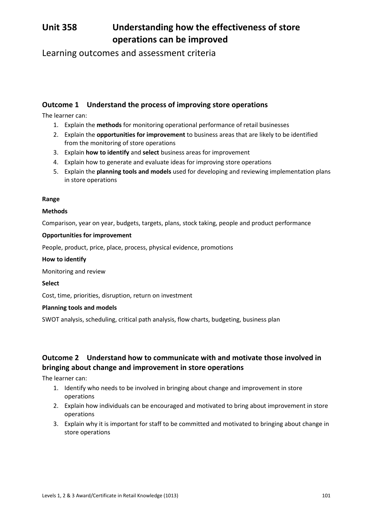# **Unit 358 Understanding how the effectiveness of store operations can be improved**

Learning outcomes and assessment criteria

## **Outcome 1 Understand the process of improving store operations**

The learner can:

- 1. Explain the **methods** for monitoring operational performance of retail businesses
- 2. Explain the **opportunities for improvement** to business areas that are likely to be identified from the monitoring of store operations
- 3. Explain **how to identify** and **select** business areas for improvement
- 4. Explain how to generate and evaluate ideas for improving store operations
- 5. Explain the **planning tools and models** used for developing and reviewing implementation plans in store operations

## **Range**

## **Methods**

Comparison, year on year, budgets, targets, plans, stock taking, people and product performance

## **Opportunities for improvement**

People, product, price, place, process, physical evidence, promotions

#### **How to identify**

Monitoring and review

## **Select**

Cost, time, priorities, disruption, return on investment

## **Planning tools and models**

SWOT analysis, scheduling, critical path analysis, flow charts, budgeting, business plan

## **Outcome 2 Understand how to communicate with and motivate those involved in bringing about change and improvement in store operations**

The learner can:

- 1. Identify who needs to be involved in bringing about change and improvement in store operations
- 2. Explain how individuals can be encouraged and motivated to bring about improvement in store operations
- 3. Explain why it is important for staff to be committed and motivated to bringing about change in store operations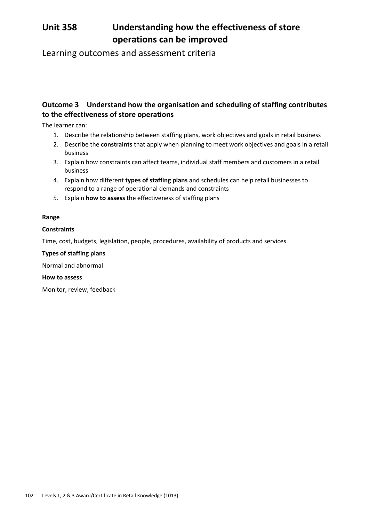# **Unit 358 Understanding how the effectiveness of store operations can be improved**

Learning outcomes and assessment criteria

# **Outcome 3 Understand how the organisation and scheduling of staffing contributes to the effectiveness of store operations**

The learner can:

- 1. Describe the relationship between staffing plans, work objectives and goals in retail business
- 2. Describe the **constraints** that apply when planning to meet work objectives and goals in a retail business
- 3. Explain how constraints can affect teams, individual staff members and customers in a retail business
- 4. Explain how different **types of staffing plans** and schedules can help retail businesses to respond to a range of operational demands and constraints
- 5. Explain **how to assess** the effectiveness of staffing plans

## **Range**

## **Constraints**

Time, cost, budgets, legislation, people, procedures, availability of products and services

## **Types of staffing plans**

Normal and abnormal

## **How to assess**

Monitor, review, feedback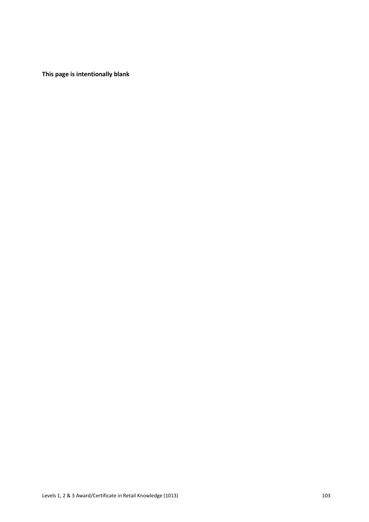**This page is intentionally blank**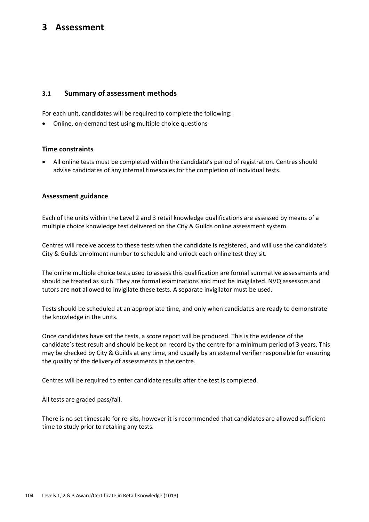# **3 Assessment**

## **3.1 Summary of assessment methods**

For each unit, candidates will be required to complete the following:

• Online, on-demand test using multiple choice questions

## **Time constraints**

• All online tests must be completed within the candidate's period of registration. Centres should advise candidates of any internal timescales for the completion of individual tests.

## **Assessment guidance**

Each of the units within the Level 2 and 3 retail knowledge qualifications are assessed by means of a multiple choice knowledge test delivered on the City & Guilds online assessment system.

Centres will receive access to these tests when the candidate is registered, and will use the candidate's City & Guilds enrolment number to schedule and unlock each online test they sit.

The online multiple choice tests used to assess this qualification are formal summative assessments and should be treated as such. They are formal examinations and must be invigilated. NVQ assessors and tutors are **not** allowed to invigilate these tests. A separate invigilator must be used.

Tests should be scheduled at an appropriate time, and only when candidates are ready to demonstrate the knowledge in the units.

Once candidates have sat the tests, a score report will be produced. This is the evidence of the candidate's test result and should be kept on record by the centre for a minimum period of 3 years. This may be checked by City & Guilds at any time, and usually by an external verifier responsible for ensuring the quality of the delivery of assessments in the centre.

Centres will be required to enter candidate results after the test is completed.

All tests are graded pass/fail.

There is no set timescale for re-sits, however it is recommended that candidates are allowed sufficient time to study prior to retaking any tests.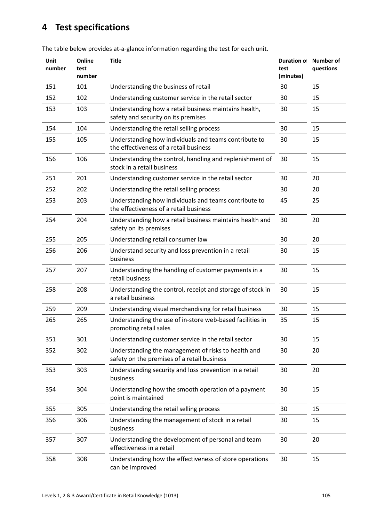# **4 Test specifications**

| Unit<br>number | Online<br>test<br>number | <b>Title</b>                                                                                       | test<br>(minutes) | Duration of Number of<br>questions |
|----------------|--------------------------|----------------------------------------------------------------------------------------------------|-------------------|------------------------------------|
| 151            | 101                      | Understanding the business of retail                                                               | 30                | 15                                 |
| 152            | 102                      | Understanding customer service in the retail sector                                                | 30                | 15                                 |
| 153            | 103                      | Understanding how a retail business maintains health,<br>safety and security on its premises       | 30                | 15                                 |
| 154            | 104                      | Understanding the retail selling process                                                           | 30                | 15                                 |
| 155            | 105                      | Understanding how individuals and teams contribute to<br>the effectiveness of a retail business    | 30                | 15                                 |
| 156            | 106                      | Understanding the control, handling and replenishment of<br>stock in a retail business             | 30                | 15                                 |
| 251            | 201                      | Understanding customer service in the retail sector                                                | 30                | 20                                 |
| 252            | 202                      | Understanding the retail selling process                                                           | 30                | 20                                 |
| 253            | 203                      | Understanding how individuals and teams contribute to<br>the effectiveness of a retail business    | 45                | 25                                 |
| 254            | 204                      | Understanding how a retail business maintains health and<br>safety on its premises                 | 30                | 20                                 |
| 255            | 205                      | Understanding retail consumer law                                                                  | 30                | 20                                 |
| 256            | 206                      | Understand security and loss prevention in a retail<br>business                                    | 30                | 15                                 |
| 257            | 207                      | Understanding the handling of customer payments in a<br>retail business                            | 30                | 15                                 |
| 258            | 208                      | Understanding the control, receipt and storage of stock in<br>a retail business                    | 30                | 15                                 |
| 259            | 209                      | Understanding visual merchandising for retail business                                             | 30                | 15                                 |
| 265            | 265                      | Understanding the use of in-store web-based facilities in<br>promoting retail sales                | 35                | 15                                 |
| 351            | 301                      | Understanding customer service in the retail sector                                                | 30                | 15                                 |
| 352            | 302                      | Understanding the management of risks to health and<br>safety on the premises of a retail business | 30                | 20                                 |
| 353            | 303                      | Understanding security and loss prevention in a retail<br>business                                 | 30                | 20                                 |
| 354            | 304                      | Understanding how the smooth operation of a payment<br>point is maintained                         | 30                | 15                                 |
| 355            | 305                      | Understanding the retail selling process                                                           | 30                | 15                                 |
| 356            | 306                      | Understanding the management of stock in a retail<br>business                                      | 30                | 15                                 |
| 357            | 307                      | Understanding the development of personal and team<br>effectiveness in a retail                    | 30                | 20                                 |
| 358            | 308                      | Understanding how the effectiveness of store operations<br>can be improved                         | 30                | 15                                 |

The table below provides at-a-glance information regarding the test for each unit.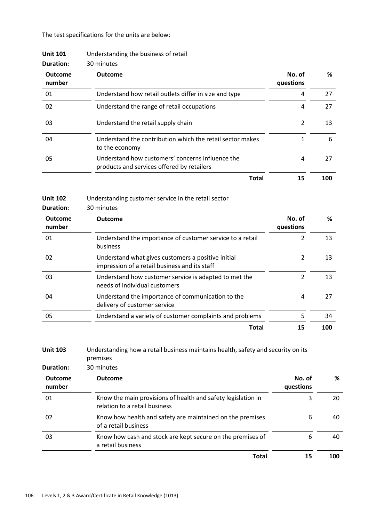The test specifications for the units are below:

| onderstanding the basiness or retail                                                           |                     |     |
|------------------------------------------------------------------------------------------------|---------------------|-----|
| 30 minutes                                                                                     |                     |     |
| <b>Outcome</b>                                                                                 | No. of<br>questions | %   |
| Understand how retail outlets differ in size and type                                          | 4                   | 27  |
| Understand the range of retail occupations                                                     | 4                   | 27  |
| Understand the retail supply chain                                                             | 2                   | 13  |
| Understand the contribution which the retail sector makes<br>to the economy                    |                     | 6   |
| Understand how customers' concerns influence the<br>products and services offered by retailers | 4                   | 27  |
| <b>Total</b>                                                                                   | 15                  | 100 |
|                                                                                                |                     |     |

| Unit 101 | Understanding the business of retail |  |
|----------|--------------------------------------|--|
|          |                                      |  |

| <b>Unit 102</b>          | Understanding customer service in the retail sector                                                 |                     |     |
|--------------------------|-----------------------------------------------------------------------------------------------------|---------------------|-----|
| <b>Duration:</b>         | 30 minutes                                                                                          |                     |     |
| <b>Outcome</b><br>number | <b>Outcome</b>                                                                                      | No. of<br>questions | ℅   |
| 01                       | Understand the importance of customer service to a retail<br>business                               | 2                   | 13  |
| 02                       | Understand what gives customers a positive initial<br>impression of a retail business and its staff | 2                   | 13  |
| 03                       | Understand how customer service is adapted to met the<br>needs of individual customers              |                     | 13  |
| 04                       | Understand the importance of communication to the<br>delivery of customer service                   | 4                   | 27  |
| 05                       | Understand a variety of customer complaints and problems                                            | 5                   | 34  |
|                          | Total                                                                                               | 15                  | 100 |

| <b>Unit 103</b>          | Understanding how a retail business maintains health, safety and security on its<br>premises  |                     |     |
|--------------------------|-----------------------------------------------------------------------------------------------|---------------------|-----|
| <b>Duration:</b>         | 30 minutes                                                                                    |                     |     |
| <b>Outcome</b><br>number | <b>Outcome</b>                                                                                | No. of<br>questions | %   |
| 01                       | Know the main provisions of health and safety legislation in<br>relation to a retail business | 3                   | 20  |
| 02                       | Know how health and safety are maintained on the premises<br>of a retail business             | 6                   | 40  |
| 03                       | Know how cash and stock are kept secure on the premises of<br>a retail business               | 6                   | 40  |
|                          | <b>Total</b>                                                                                  | 15                  | 100 |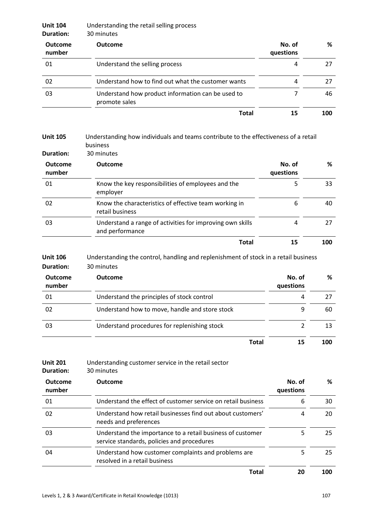| <b>Unit 104</b><br><b>Duration:</b> | Understanding the retail selling process<br>30 minutes             |                     |     |
|-------------------------------------|--------------------------------------------------------------------|---------------------|-----|
| <b>Outcome</b><br>number            | <b>Outcome</b>                                                     | No. of<br>questions | %   |
| 01                                  | Understand the selling process                                     | 4                   |     |
| 02                                  | Understand how to find out what the customer wants                 | 4                   | 27  |
| 03                                  | Understand how product information can be used to<br>promote sales |                     | 46  |
|                                     | <b>Total</b>                                                       | 15                  | 100 |

## **Unit 105** Understanding how individuals and teams contribute to the effectiveness of a retail business

**Duration:** 30 minutes

| <b>Outcome</b><br>number | <b>Outcome</b>                                                               | No. of<br>questions | ℅   |
|--------------------------|------------------------------------------------------------------------------|---------------------|-----|
| 01                       | Know the key responsibilities of employees and the<br>employer               |                     | 33  |
| 02                       | Know the characteristics of effective team working in<br>retail business     | 6                   | 40  |
| 03                       | Understand a range of activities for improving own skills<br>and performance | 4                   |     |
|                          | Total                                                                        | 15                  | 100 |

| <b>Unit 106</b>  | Understanding the control, handling and replenishment of stock in a retail business |
|------------------|-------------------------------------------------------------------------------------|
| <b>Duration:</b> | 30 minutes                                                                          |

| <b>Outcome</b><br>number | <b>Outcome</b>                                 | No. of<br>questions | %   |
|--------------------------|------------------------------------------------|---------------------|-----|
| 01                       | Understand the principles of stock control     | 4                   |     |
| 02                       | Understand how to move, handle and store stock | 9                   | 60  |
| 03                       | Understand procedures for replenishing stock   |                     | 13  |
|                          | Total                                          |                     | 100 |

| <b>Unit 201</b><br><b>Duration:</b> | Understanding customer service in the retail sector<br>30 minutes                                        |                     |     |
|-------------------------------------|----------------------------------------------------------------------------------------------------------|---------------------|-----|
| <b>Outcome</b><br>number            | <b>Outcome</b>                                                                                           | No. of<br>questions | ℅   |
| 01                                  | Understand the effect of customer service on retail business                                             | 6                   | 30  |
| 02                                  | Understand how retail businesses find out about customers'<br>needs and preferences                      | 4                   | 20  |
| 03                                  | Understand the importance to a retail business of customer<br>service standards, policies and procedures | 5                   | 25  |
| 04                                  | Understand how customer complaints and problems are<br>resolved in a retail business                     | 5                   | 25  |
|                                     | <b>Total</b>                                                                                             | 20                  | 100 |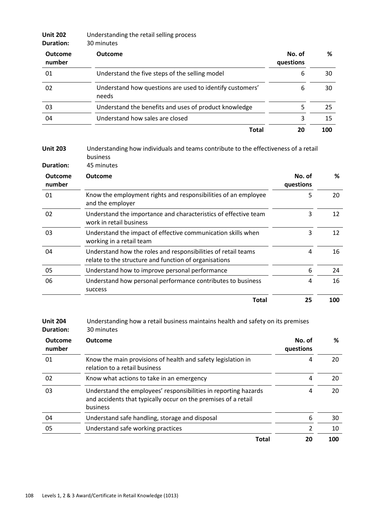| <b>Unit 202</b><br><b>Duration:</b> | Understanding the retail selling process<br>30 minutes            |                     |     |
|-------------------------------------|-------------------------------------------------------------------|---------------------|-----|
| <b>Outcome</b><br>number            | <b>Outcome</b>                                                    | No. of<br>questions | %   |
| 01                                  | Understand the five steps of the selling model                    | 6                   | 30  |
| 02                                  | Understand how questions are used to identify customers'<br>needs | 6                   | 30  |
| 03                                  | Understand the benefits and uses of product knowledge             | 5                   | 25  |
| 04                                  | Understand how sales are closed                                   | 3                   | 15  |
|                                     | <b>Total</b>                                                      | 20                  | 100 |

**Unit 203** Understanding how individuals and teams contribute to the effectiveness of a retail business **Duration:** 45 minutes

| Duration.                | FJ IIIIIIULCJ                                                                                                          |                     |     |
|--------------------------|------------------------------------------------------------------------------------------------------------------------|---------------------|-----|
| <b>Outcome</b><br>number | <b>Outcome</b>                                                                                                         | No. of<br>questions | %   |
| 01                       | Know the employment rights and responsibilities of an employee<br>and the employer                                     | 5                   | 20  |
| 02                       | Understand the importance and characteristics of effective team<br>work in retail business                             | 3                   | 12  |
| 03                       | Understand the impact of effective communication skills when<br>working in a retail team                               | 3                   | 12  |
| 04                       | Understand how the roles and responsibilities of retail teams<br>relate to the structure and function of organisations | 4                   | 16  |
| 05                       | Understand how to improve personal performance                                                                         | 6                   | 24  |
| 06                       | Understand how personal performance contributes to business<br>success                                                 | 4                   | 16  |
|                          | Total                                                                                                                  | 25                  | 100 |

**Unit 204** Understanding how a retail business maintains health and safety on its premises **Duration:** 30 minutes

| <b>Outcome</b><br>number | <b>Outcome</b>                                                                                                                                | No. of<br>questions | ℅   |
|--------------------------|-----------------------------------------------------------------------------------------------------------------------------------------------|---------------------|-----|
| 01                       | Know the main provisions of health and safety legislation in<br>relation to a retail business                                                 | 4                   | 20  |
| 02                       | Know what actions to take in an emergency                                                                                                     | 4                   | 20  |
| 03                       | Understand the employees' responsibilities in reporting hazards<br>and accidents that typically occur on the premises of a retail<br>business | 4                   | 20  |
| 04                       | Understand safe handling, storage and disposal                                                                                                | 6                   | 30  |
| 05                       | Understand safe working practices                                                                                                             |                     | 10  |
|                          | Total                                                                                                                                         | 20                  | 100 |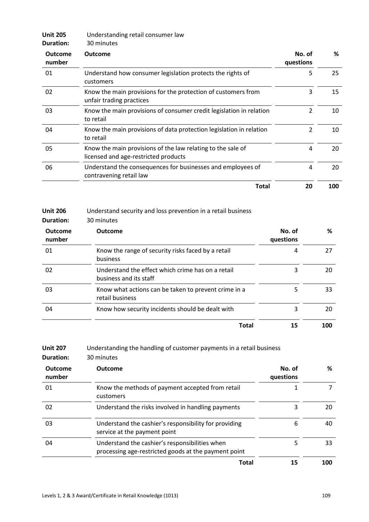| <b>Unit 205</b><br><b>Duration:</b> | Understanding retail consumer law<br>30 minutes                                                     |                     |     |
|-------------------------------------|-----------------------------------------------------------------------------------------------------|---------------------|-----|
| <b>Outcome</b><br>number            | <b>Outcome</b>                                                                                      | No. of<br>questions | %   |
| 01                                  | Understand how consumer legislation protects the rights of<br>customers                             | 5                   | 25  |
| 02                                  | Know the main provisions for the protection of customers from<br>unfair trading practices           | 3                   | 15  |
| 03                                  | Know the main provisions of consumer credit legislation in relation<br>to retail                    | 2                   | 10  |
| 04                                  | Know the main provisions of data protection legislation in relation<br>to retail                    | $\mathcal{P}$       | 10  |
| 05                                  | Know the main provisions of the law relating to the sale of<br>licensed and age-restricted products | 4                   | 20  |
| 06                                  | Understand the consequences for businesses and employees of<br>contravening retail law              | 4                   | 20  |
|                                     | <b>Total</b>                                                                                        | 20                  | 100 |

| <b>Unit 206</b>          | Understand security and loss prevention in a retail business                |                     |     |
|--------------------------|-----------------------------------------------------------------------------|---------------------|-----|
| <b>Duration:</b>         | 30 minutes                                                                  |                     |     |
| <b>Outcome</b><br>number | <b>Outcome</b>                                                              | No. of<br>questions | %   |
| 01                       | Know the range of security risks faced by a retail<br>business              | 4                   | 27  |
| 02                       | Understand the effect which crime has on a retail<br>business and its staff | 3                   | 20  |
| 03                       | Know what actions can be taken to prevent crime in a<br>retail business     | 5                   | 33  |
| 04                       | Know how security incidents should be dealt with                            | 3                   | 20  |
|                          | <b>Total</b>                                                                | 15                  | 100 |

| <b>Unit 207</b>  | Understanding the handling of customer payments in a retail business |
|------------------|----------------------------------------------------------------------|
| <b>Duration:</b> | 30 minutes                                                           |

| Outcome<br>number | Outcome                                                                                                | No. of<br>questions | %   |
|-------------------|--------------------------------------------------------------------------------------------------------|---------------------|-----|
| 01                | Know the methods of payment accepted from retail<br>customers                                          |                     |     |
| 02                | Understand the risks involved in handling payments                                                     |                     | 20  |
| 03                | Understand the cashier's responsibility for providing<br>service at the payment point                  | 6                   | 40  |
| 04                | Understand the cashier's responsibilities when<br>processing age-restricted goods at the payment point |                     | 33  |
|                   | Total                                                                                                  | 15                  | 100 |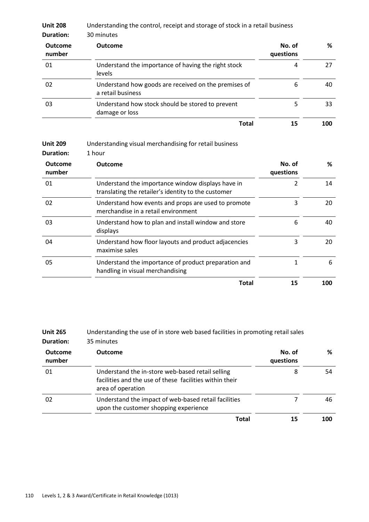| <b>Unit 208</b>          | Understanding the control, receipt and storage of stock in a retail business |                     |     |
|--------------------------|------------------------------------------------------------------------------|---------------------|-----|
| <b>Duration:</b>         | 30 minutes                                                                   |                     |     |
| <b>Outcome</b><br>number | <b>Outcome</b>                                                               | No. of<br>questions | %   |
| 01                       | Understand the importance of having the right stock<br>levels                | 4                   | 27  |
| 02                       | Understand how goods are received on the premises of<br>a retail business    | 6                   | 40  |
| 03                       | Understand how stock should be stored to prevent<br>damage or loss           | 5                   | 33  |
|                          | <b>Total</b>                                                                 | 15                  | 100 |

| <b>Unit 209</b>          | Understanding visual merchandising for retail business                                                   |                     |     |
|--------------------------|----------------------------------------------------------------------------------------------------------|---------------------|-----|
| <b>Duration:</b>         | 1 hour                                                                                                   |                     |     |
| <b>Outcome</b><br>number | <b>Outcome</b>                                                                                           | No. of<br>questions | %   |
| 01                       | Understand the importance window displays have in<br>translating the retailer's identity to the customer | 2                   | 14  |
| 02                       | Understand how events and props are used to promote<br>merchandise in a retail environment               | 3                   | 20  |
| 03                       | Understand how to plan and install window and store<br>displays                                          | 6                   | 40  |
| 04                       | Understand how floor layouts and product adjacencies<br>maximise sales                                   | 3                   | 20  |
| 05                       | Understand the importance of product preparation and<br>handling in visual merchandising                 |                     | 6   |
|                          | Total                                                                                                    | 15                  | 100 |

| <b>Unit 265</b><br><b>Duration:</b> | Understanding the use of in store web based facilities in promoting retail sales<br>35 minutes                                   |                     |     |
|-------------------------------------|----------------------------------------------------------------------------------------------------------------------------------|---------------------|-----|
| <b>Outcome</b><br>number            | <b>Outcome</b>                                                                                                                   | No. of<br>questions | %   |
| 01                                  | Understand the in-store web-based retail selling<br>facilities and the use of these facilities within their<br>area of operation | 8                   | 54  |
| 02                                  | Understand the impact of web-based retail facilities<br>upon the customer shopping experience                                    |                     | 46  |
|                                     | <b>Total</b>                                                                                                                     | 15                  | 100 |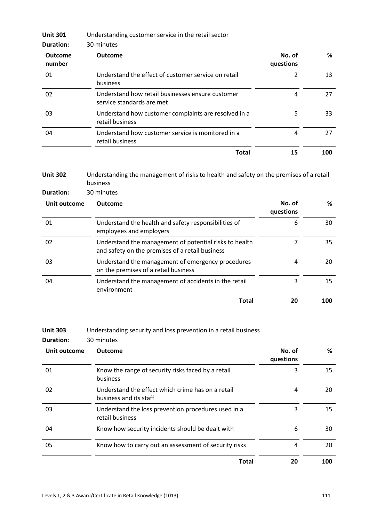| <b>Unit 301</b>                              | Understanding customer service in the retail sector                                                       |                     |     |
|----------------------------------------------|-----------------------------------------------------------------------------------------------------------|---------------------|-----|
| <b>Duration:</b><br><b>Outcome</b><br>number | 30 minutes<br><b>Outcome</b>                                                                              | No. of<br>questions | %   |
| 01                                           | Understand the effect of customer service on retail<br>business                                           | $\overline{2}$      | 13  |
| 02                                           | Understand how retail businesses ensure customer<br>service standards are met                             | 4                   | 27  |
| 03                                           | Understand how customer complaints are resolved in a<br>retail business                                   | 5                   | 33  |
| 04                                           | Understand how customer service is monitored in a<br>retail business                                      | 4                   | 27  |
|                                              | <b>Total</b>                                                                                              | 15                  | 100 |
| <b>Unit 302</b>                              | Understanding the management of risks to health and safety on the premises of a retail<br>business        |                     |     |
| <b>Duration:</b>                             | 30 minutes                                                                                                |                     |     |
| Unit outcome                                 | <b>Outcome</b>                                                                                            | No. of<br>questions | %   |
| 01                                           | Understand the health and safety responsibilities of<br>employees and employers                           | 6                   | 30  |
| 02                                           | Understand the management of potential risks to health<br>and safety on the premises of a retail business | $\overline{7}$      | 35  |
| 03                                           | Understand the management of emergency procedures<br>on the premises of a retail business                 | $\overline{a}$      | 20  |
|                                              |                                                                                                           |                     |     |

|    | Total                                                               | 20 | 100 |
|----|---------------------------------------------------------------------|----|-----|
| 04 | Understand the management of accidents in the retail<br>environment |    |     |
|    | On the premises of a retail business                                |    |     |

| <b>Unit 303</b>  | Understanding security and loss prevention in a retail business |
|------------------|-----------------------------------------------------------------|
| <b>Duration:</b> | 30 minutes                                                      |

| Unit outcome | Outcome                                                                     | No. of<br>questions | %   |
|--------------|-----------------------------------------------------------------------------|---------------------|-----|
| 01           | Know the range of security risks faced by a retail<br>business              | 3                   | 15  |
| 02           | Understand the effect which crime has on a retail<br>business and its staff | 4                   | 20  |
| 03           | Understand the loss prevention procedures used in a<br>retail business      | 3                   | 15  |
| 04           | Know how security incidents should be dealt with                            | 6                   | 30  |
| 05           | Know how to carry out an assessment of security risks                       | 4                   | 20  |
|              | <b>Total</b>                                                                | 20                  | 100 |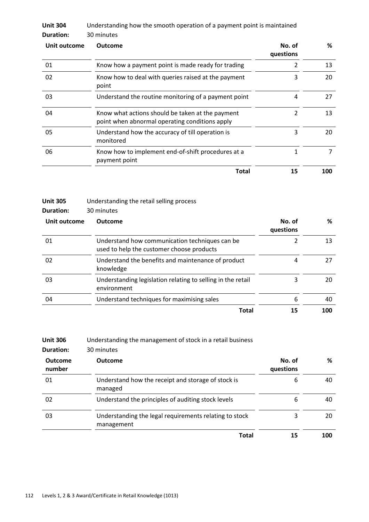| <b>Unit 304</b>  | Understanding how the smooth operation of a payment point is maintained                            |                     |     |
|------------------|----------------------------------------------------------------------------------------------------|---------------------|-----|
| <b>Duration:</b> | 30 minutes                                                                                         |                     |     |
| Unit outcome     | <b>Outcome</b>                                                                                     | No. of<br>questions | %   |
| 01               | Know how a payment point is made ready for trading                                                 | 2                   | 13  |
| 02               | Know how to deal with queries raised at the payment<br>point                                       | 3                   | 20  |
| 03               | Understand the routine monitoring of a payment point                                               | 4                   | 27  |
| 04               | Know what actions should be taken at the payment<br>point when abnormal operating conditions apply | $\mathfrak{p}$      | 13  |
| 05               | Understand how the accuracy of till operation is<br>monitored                                      | 3                   | 20  |
| 06               | Know how to implement end-of-shift procedures at a<br>payment point                                |                     | 7   |
|                  | <b>Total</b>                                                                                       | 15                  | 100 |

| <b>Unit 305</b>  | Understanding the retail selling process                                                    |                     |     |
|------------------|---------------------------------------------------------------------------------------------|---------------------|-----|
| <b>Duration:</b> | 30 minutes                                                                                  |                     |     |
| Unit outcome     | <b>Outcome</b>                                                                              | No. of<br>questions | ℅   |
| 01               | Understand how communication techniques can be<br>used to help the customer choose products |                     | 13  |
| 02               | Understand the benefits and maintenance of product<br>knowledge                             | 4                   | 27  |
| 03               | Understanding legislation relating to selling in the retail<br>environment                  | 3                   | 20  |
| 04               | Understand techniques for maximising sales                                                  | 6                   | 40  |
|                  | Total                                                                                       | 15                  | 100 |

| <b>Unit 306</b><br><b>Duration:</b> | Understanding the management of stock in a retail business<br>30 minutes |                     |     |
|-------------------------------------|--------------------------------------------------------------------------|---------------------|-----|
| <b>Outcome</b><br>number            | <b>Outcome</b>                                                           | No. of<br>questions | %   |
| 01                                  | Understand how the receipt and storage of stock is<br>managed            | 6                   | 40  |
| 02                                  | Understand the principles of auditing stock levels                       | 6                   | 40  |
| 03                                  | Understanding the legal requirements relating to stock<br>management     | 3                   | 20  |
|                                     | Total                                                                    | 15                  | 100 |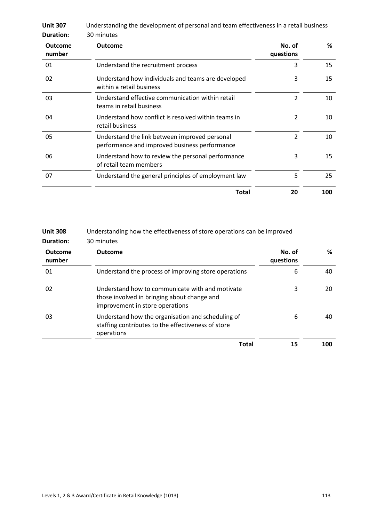| <b>Unit 307</b>          | Understanding the development of personal and team effectiveness in a retail business          |                     |     |
|--------------------------|------------------------------------------------------------------------------------------------|---------------------|-----|
| <b>Duration:</b>         | 30 minutes                                                                                     |                     |     |
| <b>Outcome</b><br>number | <b>Outcome</b>                                                                                 | No. of<br>questions | %   |
| 01                       | Understand the recruitment process                                                             | 3                   | 15  |
| 02                       | Understand how individuals and teams are developed<br>within a retail business                 | 3                   | 15  |
| 03                       | Understand effective communication within retail<br>teams in retail business                   | 2                   | 10  |
| 04                       | Understand how conflict is resolved within teams in<br>retail business                         | $\overline{2}$      | 10  |
| 05                       | Understand the link between improved personal<br>performance and improved business performance | 2                   | 10  |
| 06                       | Understand how to review the personal performance<br>of retail team members                    | 3                   | 15  |
| 07                       | Understand the general principles of employment law                                            | 5                   | 25  |
|                          | <b>Total</b>                                                                                   | 20                  | 100 |

| <b>Unit 308</b>          | Understanding how the effectiveness of store operations can be improved                                                           |                     |     |
|--------------------------|-----------------------------------------------------------------------------------------------------------------------------------|---------------------|-----|
| <b>Duration:</b>         | 30 minutes                                                                                                                        |                     |     |
| <b>Outcome</b><br>number | <b>Outcome</b>                                                                                                                    | No. of<br>questions | %   |
| 01                       | Understand the process of improving store operations                                                                              | 6                   | 40  |
| 02                       | Understand how to communicate with and motivate<br>those involved in bringing about change and<br>improvement in store operations | 3                   | 20  |
| 03                       | Understand how the organisation and scheduling of<br>staffing contributes to the effectiveness of store<br>operations             | 6                   | 40  |
|                          | Total                                                                                                                             | 15                  | 100 |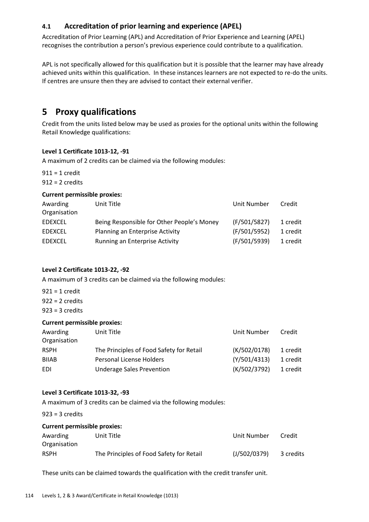## **4.1 Accreditation of prior learning and experience (APEL)**

Accreditation of Prior Learning (APL) and Accreditation of Prior Experience and Learning (APEL) recognises the contribution a person's previous experience could contribute to a qualification.

APL is not specifically allowed for this qualification but it is possible that the learner may have already achieved units within this qualification. In these instances learners are not expected to re-do the units. If centres are unsure then they are advised to contact their external verifier.

## **5 Proxy qualifications**

Credit from the units listed below may be used as proxies for the optional units within the following Retail Knowledge qualifications:

## **Level 1 Certificate 1013-12, -91**

A maximum of 2 credits can be claimed via the following modules:

911 = 1 credit  $912 = 2$  credits

### **Current permissible proxies:**

| Awarding<br>Organisation | Unit Title                                 | Unit Number  | Credit   |
|--------------------------|--------------------------------------------|--------------|----------|
| <b>EDEXCEL</b>           | Being Responsible for Other People's Money | (F/501/5827) | 1 credit |
| <b>EDEXCEL</b>           | Planning an Enterprise Activity            | (F/501/5952) | 1 credit |
| <b>EDEXCEL</b>           | Running an Enterprise Activity             | (F/501/5939) | 1 credit |

## **Level 2 Certificate 1013-22, -92**

A maximum of 3 credits can be claimed via the following modules:

921 = 1 credit 922 = 2 credits 923 = 3 credits

#### **Current permissible proxies:**

| Awarding<br>Organisation | Unit Title                               | Unit Number  | Credit   |
|--------------------------|------------------------------------------|--------------|----------|
| <b>RSPH</b>              | The Principles of Food Safety for Retail | (K/502/0178) | 1 credit |
| <b>BIIAB</b>             | Personal License Holders                 | (Y/501/4313) | 1 credit |
| EDI                      | <b>Underage Sales Prevention</b>         | (K/502/3792) | 1 credit |

#### **Level 3 Certificate 1013-32, -93**

A maximum of 3 credits can be claimed via the following modules:

923 = 3 credits

| <b>Current permissible proxies:</b> |                                          |              |           |
|-------------------------------------|------------------------------------------|--------------|-----------|
| Awarding                            | Unit Title                               | Unit Number  | Credit    |
| Organisation                        |                                          |              |           |
| <b>RSPH</b>                         | The Principles of Food Safety for Retail | (J/502/0379) | 3 credits |

These units can be claimed towards the qualification with the credit transfer unit.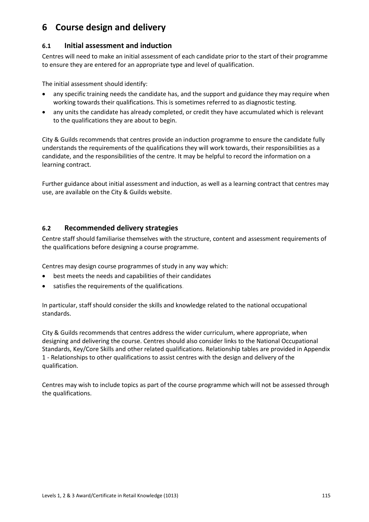## **6 Course design and delivery**

## **6.1 Initial assessment and induction**

Centres will need to make an initial assessment of each candidate prior to the start of their programme to ensure they are entered for an appropriate type and level of qualification.

The initial assessment should identify:

- any specific training needs the candidate has, and the support and guidance they may require when working towards their qualifications. This is sometimes referred to as diagnostic testing.
- any units the candidate has already completed, or credit they have accumulated which is relevant to the qualifications they are about to begin.

City & Guilds recommends that centres provide an induction programme to ensure the candidate fully understands the requirements of the qualifications they will work towards, their responsibilities as a candidate, and the responsibilities of the centre. It may be helpful to record the information on a learning contract.

Further guidance about initial assessment and induction, as well as a learning contract that centres may use, are available on the City & Guilds website.

## **6.2 Recommended delivery strategies**

Centre staff should familiarise themselves with the structure, content and assessment requirements of the qualifications before designing a course programme.

Centres may design course programmes of study in any way which:

- best meets the needs and capabilities of their candidates
- satisfies the requirements of the qualifications.

In particular, staff should consider the skills and knowledge related to the national occupational standards.

City & Guilds recommends that centres address the wider curriculum, where appropriate, when designing and delivering the course. Centres should also consider links to the National Occupational Standards, Key/Core Skills and other related qualifications. Relationship tables are provided in [Appendix](#page-119-0)  [1](#page-119-0) - Relationships [to other qualifications](#page-119-0) to assist centres with the design and delivery of the qualification.

Centres may wish to include topics as part of the course programme which will not be assessed through the qualifications.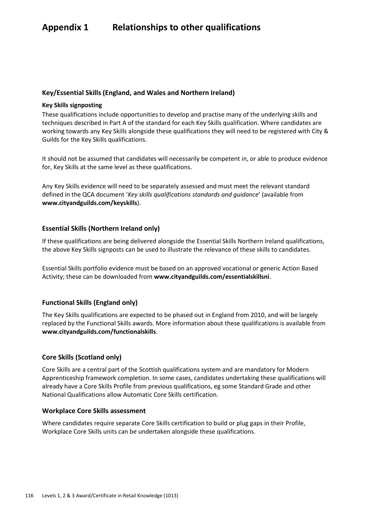## <span id="page-119-0"></span>**Key/Essential Skills (England, and Wales and Northern Ireland)**

#### **Key Skills signposting**

These qualifications include opportunities to develop and practise many of the underlying skills and techniques described in Part A of the standard for each Key Skills qualification. Where candidates are working towards any Key Skills alongside these qualifications they will need to be registered with City & Guilds for the Key Skills qualifications.

It should not be assumed that candidates will necessarily be competent in, or able to produce evidence for, Key Skills at the same level as these qualifications.

Any Key Skills evidence will need to be separately assessed and must meet the relevant standard defined in the QCA document '*Key skills qualifications standards and guidance*' (available from **[www.cityandguilds.com/keyskills](http://www.cityandguilds.com/keyskills)**).

### **Essential Skills (Northern Ireland only)**

If these qualifications are being delivered alongside the Essential Skills Northern Ireland qualifications, the above Key Skills signposts can be used to illustrate the relevance of these skills to candidates.

Essential Skills portfolio evidence must be based on an approved vocational or generic Action Based Activity; these can be downloaded from **[www.cityandguilds.com/essentialskillsni](http://www.cityandguilds.com/essentialskillsni)**.

#### **Functional Skills (England only)**

The Key Skills qualifications are expected to be phased out in England from 2010, and will be largely replaced by the Functional Skills awards. More information about these qualifications is available from **[www.cityandguilds.com/functionalskills](http://www.cityandguilds.com/functionalskills)**.

#### **Core Skills (Scotland only)**

Core Skills are a central part of the Scottish qualifications system and are mandatory for Modern Apprenticeship framework completion. In some cases, candidates undertaking these qualifications will already have a Core Skills Profile from previous qualifications, eg some Standard Grade and other National Qualifications allow Automatic Core Skills certification.

#### **Workplace Core Skills assessment**

Where candidates require separate Core Skills certification to build or plug gaps in their Profile, Workplace Core Skills units can be undertaken alongside these qualifications.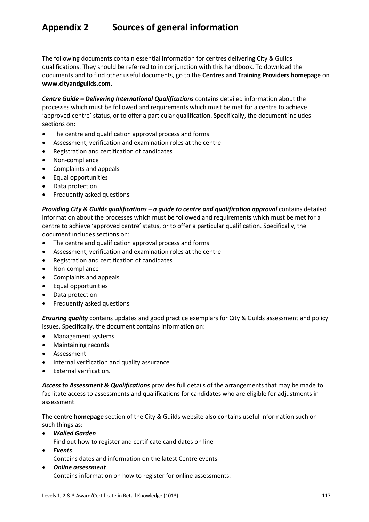## **Appendix 2 Sources of general information**

The following documents contain essential information for centres delivering City & Guilds qualifications. They should be referred to in conjunction with this handbook. To download the documents and to find other useful documents, go to the **Centres and Training Providers homepage** on **[www.cityandguilds.com](http://www.cityandguilds.com/)**.

*Centre Guide – Delivering International Qualifications* contains detailed information about the processes which must be followed and requirements which must be met for a centre to achieve 'approved centre' status, or to offer a particular qualification. Specifically, the document includes sections on:

- The centre and qualification approval process and forms
- Assessment, verification and examination roles at the centre
- Registration and certification of candidates
- Non-compliance
- Complaints and appeals
- Equal opportunities
- Data protection
- Frequently asked questions.

*Providing City & Guilds qualifications – a guide to centre and qualification approval* contains detailed information about the processes which must be followed and requirements which must be met for a centre to achieve 'approved centre' status, or to offer a particular qualification. Specifically, the document includes sections on:

- The centre and qualification approval process and forms
- Assessment, verification and examination roles at the centre
- Registration and certification of candidates
- Non-compliance
- Complaints and appeals
- Equal opportunities
- Data protection
- Frequently asked questions.

*Ensuring quality* contains updates and good practice exemplars for City & Guilds assessment and policy issues. Specifically, the document contains information on:

- Management systems
- Maintaining records
- Assessment
- Internal verification and quality assurance
- External verification.

*Access to Assessment & Qualifications* provides full details of the arrangements that may be made to facilitate access to assessments and qualifications for candidates who are eligible for adjustments in assessment.

The **centre homepage** section of the City & Guilds website also contains useful information such on such things as:

- *Walled Garden* Find out how to register and certificate candidates on line
- *Events* Contains dates and information on the latest Centre events
- *Online assessment* Contains information on how to register for online assessments.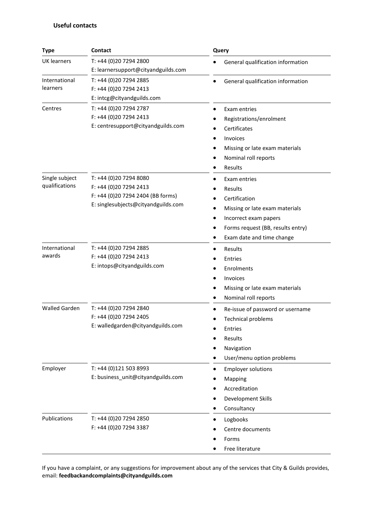## **Useful contacts**

| <b>Type</b>                      | <b>Contact</b>                                                                                                               | Query                                                                                                                                                                 |
|----------------------------------|------------------------------------------------------------------------------------------------------------------------------|-----------------------------------------------------------------------------------------------------------------------------------------------------------------------|
| <b>UK</b> learners               | T: +44 (0)20 7294 2800<br>E: learnersupport@cityandguilds.com                                                                | General qualification information                                                                                                                                     |
| International<br>learners        | T: +44 (0)20 7294 2885<br>F: +44 (0)20 7294 2413<br>E: intcg@cityandguilds.com                                               | General qualification information                                                                                                                                     |
| Centres                          | T: +44 (0)20 7294 2787<br>F: +44 (0)20 7294 2413<br>E: centresupport@cityandguilds.com                                       | Exam entries<br>Registrations/enrolment<br>Certificates<br>Invoices<br>Missing or late exam materials<br>Nominal roll reports<br>Results                              |
| Single subject<br>qualifications | T: +44 (0)20 7294 8080<br>F: +44 (0)20 7294 2413<br>F: +44 (0)20 7294 2404 (BB forms)<br>E: singlesubjects@cityandguilds.com | Exam entries<br>Results<br>Certification<br>Missing or late exam materials<br>Incorrect exam papers<br>Forms request (BB, results entry)<br>Exam date and time change |
| International<br>awards          | T: +44 (0)20 7294 2885<br>F: +44 (0)20 7294 2413<br>E: intops@cityandguilds.com                                              | Results<br>Entries<br>Enrolments<br>Invoices<br>Missing or late exam materials<br>Nominal roll reports                                                                |
| <b>Walled Garden</b>             | T: +44 (0)20 7294 2840<br>F: +44 (0)20 7294 2405<br>E: walledgarden@cityandguilds.com                                        | Re-issue of password or username<br><b>Technical problems</b><br>Entries<br>Results<br>Navigation<br>User/menu option problems                                        |
| Employer                         | T: +44 (0)121 503 8993<br>E: business_unit@cityandguilds.com                                                                 | <b>Employer solutions</b><br>Mapping<br>Accreditation<br>Development Skills<br>Consultancy                                                                            |
| Publications                     | T: +44 (0)20 7294 2850<br>F: +44 (0)20 7294 3387                                                                             | Logbooks<br>Centre documents<br>Forms<br>Free literature                                                                                                              |

If you have a complaint, or any suggestions for improvement about any of the services that City & Guilds provides, email: **feedbackandcomplaints@cityandguilds.com**